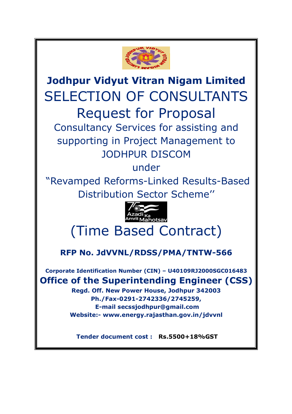

**Jodhpur Vidyut Vitran Nigam Limited**  SELECTION OF CONSULTANTS Request for Proposal Consultancy Services for assisting and supporting in Project Management to

# JODHPUR DISCOM

under

 "Revamped Reforms-Linked Results-Based Distribution Sector Scheme''



# (Time Based Contract)

**RFP No. JdVVNL/RDSS/PMA/TNTW-566**

**Corporate Identification Number (CIN) – U40109RJ2000SGC016483 Office of the Superintending Engineer (CSS)**

> **Regd. Off. New Power House, Jodhpur 342003 Ph./Fax-0291-2742336/2745259, E-mail secssjodhpur@gmail.com Website:- www.energy.rajasthan.gov.in/jdvvnl**

 **Tender document cost : Rs.5500+18%GST**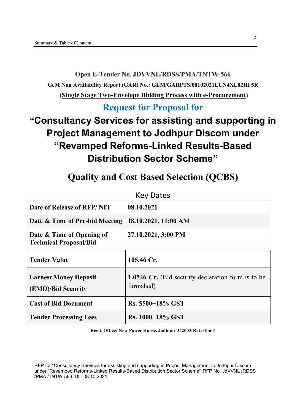### **Open E-Tender No. JDVVNL/RDSS/PMA/TNTW-566 GeM Non Availability Report (GAR) No.: GEM/GARPTS/08102021LUN4XL02HF5R (Single Stage Two-Envelope Bidding Process with e-Procurement)**

### **Request for Proposal for**

## **"Consultancy Services for assisting and supporting in Project Management to Jodhpur Discom under "Revamped Reforms-Linked Results-Based Distribution Sector Scheme''**

|                                                            | <b>Key Dates</b>                                                        |
|------------------------------------------------------------|-------------------------------------------------------------------------|
| Date of Release of RFP/NIT                                 | 08.10.2021                                                              |
| Date & Time of Pre-bid Meeting                             | 18.10.2021, 11:00 AM                                                    |
| Date & Time of Opening of<br><b>Technical Proposal/Bid</b> | 27.10.2021, 3:00 PM                                                     |
| <b>Tender Value</b>                                        | 105.46 Cr.                                                              |
| <b>Earnest Money Deposit</b><br>(EMD)/Bid Security         | <b>1.0546 Cr.</b> (Bid security declaration form is to be<br>furnished) |
| <b>Cost of Bid Document</b>                                | Rs. 5500+18% GST                                                        |
| <b>Tender Processing Fees</b>                              | Rs. 1000+18% GST                                                        |

### **Quality and Cost Based Selection (QCBS)**

**Regd. Office: New Power House, Jodhpur 342003(Rajasthan)**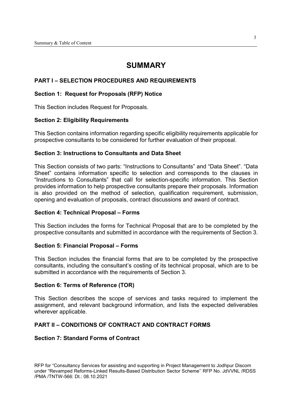#### **SUMMARY**

#### **PART I – SELECTION PROCEDURES AND REQUIREMENTS**

#### **Section 1: Request for Proposals (RFP) Notice**

This Section includes Request for Proposals.

#### **Section 2: Eligibility Requirements**

This Section contains information regarding specific eligibility requirements applicable for prospective consultants to be considered for further evaluation of their proposal.

#### **Section 3: Instructions to Consultants and Data Sheet**

This Section consists of two parts: "Instructions to Consultants" and "Data Sheet". "Data Sheet" contains information specific to selection and corresponds to the clauses in "Instructions to Consultants" that call for selection-specific information. This Section provides information to help prospective consultants prepare their proposals. Information is also provided on the method of selection, qualification requirement, submission, opening and evaluation of proposals, contract discussions and award of contract.

#### **Section 4: Technical Proposal – Forms**

This Section includes the forms for Technical Proposal that are to be completed by the prospective consultants and submitted in accordance with the requirements of Section 3.

#### **Section 5: Financial Proposal – Forms**

This Section includes the financial forms that are to be completed by the prospective consultants, including the consultant's costing of its technical proposal, which are to be submitted in accordance with the requirements of Section 3.

#### **Section 6: Terms of Reference (TOR)**

This Section describes the scope of services and tasks required to implement the assignment, and relevant background information, and lists the expected deliverables wherever applicable.

#### **PART II – CONDITIONS OF CONTRACT AND CONTRACT FORMS**

#### **Section 7: Standard Forms of Contract**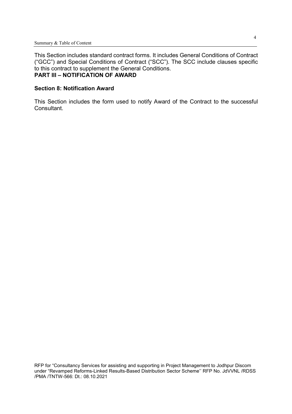This Section includes standard contract forms. It includes General Conditions of Contract ("GCC") and Special Conditions of Contract ("SCC"). The SCC include clauses specific to this contract to supplement the General Conditions. **PART III – NOTIFICATION OF AWARD** 

#### **Section 8: Notification Award**

This Section includes the form used to notify Award of the Contract to the successful Consultant.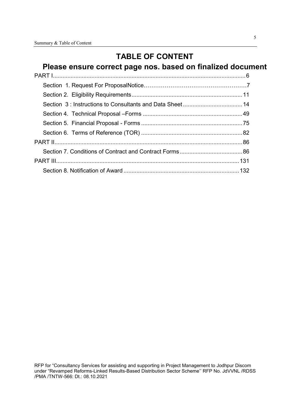### **TABLE OF CONTENT**

### **Please ensure correct page nos. based on finalized document**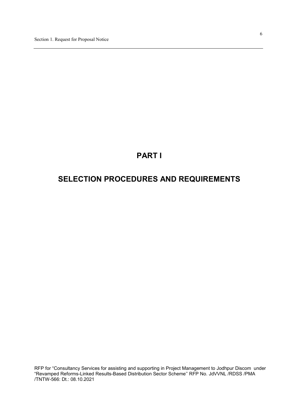### **PART I**

### **SELECTION PROCEDURES AND REQUIREMENTS**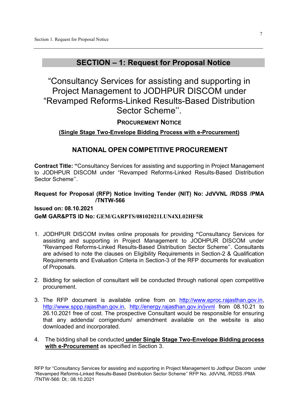### **SECTION – 1: Request for Proposal Notice**

"Consultancy Services for assisting and supporting in Project Management to JODHPUR DISCOM under "Revamped Reforms-Linked Results-Based Distribution Sector Scheme''.

**PROCUREMENT NOTICE**

#### **(Single Stage Two-Envelope Bidding Process with e-Procurement)**

#### **NATIONAL OPEN COMPETITIVE PROCUREMENT**

**Contract Title: "**Consultancy Services for assisting and supporting in Project Management to JODHPUR DISCOM under "Revamped Reforms-Linked Results-Based Distribution Sector Scheme''.

#### **Request for Proposal (RFP) Notice Inviting Tender (NIT) No: JdVVNL /RDSS /PMA /TNTW-566**

#### **Issued on: 08.10.2021 GeM GAR&PTS ID No: GEM/GARPTS/08102021LUN4XL02HF5R**

- 1. JODHPUR DISCOM invites online proposals for providing **"**Consultancy Services for assisting and supporting in Project Management to JODHPUR DISCOM under "Revamped Reforms-Linked Results-Based Distribution Sector Scheme''. Consultants are advised to note the clauses on Eligibility Requirements in Section-2 & Qualification Requirements and Evaluation Criteria in Section-3 of the RFP documents for evaluation of Proposals.
- 2. Bidding for selection of consultant will be conducted through national open competitive procurement.
- 3. The RFP document is available online from on http://www.eproc.rajasthan.gov.in, http://www.sppp.rajasthan.gov.in, http://energy.rajasthan.gov.in/jvvnl from 08.10.21 to 26.10.2021 free of cost. The prospective Consultant would be responsible for ensuring that any addenda/ corrigendum/ amendment available on the website is also downloaded and incorporated.
- 4. The bidding shall be conducted **under Single Stage Two-Envelope Bidding process with e-Procurement** as specified in Section 3.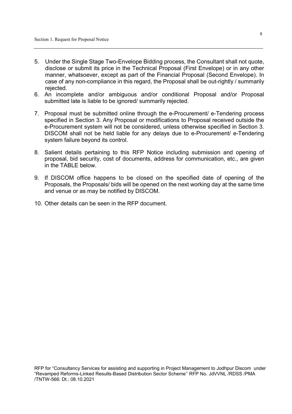- 5. Under the Single Stage Two-Envelope Bidding process, the Consultant shall not quote, disclose or submit its price in the Technical Proposal (First Envelope) or in any other manner, whatsoever, except as part of the Financial Proposal (Second Envelope). In case of any non-compliance in this regard, the Proposal shall be out-rightly / summarily rejected.
- 6. An incomplete and/or ambiguous and/or conditional Proposal and/or Proposal submitted late is liable to be ignored/ summarily rejected.
- 7. Proposal must be submitted online through the e-Procurement/ e-Tendering process specified in Section 3. Any Proposal or modifications to Proposal received outside the e-Procurement system will not be considered, unless otherwise specified in Section 3. DISCOM shall not be held liable for any delays due to e-Procurement/ e-Tendering system failure beyond its control.
- 8. Salient details pertaining to this RFP Notice including submission and opening of proposal, bid security, cost of documents, address for communication, etc., are given in the TABLE below.
- 9. If DISCOM office happens to be closed on the specified date of opening of the Proposals, the Proposals/ bids will be opened on the next working day at the same time and venue or as may be notified by DISCOM.
- 10. Other details can be seen in the RFP document.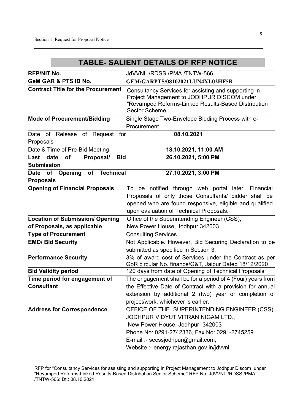### **TABLE- SALIENT DETAILS OF RFP NOTICE**

| <b>RFP/NIT No.</b>                                | JdVVNL/RDSS/PMA/TNTW-566                                                                                                                                                          |
|---------------------------------------------------|-----------------------------------------------------------------------------------------------------------------------------------------------------------------------------------|
| <b>GeM GAR &amp; PTS ID No.</b>                   | GEM/GARPTS/08102021LUN4XL02HF5R                                                                                                                                                   |
| <b>Contract Title for the Procurement</b>         | Consultancy Services for assisting and supporting in<br>Project Management to JODHPUR DISCOM under<br>"Revamped Reforms-Linked Results-Based Distribution<br><b>Sector Scheme</b> |
| <b>Mode of Procurement/Bidding</b>                | Single Stage Two-Envelope Bidding Process with e-                                                                                                                                 |
|                                                   | Procurement                                                                                                                                                                       |
| Date of Release of Request<br>for<br>Proposals    | 08.10.2021                                                                                                                                                                        |
| Date & Time of Pre-Bid Meeting                    | 18.10.2021, 11:00 AM                                                                                                                                                              |
| Proposal/<br><b>Bid</b><br>Last date<br><b>of</b> | 26.10.2021, 5:00 PM                                                                                                                                                               |
| <b>Submission</b>                                 |                                                                                                                                                                                   |
| Opening<br>of Technical<br>Date of                | 27.10.2021, 3:00 PM                                                                                                                                                               |
| <b>Proposals</b>                                  |                                                                                                                                                                                   |
| <b>Opening of Financial Proposals</b>             | To be notified through web portal later. Financial                                                                                                                                |
|                                                   | Proposals of only those Consultants/ bidder shall be                                                                                                                              |
|                                                   | opened who are found responsive, eligible and qualified<br>upon evaluation of Technical Proposals.                                                                                |
| <b>Location of Submission/ Opening</b>            | Office of the Superintending Engineer (CSS),                                                                                                                                      |
| of Proposals, as applicable                       | New Power House, Jodhpur 342003                                                                                                                                                   |
| <b>Type of Procurement</b>                        | <b>Consulting Services</b>                                                                                                                                                        |
| <b>EMD/ Bid Security</b>                          | Not Applicable. However, Bid Securing Declaration to be                                                                                                                           |
|                                                   | submitted as specified in Section 3.                                                                                                                                              |
| <b>Performance Security</b>                       | 3% of award cost of Services under the Contract as per                                                                                                                            |
|                                                   | GoR circular No. finance/G&T, Jaipur Dated 18/12/2020                                                                                                                             |
| <b>Bid Validity period</b>                        | 120 days from date of Opening of Technical Proposals                                                                                                                              |
| Time period for engagement of                     | The engagement shall be for a period of 4 (Four) years from                                                                                                                       |
| <b>Consultant</b>                                 | the Effective Date of Contract with a provision for annual                                                                                                                        |
|                                                   | extension by additional 2 (two) year or completion of                                                                                                                             |
|                                                   | project/work, whichever is earlier.                                                                                                                                               |
| <b>Address for Correspondence</b>                 | OFFICE OF THE SUPERINTENDING ENGINEER (CSS),                                                                                                                                      |
|                                                   | JODHPUR VIDYUT VITRAN NIGAM LTD.,                                                                                                                                                 |
|                                                   | New Power House, Jodhpur- 342003                                                                                                                                                  |
|                                                   | Phone No: 0291-2742336, Fax No: 0291-2745259                                                                                                                                      |
|                                                   | E-mail :- secssjodhpur@gmail.com,                                                                                                                                                 |
|                                                   | Website :- energy.rajasthan.gov.in/jdvvnl                                                                                                                                         |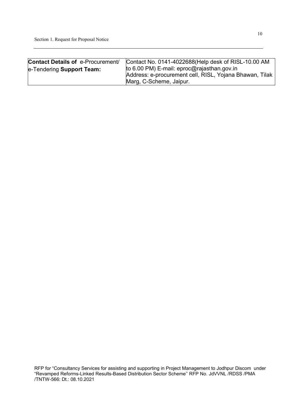| <b>Contact Details of e-Procurement/</b> | Contact No. 0141-4022688 (Help desk of RISL-10.00 AM    |
|------------------------------------------|---------------------------------------------------------|
| e-Tendering Support Team:                | to 6.00 PM) E-mail: eproc@rajasthan.gov.in              |
|                                          | Address: e-procurement cell, RISL, Yojana Bhawan, Tilak |
|                                          | Marg, C-Scheme, Jaipur.                                 |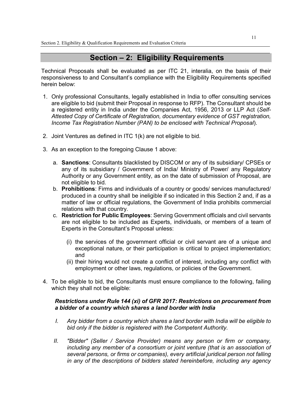#### **Section – 2: Eligibility Requirements**

Technical Proposals shall be evaluated as per ITC 21, interalia, on the basis of their responsiveness to and Consultant's compliance with the Eligibility Requirements specified herein below:

- 1. Only professional Consultants, legally established in India to offer consulting services are eligible to bid (submit their Proposal in response to RFP). The Consultant should be a registered entity in India under the Companies Act, 1956, 2013 or LLP Act (*Self-Attested Copy of Certificate of Registration, documentary evidence of GST registration, Income Tax Registration Number (PAN) to be enclosed with Technical Proposal*).
- 2. Joint Ventures as defined in ITC 1(k) are not eligible to bid.
- 3. As an exception to the foregoing Clause 1 above:
	- a. **Sanctions**: Consultants blacklisted by DISCOM or any of its subsidiary/ CPSEs or any of its subsidiary / Government of India/ Ministry of Power/ any Regulatory Authority or any Government entity, as on the date of submission of Proposal, are not eligible to bid.
	- b. **Prohibitions**: Firms and individuals of a country or goods/ services manufactured/ produced in a country shall be ineligible if so indicated in this Section 2 and, if as a matter of law or official regulations, the Government of India prohibits commercial relations with that country.
	- c. **Restriction for Public Employees**: Serving Government officials and civil servants are not eligible to be included as Experts, individuals, or members of a team of Experts in the Consultant's Proposal unless:
		- (i) the services of the government official or civil servant are of a unique and exceptional nature, or their participation is critical to project implementation; and
		- (ii) their hiring would not create a conflict of interest, including any conflict with employment or other laws, regulations, or policies of the Government.
- 4. To be eligible to bid, the Consultants must ensure compliance to the following, failing which they shall not be eligible:

#### *Restrictions under Rule 144 (xi) of GFR 2017: Restrictions on procurement from a bidder of a country which shares a land border with India*

- *I. Any bidder from a country which shares a land border with India will be eligible to bid only if the bidder is registered with the Competent Authority.*
- *II. "Bidder" (Seller / Service Provider) means any person or firm or company, including any member of a consortium or joint venture (that is an association of several persons, or firms or companies), every artificial juridical person not falling in any of the descriptions of bidders stated hereinbefore, including any agency*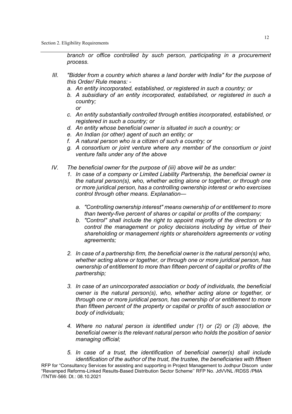*branch or office controlled by such person, participating in a procurement process.* 

- *III. "Bidder from a country which shares a land border with India" for the purpose of this Order/ Rule means:* 
	- *a. An entity incorporated, established, or registered in such a country; or*
	- *b. A subsidiary of an entity incorporated, established, or registered in such a country; or*
	- *c. An entity substantially controlled through entities incorporated, established, or registered in such a country; or*
	- *d. An entity whose beneficial owner is situated in such a country; or*
	- *e. An Indian (or other) agent of such an entity; or*
	- *f. A natural person who is a citizen of such a country; or*
	- *g. A consortium or joint venture where any member of the consortium or joint venture falls under any of the above*
- *IV. The beneficial owner for the purpose of (iii) above will be as under:* 
	- *1. In case of a company or Limited Liability Partnership, the beneficial owner is the natural person(s), who, whether acting alone or together, or through one or more juridical person, has a controlling ownership interest or who exercises control through other means. Explanation* 
		- *a. "Controlling ownership interest" means ownership of or entitlement to more than twenty-five percent of shares or capital or profits of the company;*
		- *b. "Control" shall include the right to appoint majority of the directors or to control the management or policy decisions including by virtue of their shareholding or management rights or shareholders agreements or voting agreements;*
	- *2. In case of a partnership firm, the beneficial owner is the natural person(s) who, whether acting alone or together, or through one or more juridical person, has ownership of entitlement to more than fifteen percent of capital or profits of the partnership;*
	- *3. In case of an unincorporated association or body of individuals, the beneficial owner is the natural person(s), who, whether acting alone or together, or through one or more juridical person, has ownership of or entitlement to more than fifteen percent of the property or capital or profits of such association or body of individuals;*
	- *4. Where no natural person is identified under (1) or (2) or (3) above, the beneficial owner is the relevant natural person who holds the position of senior managing official;*
- RFP for "Consultancy Services for assisting and supporting in Project Management to Jodhpur Discom under "Revamped Reforms-Linked Results-Based Distribution Sector Scheme'' RFP No. JdVVNL /RDSS /PMA /TNTW-566: Dt.: 08.10.2021 *5. In case of a trust, the identification of beneficial owner(s) shall include identification of the author of the trust, the trustee, the beneficiaries with fifteen*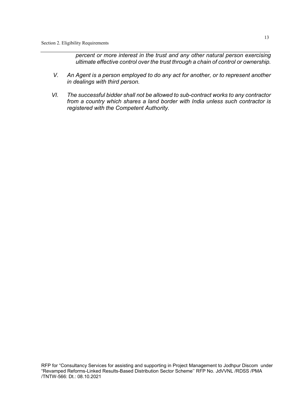*percent or more interest in the trust and any other natural person exercising ultimate effective control over the trust through a chain of control or ownership.* 

- *V. An Agent is a person employed to do any act for another, or to represent another in dealings with third person.*
- *VI. The successful bidder shall not be allowed to sub-contract works to any contractor from a country which shares a land border with India unless such contractor is registered with the Competent Authority.*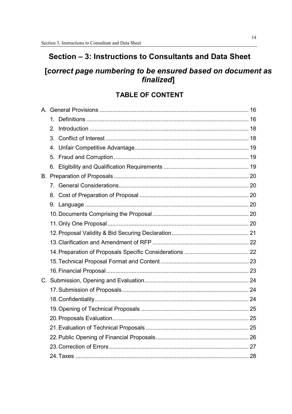### Section - 3: Instructions to Consultants and Data Sheet

### [correct page numbering to be ensured based on document as finalized]

### **TABLE OF CONTENT**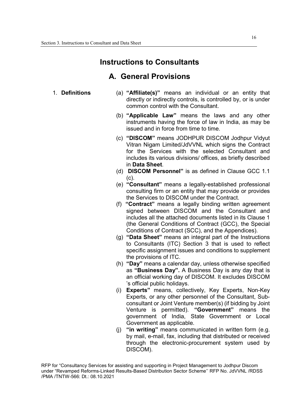### **Instructions to Consultants**

### **A. General Provisions**

- 
- 1. **Definitions** (a) **"Affiliate(s)"** means an individual or an entity that directly or indirectly controls, is controlled by, or is under common control with the Consultant.
	- (b) **"Applicable Law"** means the laws and any other instruments having the force of law in India, as may be issued and in force from time to time.
	- (c) **"DISCOM"** means JODHPUR DISCOM Jodhpur Vidyut Vitran Nigam Limited/JdVVNL which signs the Contract for the Services with the selected Consultant and includes its various divisions/ offices, as briefly described in **Data Sheet**.
	- (d) **DISCOM Personnel"** is as defined in Clause GCC 1.1  $(c)$ .
	- (e) **"Consultant"** means a legally-established professional consulting firm or an entity that may provide or provides the Services to DISCOM under the Contract.
	- (f) **"Contract"** means a legally binding written agreement signed between DISCOM and the Consultant and includes all the attached documents listed in its Clause 1 (the General Conditions of Contract (GCC), the Special Conditions of Contract (SCC), and the Appendices).
	- (g) **"Data Sheet"** means an integral part of the Instructions to Consultants (ITC) Section 3 that is used to reflect specific assignment issues and conditions to supplement the provisions of ITC.
	- (h) **"Day"** means a calendar day, unless otherwise specified as **"Business Day".** A Business Day is any day that is an official working day of DISCOM. It excludes DISCOM 's official public holidays.
	- (i) **Experts"** means, collectively, Key Experts, Non-Key Experts, or any other personnel of the Consultant, Subconsultant or Joint Venture member(s) (if bidding by Joint Venture is permitted). **"Government"** means the government of India, State Government or Local Government as applicable.
	- (j) **"in writing"** means communicated in written form (e.g. by mail, e-mail, fax, including that distributed or received through the electronic-procurement system used by DISCOM).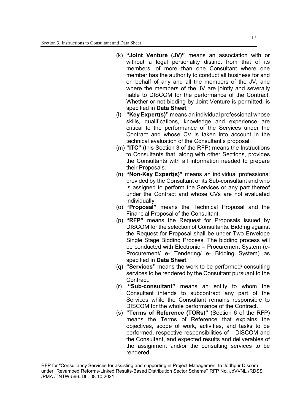- (k) **"Joint Venture (JV)"** means an association with or without a legal personality distinct from that of its members, of more than one Consultant where one member has the authority to conduct all business for and on behalf of any and all the members of the JV, and where the members of the JV are jointly and severally liable to DISCOM for the performance of the Contract. Whether or not bidding by Joint Venture is permitted, is specified in **Data Sheet**.
- (l) **"Key Expert(s)"** means an individual professional whose skills, qualifications, knowledge and experience are critical to the performance of the Services under the Contract and whose CV is taken into account in the technical evaluation of the Consultant's proposal.
- (m) **"ITC"** (this Section 3 of the RFP) means the Instructions to Consultants that, along with other Sections, provides the Consultants with all information needed to prepare their Proposals.
- (n) **"Non-Key Expert(s)"** means an individual professional provided by the Consultant or its Sub-consultant and who is assigned to perform the Services or any part thereof under the Contract and whose CVs are not evaluated individually.
- (o) **"Proposal"** means the Technical Proposal and the Financial Proposal of the Consultant.
- (p) **"RFP"** means the Request for Proposals issued by DISCOM for the selection of Consultants. Bidding against the Request for Proposal shall be under Two Envelope Single Stage Bidding Process. The bidding process will be conducted with Electronic – Procurement System (e-Procurement/ e- Tendering/ e- Bidding System) as specified in **Data Sheet**.
- (q) **"Services"** means the work to be performed/ consulting services to be rendered by the Consultant pursuant to the Contract.
- (r) **"Sub-consultant"** means an entity to whom the Consultant intends to subcontract any part of the Services while the Consultant remains responsible to DISCOM for the whole performance of the Contract.
- (s) **"Terms of Reference (TORs)"** (Section 6 of the RFP) means the Terms of Reference that explains the objectives, scope of work, activities, and tasks to be performed, respective responsibilities of DISCOM and the Consultant, and expected results and deliverables of the assignment and/or the consulting services to be rendered.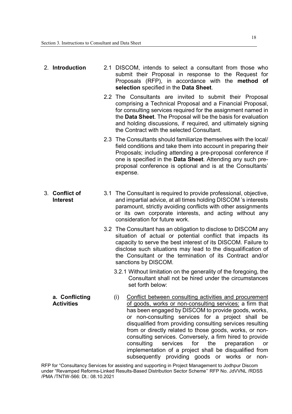| 2. Introduction                     | 2.1 DISCOM, intends to select a consultant from those who<br>submit their Proposal in response to the Request for<br>Proposals (RFP), in accordance with the method of<br>selection specified in the Data Sheet.                                                                                                                                                                                                                                                                      |
|-------------------------------------|---------------------------------------------------------------------------------------------------------------------------------------------------------------------------------------------------------------------------------------------------------------------------------------------------------------------------------------------------------------------------------------------------------------------------------------------------------------------------------------|
|                                     | 2.2 The Consultants are invited to submit their Proposal<br>comprising a Technical Proposal and a Financial Proposal,<br>for consulting services required for the assignment named in<br>the Data Sheet. The Proposal will be the basis for evaluation<br>and holding discussions, if required, and ultimately signing<br>the Contract with the selected Consultant.                                                                                                                  |
|                                     | 2.3 The Consultants should familiarize themselves with the local/<br>field conditions and take them into account in preparing their<br>Proposals; including attending a pre-proposal conference if<br>one is specified in the Data Sheet. Attending any such pre-<br>proposal conference is optional and is at the Consultants'<br>expense.                                                                                                                                           |
| 3. Conflict of<br><b>Interest</b>   | 3.1 The Consultant is required to provide professional, objective,<br>and impartial advice, at all times holding DISCOM 's interests<br>paramount, strictly avoiding conflicts with other assignments<br>or its own corporate interests, and acting without any<br>consideration for future work.                                                                                                                                                                                     |
|                                     | 3.2 The Consultant has an obligation to disclose to DISCOM any<br>situation of actual or potential conflict that impacts its<br>capacity to serve the best interest of its DISCOM. Failure to<br>disclose such situations may lead to the disqualification of<br>the Consultant or the termination of its Contract and/or<br>sanctions by DISCOM.                                                                                                                                     |
|                                     | 3.2.1 Without limitation on the generality of the foregoing, the<br>Consultant shall not be hired under the circumstances<br>set forth below:                                                                                                                                                                                                                                                                                                                                         |
| a. Conflicting<br><b>Activities</b> | Conflict between consulting activities and procurement<br>(i)<br>of goods, works or non-consulting services: a firm that<br>has been engaged by DISCOM to provide goods, works,<br>or non-consulting services for a project shall be<br>disqualified from providing consulting services resulting<br>from or directly related to those goods, works, or non-<br>consulting services. Conversely, a firm hired to provide<br>consulting<br>services<br>for<br>the<br>preparation<br>or |

RFP for "Consultancy Services for assisting and supporting in Project Management to Jodhpur Discom under "Revamped Reforms-Linked Results-Based Distribution Sector Scheme'' RFP No. JdVVNL /RDSS /PMA /TNTW-566: Dt.: 08.10.2021

implementation of a project shall be disqualified from subsequently providing goods or works or non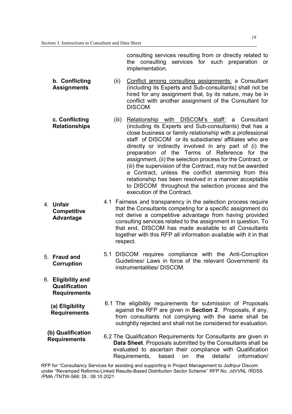consulting services resulting from or directly related to the consulting services for such preparation or implementation.

**b. Conflicting Assignments**  (ii) Conflict among consulting assignments: a Consultant (including its Experts and Sub-consultants) shall not be hired for any assignment that, by its nature, may be in conflict with another assignment of the Consultant for DISCOM.

- **c. Conflicting Relationships**  (iii) Relationship with DISCOM's staff: a Consultant (including its Experts and Sub-consultants) that has a close business or family relationship with a professional staff of DISCOM or its subsidiaries/ affiliates who are directly or indirectly involved in any part of (i) the preparation of the Terms of Reference for the assignment, (ii) the selection process for the Contract, or (iii) the supervision of the Contract, may not be awarded a Contract, unless the conflict stemming from this relationship has been resolved in a manner acceptable to DISCOM throughout the selection process and the execution of the Contract.
- 4. **Unfair Competitive Advantage**  4.1 Fairness and transparency in the selection process require that the Consultants competing for a specific assignment do not derive a competitive advantage from having provided consulting services related to the assignment in question. To that end, DISCOM has made available to all Consultants together with this RFP all information available with it in that respect.
	- 5.1 DISCOM requires compliance with the Anti-Corruption Guidelines/ Laws in force of the relevant Government/ its instrumentalities/ DISCOM.

6.1 The eligibility requirements for submission of Proposals

6. **Eligibility and Qualification Requirements** 

5. **Fraud and Corruption**

> **(a) Eligibility Requirements**

against the RFP are given in **Section 2**. Proposals, if any, from consultants not complying with the same shall be outrightly rejected and shall not be considered for evaluation.

**(b) Qualification Requirements**  6.2 The Qualification Requirements for Consultants are given in **Data Sheet**. Proposals submitted by the Consultants shall be evaluated to ascertain their compliance with Qualification Requirements, based on the details/ information/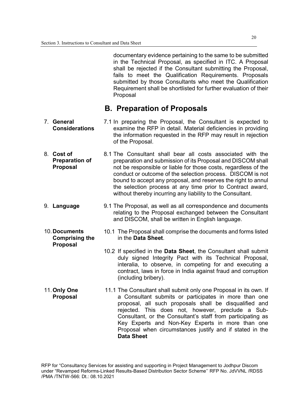10. **Documents** 

**Proposal** 

documentary evidence pertaining to the same to be submitted in the Technical Proposal, as specified in ITC. A Proposal shall be rejected if the Consultant submitting the Proposal, fails to meet the Qualification Requirements. Proposals submitted by those Consultants who meet the Qualification Requirement shall be shortlisted for further evaluation of their Proposal

### **B. Preparation of Proposals**

- 7. **General Considerations**  7.1 In preparing the Proposal, the Consultant is expected to examine the RFP in detail. Material deficiencies in providing the information requested in the RFP may result in rejection of the Proposal.
- 8. **Cost of Preparation of Proposal**  8.1 The Consultant shall bear all costs associated with the preparation and submission of its Proposal and DISCOM shall not be responsible or liable for those costs, regardless of the conduct or outcome of the selection process. DISCOM is not bound to accept any proposal, and reserves the right to annul the selection process at any time prior to Contract award, without thereby incurring any liability to the Consultant.
- 9. **Language** 9.1 The Proposal, as well as all correspondence and documents relating to the Proposal exchanged between the Consultant and DISCOM, shall be written in English language.
	- **Comprising the**  10.1 The Proposal shall comprise the documents and forms listed in the **Data Sheet**.
		- 10.2 If specified in the **Data Sheet**, the Consultant shall submit duly signed Integrity Pact with its Technical Proposal, interalia, to observe, in competing for and executing a contract, laws in force in India against fraud and corruption (including bribery).
- 11. **Only One Proposal**  11.1 The Consultant shall submit only one Proposal in its own. If a Consultant submits or participates in more than one proposal, all such proposals shall be disqualified and rejected. This does not, however, preclude a Sub-Consultant, or the Consultant's staff from participating as Key Experts and Non-Key Experts in more than one Proposal when circumstances justify and if stated in the **Data Sheet**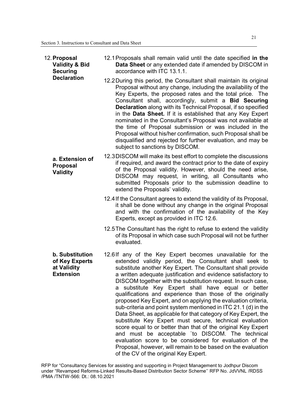| 12. Proposal<br><b>Validity &amp; Bid</b><br><b>Securing</b>         | 12.1 Proposals shall remain valid until the date specified in the<br>Data Sheet or any extended date if amended by DISCOM in<br>accordance with ITC 13.1.1.                                                                                                                                                                                                                                                                                                                                                                                                                                                                                                                                                                                                                                                                                                                                                                                                                                        |
|----------------------------------------------------------------------|----------------------------------------------------------------------------------------------------------------------------------------------------------------------------------------------------------------------------------------------------------------------------------------------------------------------------------------------------------------------------------------------------------------------------------------------------------------------------------------------------------------------------------------------------------------------------------------------------------------------------------------------------------------------------------------------------------------------------------------------------------------------------------------------------------------------------------------------------------------------------------------------------------------------------------------------------------------------------------------------------|
| <b>Declaration</b>                                                   | 12.2 During this period, the Consultant shall maintain its original<br>Proposal without any change, including the availability of the<br>Key Experts, the proposed rates and the total price. The<br>Consultant shall, accordingly, submit a <b>Bid Securing</b><br><b>Declaration</b> along with its Technical Proposal, if so specified<br>in the Data Sheet. If it is established that any Key Expert<br>nominated in the Consultant's Proposal was not available at<br>the time of Proposal submission or was included in the<br>Proposal without his/her confirmation, such Proposal shall be<br>disqualified and rejected for further evaluation, and may be<br>subject to sanctions by DISCOM.                                                                                                                                                                                                                                                                                              |
| a. Extension of<br><b>Proposal</b><br>Validity                       | 12.3 DISCOM will make its best effort to complete the discussions<br>if required, and award the contract prior to the date of expiry<br>of the Proposal validity. However, should the need arise,<br>DISCOM may request, in writing, all Consultants who<br>submitted Proposals prior to the submission deadline to<br>extend the Proposals' validity.                                                                                                                                                                                                                                                                                                                                                                                                                                                                                                                                                                                                                                             |
|                                                                      | 12.4 If the Consultant agrees to extend the validity of its Proposal,<br>it shall be done without any change in the original Proposal<br>and with the confirmation of the availability of the Key<br>Experts, except as provided in ITC 12.6.                                                                                                                                                                                                                                                                                                                                                                                                                                                                                                                                                                                                                                                                                                                                                      |
|                                                                      | 12.5 The Consultant has the right to refuse to extend the validity<br>of its Proposal in which case such Proposal will not be further<br>evaluated.                                                                                                                                                                                                                                                                                                                                                                                                                                                                                                                                                                                                                                                                                                                                                                                                                                                |
| b. Substitution<br>of Key Experts<br>at Validity<br><b>Extension</b> | 12.6If any of the Key Expert becomes unavailable for the<br>extended validity period, the Consultant shall seek to<br>substitute another Key Expert. The Consultant shall provide<br>a written adequate justification and evidence satisfactory to<br>DISCOM together with the substitution request. In such case,<br>substitute Key Expert shall have equal or better<br>а<br>qualifications and experience than those of the originally<br>proposed Key Expert, and on applying the evaluation criteria,<br>sub-criteria and point system mentioned in ITC 21.1 (d) in the<br>Data Sheet, as applicable for that category of Key Expert, the<br>substitute Key Expert must secure, technical evaluation<br>score equal to or better than that of the original Key Expert<br>and must be acceptable `to DISCOM. The technical<br>evaluation score to be considered for evaluation of the<br>Proposal, however, will remain to be based on the evaluation<br>of the CV of the original Key Expert. |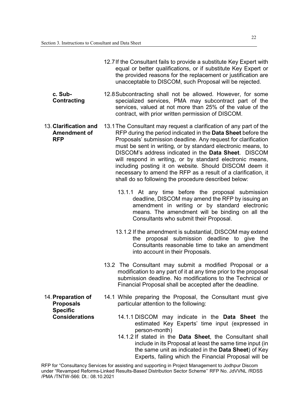|                                                            | 12.7 If the Consultant fails to provide a substitute Key Expert with<br>equal or better qualifications, or if substitute Key Expert or<br>the provided reasons for the replacement or justification are<br>unacceptable to DISCOM, such Proposal will be rejected.                                                                                                                                                                                                                                                                                                          |
|------------------------------------------------------------|-----------------------------------------------------------------------------------------------------------------------------------------------------------------------------------------------------------------------------------------------------------------------------------------------------------------------------------------------------------------------------------------------------------------------------------------------------------------------------------------------------------------------------------------------------------------------------|
| c. Sub-<br><b>Contracting</b>                              | 12.8 Subcontracting shall not be allowed. However, for some<br>specialized services, PMA may subcontract part of the<br>services, valued at not more than 25% of the value of the<br>contract, with prior written permission of DISCOM.                                                                                                                                                                                                                                                                                                                                     |
| 13. Clarification and<br><b>Amendment of</b><br><b>RFP</b> | 13.1 The Consultant may request a clarification of any part of the<br>RFP during the period indicated in the Data Sheet before the<br>Proposals' submission deadline. Any request for clarification<br>must be sent in writing, or by standard electronic means, to<br>DISCOM's address indicated in the Data Sheet. DISCOM<br>will respond in writing, or by standard electronic means,<br>including posting it on website. Should DISCOM deem it<br>necessary to amend the RFP as a result of a clarification, it<br>shall do so following the procedure described below: |
|                                                            | 13.1.1 At any time before the proposal submission<br>deadline, DISCOM may amend the RFP by issuing an<br>amendment in writing or by standard electronic<br>means. The amendment will be binding on all the<br>Consultants who submit their Proposal.                                                                                                                                                                                                                                                                                                                        |
|                                                            | 13.1.2 If the amendment is substantial, DISCOM may extend<br>the proposal submission deadline to give the<br>Consultants reasonable time to take an amendment<br>into account in their Proposals.                                                                                                                                                                                                                                                                                                                                                                           |
|                                                            | 13.2 The Consultant may submit a modified Proposal or a<br>modification to any part of it at any time prior to the proposal<br>submission deadline. No modifications to the Technical or<br>Financial Proposal shall be accepted after the deadline.                                                                                                                                                                                                                                                                                                                        |
| 14. Preparation of<br><b>Proposals</b><br><b>Specific</b>  | 14.1 While preparing the Proposal, the Consultant must give<br>particular attention to the following:                                                                                                                                                                                                                                                                                                                                                                                                                                                                       |
| <b>Considerations</b>                                      | 14.1.1 DISCOM may indicate in the <b>Data Sheet</b> the<br>estimated Key Experts' time input (expressed in<br>person-month)<br>14.1.2 If stated in the Data Sheet, the Consultant shall<br>include in its Proposal at least the same time input (in<br>the same unit as indicated in the Data Sheet) of Key                                                                                                                                                                                                                                                                 |

RFP for "Consultancy Services for assisting and supporting in Project Management to Jodhpur Discom under "Revamped Reforms-Linked Results-Based Distribution Sector Scheme'' RFP No. JdVVNL /RDSS /PMA /TNTW-566: Dt.: 08.10.2021

Experts, failing which the Financial Proposal will be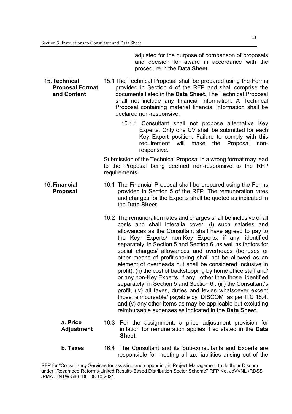adjusted for the purpose of comparison of proposals and decision for award in accordance with the procedure in the **Data Sheet**.

- 15. **Technical Proposal Format and Content**  15.1 The Technical Proposal shall be prepared using the Forms provided in Section 4 of the RFP and shall comprise the documents listed in the **Data Sheet.** The Technical Proposal shall not include any financial information. A Technical Proposal containing material financial information shall be declared non-responsive.
	- 15.1.1 Consultant shall not propose alternative Key Experts. Only one CV shall be submitted for each Key Expert position. Failure to comply with this requirement will make the Proposal nonresponsive.

Submission of the Technical Proposal in a wrong format may lead to the Proposal being deemed non-responsive to the RFP requirements.

- 16. **Financial Proposal**  16.1 The Financial Proposal shall be prepared using the Forms provided in Section 5 of the RFP. The remuneration rates and charges for the Experts shall be quoted as indicated in the **Data Sheet**.
	- 16.2 The remuneration rates and charges shall be inclusive of all costs and shall interalia cover: (i) such salaries and allowances as the Consultant shall have agreed to pay to the Key- Experts/ non-Key Experts, if any, identified separately in Section 5 and Section 6, as well as factors for social charges/ allowances and overheads (bonuses or other means of profit-sharing shall not be allowed as an element of overheads but shall be considered inclusive in profit), (ii) the cost of backstopping by home office staff and/ or any non-Key Experts, if any, other than those identified separately in Section 5 and Section 6 , (iii) the Consultant's profit, (iv) all taxes, duties and levies whatsoever except those reimbursable/ payable by DISCOM as per ITC 16.4, and (v) any other items as may be applicable but excluding reimbursable expenses as indicated in the **Data Sheet**.
	- **a. Price Adjustment**  16.3 For the assignment, a price adjustment provision for inflation for remuneration applies if so stated in the **Data Sheet**.
	- **b. Taxes** 16.4 The Consultant and its Sub-consultants and Experts are responsible for meeting all tax liabilities arising out of the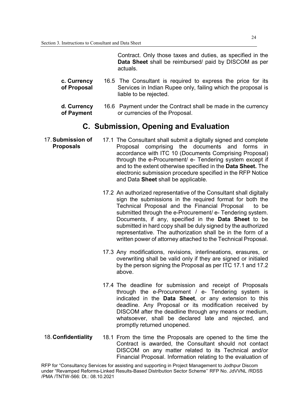Contract. Only those taxes and duties, as specified in the **Data Sheet** shall be reimbursed/ paid by DISCOM as per actuals.

- **c. Currency of Proposal**  16.5 The Consultant is required to express the price for its Services in Indian Rupee only, failing which the proposal is liable to be rejected.
- **d. Currency of Payment**  16.6 Payment under the Contract shall be made in the currency or currencies of the Proposal.

### **C. Submission, Opening and Evaluation**

- 17. **Submission of Proposals**  17.1 The Consultant shall submit a digitally signed and complete Proposal comprising the documents and forms in accordance with ITC 10 (Documents Comprising Proposal) through the e-Procurement/ e- Tendering system except if and to the extent otherwise specified in the **Data Sheet.** The electronic submission procedure specified in the RFP Notice and Data **Sheet** shall be applicable.
	- 17.2 An authorized representative of the Consultant shall digitally sign the submissions in the required format for both the Technical Proposal and the Financial Proposal to be submitted through the e-Procurement/ e- Tendering system. Documents, if any, specified in the **Data Sheet** to be submitted in hard copy shall be duly signed by the authorized representative. The authorization shall be in the form of a written power of attorney attached to the Technical Proposal.
	- 17.3 Any modifications, revisions, interlineations, erasures, or overwriting shall be valid only if they are signed or initialed by the person signing the Proposal as per ITC 17.1 and 17.2 above.
	- 17.4 The deadline for submission and receipt of Proposals through the e-Procurement / e- Tendering system is indicated in the **Data Sheet**, or any extension to this deadline. Any Proposal or its modification received by DISCOM after the deadline through any means or medium, whatsoever, shall be declared late and rejected, and promptly returned unopened.
- 
- 18. **Confidentiality** 18.1 From the time the Proposals are opened to the time the Contract is awarded, the Consultant should not contact DISCOM on any matter related to its Technical and/or Financial Proposal. Information relating to the evaluation of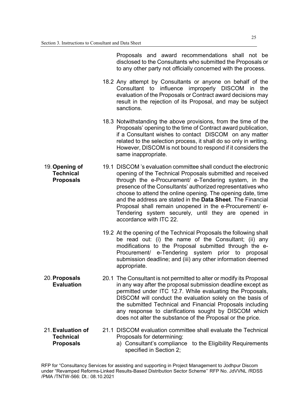Proposals and award recommendations shall not be disclosed to the Consultants who submitted the Proposals or to any other party not officially concerned with the process.

- 18.2 Any attempt by Consultants or anyone on behalf of the Consultant to influence improperly DISCOM in the evaluation of the Proposals or Contract award decisions may result in the rejection of its Proposal, and may be subject sanctions.
- 18.3 Notwithstanding the above provisions, from the time of the Proposals' opening to the time of Contract award publication, if a Consultant wishes to contact DISCOM on any matter related to the selection process, it shall do so only in writing. However, DISCOM is not bound to respond if it considers the same inappropriate.
- 19. **Opening of Technical Proposals**  19.1 DISCOM 's evaluation committee shall conduct the electronic opening of the Technical Proposals submitted and received through the e-Procurement/ e-Tendering system, in the presence of the Consultants' authorized representatives who choose to attend the online opening. The opening date, time and the address are stated in the **Data Sheet**. The Financial Proposal shall remain unopened in the e-Procurement/ e-Tendering system securely, until they are opened in accordance with ITC 22.
	- 19.2 At the opening of the Technical Proposals the following shall be read out: (i) the name of the Consultant; (ii) any modifications to the Proposal submitted through the e-Procurement/ e-Tendering system prior to proposal submission deadline; and (iii) any other information deemed appropriate.
	- 20.1 The Consultant is not permitted to alter or modify its Proposal in any way after the proposal submission deadline except as permitted under ITC 12.7. While evaluating the Proposals, DISCOM will conduct the evaluation solely on the basis of the submitted Technical and Financial Proposals including any response to clarifications sought by DISCOM which does not alter the substance of the Proposal or the price.
- 21. **Evaluation of Technical Proposals**

20. **Proposals Evaluation** 

- 21.1 DISCOM evaluation committee shall evaluate the Technical Proposals for determining:
	- a) Consultant's compliance to the Eligibility Requirements specified in Section 2;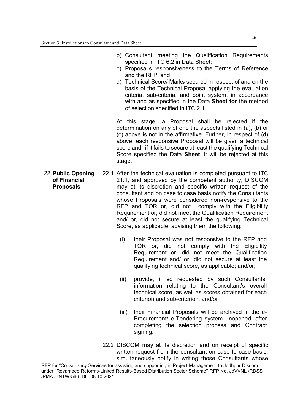- b) Consultant meeting the Qualification Requirements specified in ITC 6.2 in Data Sheet;
- c) Proposal's responsiveness to the Terms of Reference and the RFP; and
- d) Technical Score/ Marks secured in respect of and on the basis of the Technical Proposal applying the evaluation criteria, sub-criteria, and point system, in accordance with and as specified in the Data **Sheet for** the method of selection specified in ITC 2.1.

At this stage, a Proposal shall be rejected if the determination on any of one the aspects listed in (a), (b) or (c) above is not in the affirmative. Further, in respect of (d) above, each responsive Proposal will be given a technical score and if it fails to secure at least the qualifying Technical Score specified the Data **Sheet**, it will be rejected at this stage.

- 22. **Public Opening of Financial Proposals**  22.1 After the technical evaluation is completed pursuant to ITC 21.1, and approved by the competent authority, DISCOM may at its discretion and specific written request of the consultant and on case to case basis notify the Consultants whose Proposals were considered non-responsive to the RFP and TOR or, did not comply with the Eligibility Requirement or, did not meet the Qualification Requirement and/ or, did not secure at least the qualifying Technical Score, as applicable, advising them the following:
	- (i) their Proposal was not responsive to the RFP and TOR or, did not comply with the Eligibility Requirement or, did not meet the Qualification Requirement and/ or. did not secure at least the qualifying technical score, as applicable; and/or;
	- (ii) provide, if so requested by such Consultants, information relating to the Consultant's overall technical score, as well as scores obtained for each criterion and sub-criterion; and/or
	- (iii) their Financial Proposals will be archived in the e-Procurement/ e-Tendering system unopened, after completing the selection process and Contract signing.
	- 22.2 DISCOM may at its discretion and on receipt of specific written request from the consultant on case to case basis. simultaneously notify in writing those Consultants whose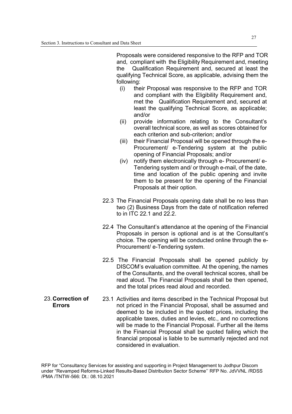Proposals were considered responsive to the RFP and TOR and, compliant with the Eligibility Requirement and, meeting the Qualification Requirement and, secured at least the qualifying Technical Score, as applicable, advising them the following:

- (i) their Proposal was responsive to the RFP and TOR and compliant with the Eligibility Requirement and, met the Qualification Requirement and, secured at least the qualifying Technical Score, as applicable; and/or
- (ii) provide information relating to the Consultant's overall technical score, as well as scores obtained for each criterion and sub-criterion; and/or
- (iii) their Financial Proposal will be opened through the e-Procurement/ e-Tendering system at the public opening of Financial Proposals; and/or
- (iv) notify them electronically through e- Procurement/ e-Tendering system and/ or through e-mail, of the date, time and location of the public opening and invite them to be present for the opening of the Financial Proposals at their option.
- 22.3 The Financial Proposals opening date shall be no less than two (2) Business Days from the date of notification referred to in ITC 22.1 and 22.2.
- 22.4 The Consultant's attendance at the opening of the Financial Proposals in person is optional and is at the Consultant's choice. The opening will be conducted online through the e-Procurement/ e-Tendering system.
- 22.5 The Financial Proposals shall be opened publicly by DISCOM's evaluation committee. At the opening, the names of the Consultants, and the overall technical scores, shall be read aloud. The Financial Proposals shall be then opened, and the total prices read aloud and recorded.
- 23. **Correction of Errors**  23.1 Activities and items described in the Technical Proposal but not priced in the Financial Proposal, shall be assumed and deemed to be included in the quoted prices, including the applicable taxes, duties and levies, etc., and no corrections will be made to the Financial Proposal. Further all the items in the Financial Proposal shall be quoted failing which the financial proposal is liable to be summarily rejected and not considered in evaluation.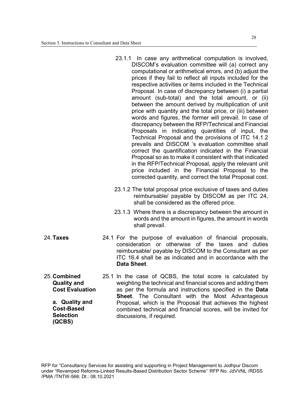25. **Combined Quality and Cost Evaluation**  25.1 In the case of QCBS, the total score is calculated by weighting the technical and financial scores and adding them as per the formula and instructions specified in the **Data Sheet**. The Consultant with the Most Advantageous Proposal, which is the Proposal that achieves the highest combined technical and financial scores, will be invited for discussions, if required. **a. Quality and Cost-Based Selection (QCBS)** 

**Data Sheet**.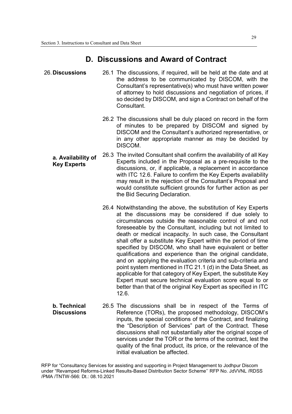### **D. Discussions and Award of Contract**

26. **Discussions** 26.1 The discussions, if required, will be held at the date and at the address to be communicated by DISCOM, with the Consultant's representative(s) who must have written power of attorney to hold discussions and negotiation of prices, if so decided by DISCOM, and sign a Contract on behalf of the **Consultant** 26.2 The discussions shall be duly placed on record in the form of minutes to be prepared by DISCOM and signed by DISCOM and the Consultant's authorized representative, or in any other appropriate manner as may be decided by DISCOM. **a. Availability of Key Experts**  26.3 The invited Consultant shall confirm the availability of all Key Experts included in the Proposal as a pre-requisite to the discussions, or, if applicable, a replacement in accordance with ITC 12.6. Failure to confirm the Key Experts availability may result in the rejection of the Consultant's Proposal and would constitute sufficient grounds for further action as per the Bid Securing Declaration. 26.4 Notwithstanding the above, the substitution of Key Experts at the discussions may be considered if due solely to circumstances outside the reasonable control of and not foreseeable by the Consultant, including but not limited to death or medical incapacity. In such case, the Consultant shall offer a substitute Key Expert within the period of time specified by DISCOM, who shall have equivalent or better qualifications and experience than the original candidate, and on applying the evaluation criteria and sub-criteria and point system mentioned in ITC 21.1 (d) in the Data Sheet, as applicable for that category of Key Expert, the substitute Key Expert must secure technical evaluation score equal to or better than that of the original Key Expert as specified in ITC 12.6. **b. Technical Discussions**  26.5 The discussions shall be in respect of the Terms of Reference (TORs), the proposed methodology, DISCOM's inputs, the special conditions of the Contract, and finalizing the "Description of Services" part of the Contract. These discussions shall not substantially alter the original scope of

RFP for "Consultancy Services for assisting and supporting in Project Management to Jodhpur Discom under "Revamped Reforms-Linked Results-Based Distribution Sector Scheme'' RFP No. JdVVNL /RDSS /PMA /TNTW-566: Dt.: 08.10.2021

initial evaluation be affected.

services under the TOR or the terms of the contract, lest the quality of the final product, its price, or the relevance of the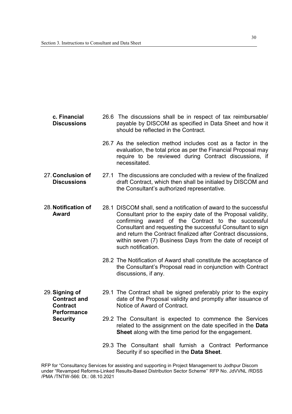| c. Financial       |
|--------------------|
| <b>Discussions</b> |

**Security** 

- 26.6 The discussions shall be in respect of tax reimbursable/ payable by DISCOM as specified in Data Sheet and how it should be reflected in the Contract.
- 26.7 As the selection method includes cost as a factor in the evaluation, the total price as per the Financial Proposal may require to be reviewed during Contract discussions, if necessitated.
- 27. **Conclusion of Discussions**  27.1 The discussions are concluded with a review of the finalized draft Contract, which then shall be initialed by DISCOM and the Consultant's authorized representative.
- 28. **Notification of Award**  28.1 DISCOM shall, send a notification of award to the successful Consultant prior to the expiry date of the Proposal validity, confirming award of the Contract to the successful Consultant and requesting the successful Consultant to sign and return the Contract finalized after Contract discussions, within seven (7) Business Days from the date of receipt of such notification.
	- 28.2 The Notification of Award shall constitute the acceptance of the Consultant's Proposal read in conjunction with Contract discussions, if any.
- 29. **Signing of Contract and Contract Performance**  29.1 The Contract shall be signed preferably prior to the expiry date of the Proposal validity and promptly after issuance of Notice of Award of Contract.
	- 29.2 The Consultant is expected to commence the Services related to the assignment on the date specified in the **Data Sheet** along with the time period for the engagement.
		- 29.3 The Consultant shall furnish a Contract Performance Security if so specified in the **Data Sheet**.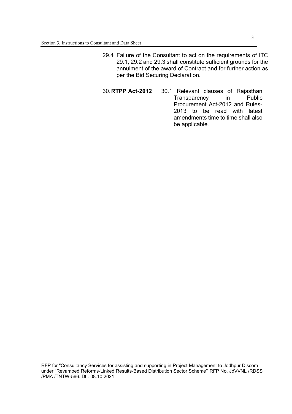- 29.4 Failure of the Consultant to act on the requirements of ITC 29.1, 29.2 and 29.3 shall constitute sufficient grounds for the annulment of the award of Contract and for further action as per the Bid Securing Declaration.
- 30. **RTPP Act-2012** 30.1 Relevant clauses of Rajasthan Transparency in Public Procurement Act-2012 and Rules-2013 to be read with latest amendments time to time shall also be applicable.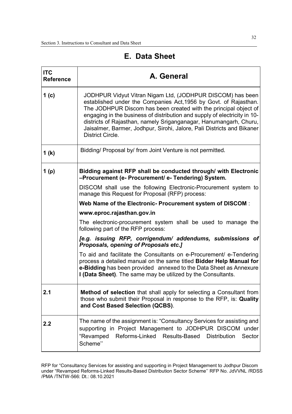| <b>ITC</b><br><b>Reference</b> | A. General                                                                                                                                                                                                                                                                                                                                                                                                                                                |  |  |  |  |
|--------------------------------|-----------------------------------------------------------------------------------------------------------------------------------------------------------------------------------------------------------------------------------------------------------------------------------------------------------------------------------------------------------------------------------------------------------------------------------------------------------|--|--|--|--|
| 1(c)                           | JODHPUR Vidyut Vitran Nigam Ltd, (JODHPUR DISCOM) has been<br>established under the Companies Act, 1956 by Govt. of Rajasthan.<br>The JODHPUR Discom has been created with the principal object of<br>engaging in the business of distribution and supply of electricity in 10-<br>districts of Rajasthan, namely Sriganganagar, Hanumangarh, Churu,<br>Jaisalmer, Barmer, Jodhpur, Sirohi, Jalore, Pali Districts and Bikaner<br><b>District Circle.</b> |  |  |  |  |
| 1(k)                           | Bidding/ Proposal by/ from Joint Venture is not permitted.                                                                                                                                                                                                                                                                                                                                                                                                |  |  |  |  |
| 1(p)                           | Bidding against RFP shall be conducted through/ with Electronic<br>-Procurement (e- Procurement/ e- Tendering) System.                                                                                                                                                                                                                                                                                                                                    |  |  |  |  |
|                                | DISCOM shall use the following Electronic-Procurement system to<br>manage this Request for Proposal (RFP) process:                                                                                                                                                                                                                                                                                                                                        |  |  |  |  |
|                                | Web Name of the Electronic- Procurement system of DISCOM:                                                                                                                                                                                                                                                                                                                                                                                                 |  |  |  |  |
|                                | www.eproc.rajasthan.gov.in                                                                                                                                                                                                                                                                                                                                                                                                                                |  |  |  |  |
|                                | The electronic-procurement system shall be used to manage the<br>following part of the RFP process:                                                                                                                                                                                                                                                                                                                                                       |  |  |  |  |
|                                | [e.g. issuing RFP, corrigendum/ addendums, submissions of<br>Proposals, opening of Proposals etc.]                                                                                                                                                                                                                                                                                                                                                        |  |  |  |  |
|                                | To aid and facilitate the Consultants on e-Procurement/ e-Tendering<br>process a detailed manual on the same titled Bidder Help Manual for<br>e-Bidding has been provided annexed to the Data Sheet as Annexure<br>I (Data Sheet). The same may be utilized by the Consultants.                                                                                                                                                                           |  |  |  |  |
| 2.1                            | <b>Method of selection</b> that shall apply for selecting a Consultant from<br>those who submit their Proposal in response to the RFP, is: Quality<br>and Cost Based Selection (QCBS).                                                                                                                                                                                                                                                                    |  |  |  |  |
| 2.2                            | The name of the assignment is: "Consultancy Services for assisting and<br>supporting in Project Management to JODHPUR DISCOM under<br>"Revamped<br>Reforms-Linked<br>Results-Based<br><b>Distribution</b><br>Sector<br>Scheme"                                                                                                                                                                                                                            |  |  |  |  |

### **E. Data Sheet**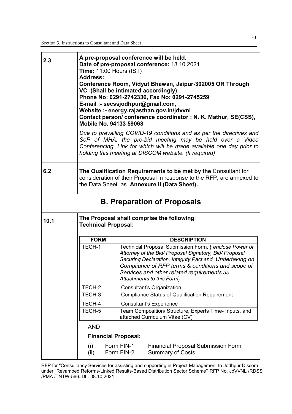| 2.3                                | <b>Time: 11:00 Hours (IST)</b><br><b>Address:</b><br><b>Mobile No. 94133 59068</b>                                                                                                      | A pre-proposal conference will be held.<br>Date of pre-proposal conference: 18.10.2021<br>Conference Room, Vidyut Bhawan, Jaipur-302005 OR Through<br>VC (Shall be intimated accordingly)<br>Phone No: 0291-2742336, Fax No: 0291-2745259<br>E-mail :- secssjodhpur@gmail.com,<br>Website :- energy.rajasthan.gov.in/jdvvnl<br>Contact person/conference coordinator: N. K. Mathur, SE(CSS), |  |  |
|------------------------------------|-----------------------------------------------------------------------------------------------------------------------------------------------------------------------------------------|----------------------------------------------------------------------------------------------------------------------------------------------------------------------------------------------------------------------------------------------------------------------------------------------------------------------------------------------------------------------------------------------|--|--|
|                                    |                                                                                                                                                                                         | Due to prevailing COVID-19 conditions and as per the directives and<br>SoP of MHA, the pre-bid meeting may be held over a Video<br>Conferencing, Link for which will be made available one day prior to<br>holding this meeting at DISCOM website. (If required)                                                                                                                             |  |  |
| 6.2                                | The Qualification Requirements to be met by the Consultant for<br>consideration of their Proposal in response to the RFP, are annexed to<br>the Data Sheet as Annexure II (Data Sheet). |                                                                                                                                                                                                                                                                                                                                                                                              |  |  |
| <b>B. Preparation of Proposals</b> |                                                                                                                                                                                         |                                                                                                                                                                                                                                                                                                                                                                                              |  |  |
| 10.1                               | The Proposal shall comprise the following:<br><b>Technical Proposal:</b>                                                                                                                |                                                                                                                                                                                                                                                                                                                                                                                              |  |  |
|                                    | <b>FORM</b>                                                                                                                                                                             | <b>DESCRIPTION</b>                                                                                                                                                                                                                                                                                                                                                                           |  |  |
|                                    | TECH-1                                                                                                                                                                                  | Technical Proposal Submission Form. { enclose Power of<br>Attorney of the Bid/ Proposal Signatory, Bid/ Proposal<br>Securing Declaration, Integrity Pact and Undertaking on<br>Compliance of RFP terms & conditions and scope of<br>Services and other related requirements as<br>Attachments to this Form}                                                                                  |  |  |
|                                    | TECH-2                                                                                                                                                                                  | Consultant's Organization                                                                                                                                                                                                                                                                                                                                                                    |  |  |
|                                    | TECH-3                                                                                                                                                                                  | <b>Compliance Status of Qualification Requirement</b>                                                                                                                                                                                                                                                                                                                                        |  |  |
|                                    | TECH-4                                                                                                                                                                                  | <b>Consultant's Experience</b>                                                                                                                                                                                                                                                                                                                                                               |  |  |
|                                    | TECH-5                                                                                                                                                                                  | Team Composition/ Structure, Experts Time- Inputs, and<br>attached Curriculum Vitae (CV)                                                                                                                                                                                                                                                                                                     |  |  |
|                                    | <b>AND</b>                                                                                                                                                                              |                                                                                                                                                                                                                                                                                                                                                                                              |  |  |
|                                    | <b>Financial Proposal:</b>                                                                                                                                                              |                                                                                                                                                                                                                                                                                                                                                                                              |  |  |
|                                    | (i)<br>(ii)                                                                                                                                                                             | Form FIN-1<br><b>Financial Proposal Submission Form</b><br>Form FIN-2<br><b>Summary of Costs</b>                                                                                                                                                                                                                                                                                             |  |  |

RFP for "Consultancy Services for assisting and supporting in Project Management to Jodhpur Discom under "Revamped Reforms-Linked Results-Based Distribution Sector Scheme'' RFP No. JdVVNL /RDSS /PMA /TNTW-566: Dt.: 08.10.2021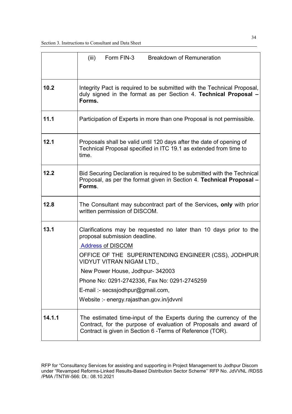|        | Form FIN-3<br>(iii)<br><b>Breakdown of Remuneration</b>                                                                                                                                               |  |  |  |  |
|--------|-------------------------------------------------------------------------------------------------------------------------------------------------------------------------------------------------------|--|--|--|--|
| 10.2   | Integrity Pact is required to be submitted with the Technical Proposal,<br>duly signed in the format as per Section 4. Technical Proposal -<br>Forms.                                                 |  |  |  |  |
| 11.1   | Participation of Experts in more than one Proposal is not permissible.                                                                                                                                |  |  |  |  |
| 12.1   | Proposals shall be valid until 120 days after the date of opening of<br>Technical Proposal specified in ITC 19.1 as extended from time to<br>time.                                                    |  |  |  |  |
| 12.2   | Bid Securing Declaration is required to be submitted with the Technical<br>Proposal, as per the format given in Section 4. Technical Proposal -<br>Forms.                                             |  |  |  |  |
| 12.8   | The Consultant may subcontract part of the Services, only with prior<br>written permission of DISCOM.                                                                                                 |  |  |  |  |
| 13.1   | Clarifications may be requested no later than 10 days prior to the<br>proposal submission deadline.<br><b>Address of DISCOM</b>                                                                       |  |  |  |  |
|        | OFFICE OF THE SUPERINTENDING ENGINEER (CSS), JODHPUR<br>VIDYUT VITRAN NIGAM LTD.,                                                                                                                     |  |  |  |  |
|        | New Power House, Jodhpur- 342003                                                                                                                                                                      |  |  |  |  |
|        | Phone No: 0291-2742336, Fax No: 0291-2745259                                                                                                                                                          |  |  |  |  |
|        | E-mail :- secssjodhpur@gmail.com,                                                                                                                                                                     |  |  |  |  |
|        | Website :- energy.rajasthan.gov.in/jdvvnl                                                                                                                                                             |  |  |  |  |
| 14.1.1 | The estimated time-input of the Experts during the currency of the<br>Contract, for the purpose of evaluation of Proposals and award of<br>Contract is given in Section 6 - Terms of Reference (TOR). |  |  |  |  |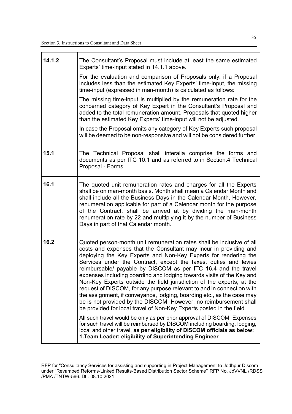| 14.1.2 | The Consultant's Proposal must include at least the same estimated<br>Experts' time-input stated in 14.1.1 above.                                                                                                                                                                                                                                                                                                                                                                                                                                                                                                                                                                                                                                                                                                                                                                |  |  |
|--------|----------------------------------------------------------------------------------------------------------------------------------------------------------------------------------------------------------------------------------------------------------------------------------------------------------------------------------------------------------------------------------------------------------------------------------------------------------------------------------------------------------------------------------------------------------------------------------------------------------------------------------------------------------------------------------------------------------------------------------------------------------------------------------------------------------------------------------------------------------------------------------|--|--|
|        | For the evaluation and comparison of Proposals only: if a Proposal<br>includes less than the estimated Key Experts' time-input, the missing<br>time-input (expressed in man-month) is calculated as follows:                                                                                                                                                                                                                                                                                                                                                                                                                                                                                                                                                                                                                                                                     |  |  |
|        | The missing time-input is multiplied by the remuneration rate for the<br>concerned category of Key Expert in the Consultant's Proposal and<br>added to the total remuneration amount. Proposals that quoted higher<br>than the estimated Key Experts' time-input will not be adjusted.                                                                                                                                                                                                                                                                                                                                                                                                                                                                                                                                                                                           |  |  |
|        | In case the Proposal omits any category of Key Experts such proposal<br>will be deemed to be non-responsive and will not be considered further.                                                                                                                                                                                                                                                                                                                                                                                                                                                                                                                                                                                                                                                                                                                                  |  |  |
| 15.1   | The Technical Proposal shall interalia comprise the forms and<br>documents as per ITC 10.1 and as referred to in Section.4 Technical<br>Proposal - Forms.                                                                                                                                                                                                                                                                                                                                                                                                                                                                                                                                                                                                                                                                                                                        |  |  |
| 16.1   | The quoted unit remuneration rates and charges for all the Experts<br>shall be on man-month basis. Month shall mean a Calendar Month and<br>shall include all the Business Days in the Calendar Month. However,<br>renumeration applicable for part of a Calendar month for the purpose<br>of the Contract, shall be arrived at by dividing the man-month<br>renumeration rate by 22 and multiplying it by the number of Business<br>Days in part of that Calendar month.                                                                                                                                                                                                                                                                                                                                                                                                        |  |  |
| 16.2   | Quoted person-month unit remuneration rates shall be inclusive of all<br>costs and expenses that the Consultant may incur in providing and<br>deploying the Key Experts and Non-Key Experts for rendering the<br>Services under the Contract, except the taxes, duties and levies<br>reimbursable/ payable by DISCOM as per ITC 16.4 and the travel<br>expenses including boarding and lodging towards visits of the Key and<br>Non-Key Experts outside the field jurisdiction of the experts, at the<br>request of DISCOM, for any purpose relevant to and in connection with<br>the assignment, if conveyance, lodging, boarding etc., as the case may<br>be is not provided by the DISCOM. However, no reimbursement shall<br>be provided for local travel of Non-Key Experts posted in the field.<br>All such travel would be only as per prior approval of DISCOM. Expenses |  |  |
|        | for such travel will be reimbursed by DISCOM including boarding, lodging,<br>local and other travel, as per eligibility of DISCOM officials as below:<br>1. Team Leader: eligibility of Superintending Engineer                                                                                                                                                                                                                                                                                                                                                                                                                                                                                                                                                                                                                                                                  |  |  |

RFP for "Consultancy Services for assisting and supporting in Project Management to Jodhpur Discom under "Revamped Reforms-Linked Results-Based Distribution Sector Scheme'' RFP No. JdVVNL /RDSS /PMA /TNTW-566: Dt.: 08.10.2021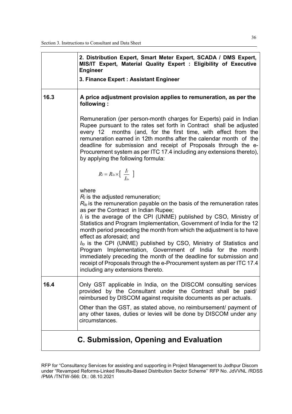|                                       | 2. Distribution Expert, Smart Meter Expert, SCADA / DMS Expert,<br>MIS/IT Expert, Material Quality Expert : Eligibility of Executive<br><b>Engineer</b><br>3. Finance Expert: Assistant Engineer                                                                                                                                                                                                                                                                                                                                                                                                                                                                                                                                                             |  |  |
|---------------------------------------|--------------------------------------------------------------------------------------------------------------------------------------------------------------------------------------------------------------------------------------------------------------------------------------------------------------------------------------------------------------------------------------------------------------------------------------------------------------------------------------------------------------------------------------------------------------------------------------------------------------------------------------------------------------------------------------------------------------------------------------------------------------|--|--|
| 16.3                                  | A price adjustment provision applies to remuneration, as per the<br>following:                                                                                                                                                                                                                                                                                                                                                                                                                                                                                                                                                                                                                                                                               |  |  |
|                                       | Remuneration (per person-month charges for Experts) paid in Indian<br>Rupee pursuant to the rates set forth in Contract shall be adjusted<br>every 12 months (and, for the first time, with effect from the<br>remuneration earned in 12th months after the calendar month of the<br>deadline for submission and receipt of Proposals through the e-<br>Procurement system as per ITC 17.4 including any extensions thereto),<br>by applying the following formula:                                                                                                                                                                                                                                                                                          |  |  |
|                                       | $R_l = R_{lo} \times \left[ \begin{array}{c} I_l \\ \overline{I_{lo}} \end{array} \right]$                                                                                                                                                                                                                                                                                                                                                                                                                                                                                                                                                                                                                                                                   |  |  |
|                                       | where<br>$R_i$ is the adjusted remuneration;<br>$R_{lo}$ is the remuneration payable on the basis of the remuneration rates<br>as per the Contract in Indian Rupee;<br>$I_i$ is the average of the CPI (UNME) published by CSO, Ministry of<br>Statistics and Program Implementation, Government of India for the 12<br>month period preceding the month from which the adjustment is to have<br>effect as aforesaid; and<br>I <sub>lo</sub> is the CPI (UNME) published by CSO, Ministry of Statistics and<br>Program Implementation, Government of India for the month<br>immediately preceding the month of the deadline for submission and<br>receipt of Proposals through the e-Procurement system as per ITC 17.4<br>including any extensions thereto. |  |  |
| 16.4                                  | Only GST applicable in India, on the DISCOM consulting services<br>provided by the Consultant under the Contract shall be paid/<br>reimbursed by DISCOM against requisite documents as per actuals.                                                                                                                                                                                                                                                                                                                                                                                                                                                                                                                                                          |  |  |
|                                       | Other than the GST, as stated above, no reimbursement/ payment of<br>any other taxes, duties or levies will be done by DISCOM under any<br>circumstances.                                                                                                                                                                                                                                                                                                                                                                                                                                                                                                                                                                                                    |  |  |
| C. Submission, Opening and Evaluation |                                                                                                                                                                                                                                                                                                                                                                                                                                                                                                                                                                                                                                                                                                                                                              |  |  |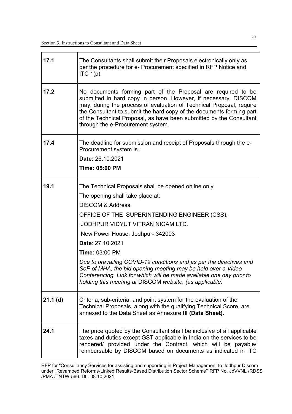| 17.1       | The Consultants shall submit their Proposals electronically only as<br>per the procedure for e- Procurement specified in RFP Notice and<br>ITC $1(p)$ .                                                                                                                                                                                                                                                                                                                                                                                                                 |
|------------|-------------------------------------------------------------------------------------------------------------------------------------------------------------------------------------------------------------------------------------------------------------------------------------------------------------------------------------------------------------------------------------------------------------------------------------------------------------------------------------------------------------------------------------------------------------------------|
| 17.2       | No documents forming part of the Proposal are required to be<br>submitted in hard copy in person. However, if necessary, DISCOM<br>may, during the process of evaluation of Technical Proposal, require<br>the Consultant to submit the hard copy of the documents forming part<br>of the Technical Proposal, as have been submitted by the Consultant<br>through the e-Procurement system.                                                                                                                                                                             |
| 17.4       | The deadline for submission and receipt of Proposals through the e-<br>Procurement system is :<br>Date: 26.10.2021<br>Time: 05:00 PM                                                                                                                                                                                                                                                                                                                                                                                                                                    |
| 19.1       | The Technical Proposals shall be opened online only<br>The opening shall take place at:<br><b>DISCOM &amp; Address.</b><br>OFFICE OF THE SUPERINTENDING ENGINEER (CSS),<br>JODHPUR VIDYUT VITRAN NIGAM LTD.,<br>New Power House, Jodhpur- 342003<br>Date: 27.10.2021<br><b>Time: 03:00 PM</b><br>Due to prevailing COVID-19 conditions and as per the directives and<br>SoP of MHA, the bid opening meeting may be held over a Video<br>Conferencing, Link for which will be made available one day prior to<br>holding this meeting at DISCOM website. (as applicable) |
| $21.1$ (d) | Criteria, sub-criteria, and point system for the evaluation of the<br>Technical Proposals, along with the qualifying Technical Score, are<br>annexed to the Data Sheet as Annexure III (Data Sheet).                                                                                                                                                                                                                                                                                                                                                                    |
| 24.1       | The price quoted by the Consultant shall be inclusive of all applicable<br>taxes and duties except GST applicable in India on the services to be<br>rendered/ provided under the Contract, which will be payable/<br>reimbursable by DISCOM based on documents as indicated in ITC                                                                                                                                                                                                                                                                                      |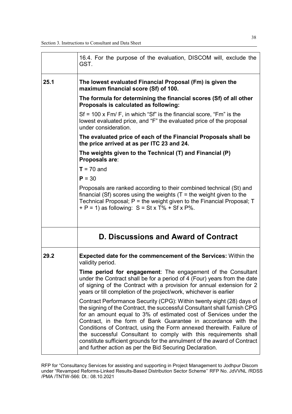|      | 16.4. For the purpose of the evaluation, DISCOM will, exclude the<br>GST.                                                                                                                                                                                                                                                                                                                                                                                                                                                                                                   |
|------|-----------------------------------------------------------------------------------------------------------------------------------------------------------------------------------------------------------------------------------------------------------------------------------------------------------------------------------------------------------------------------------------------------------------------------------------------------------------------------------------------------------------------------------------------------------------------------|
| 25.1 | The lowest evaluated Financial Proposal (Fm) is given the<br>maximum financial score (Sf) of 100.                                                                                                                                                                                                                                                                                                                                                                                                                                                                           |
|      | The formula for determining the financial scores (Sf) of all other<br>Proposals is calculated as following:                                                                                                                                                                                                                                                                                                                                                                                                                                                                 |
|      | $Sf = 100$ x Fm/ F, in which "Sf" is the financial score, "Fm" is the<br>lowest evaluated price, and "F" the evaluated price of the proposal<br>under consideration.                                                                                                                                                                                                                                                                                                                                                                                                        |
|      | The evaluated price of each of the Financial Proposals shall be<br>the price arrived at as per ITC 23 and 24.                                                                                                                                                                                                                                                                                                                                                                                                                                                               |
|      | The weights given to the Technical (T) and Financial (P)<br>Proposals are:                                                                                                                                                                                                                                                                                                                                                                                                                                                                                                  |
|      | $T = 70$ and                                                                                                                                                                                                                                                                                                                                                                                                                                                                                                                                                                |
|      | $P = 30$                                                                                                                                                                                                                                                                                                                                                                                                                                                                                                                                                                    |
|      | Proposals are ranked according to their combined technical (St) and<br>financial (Sf) scores using the weights ( $T =$ the weight given to the<br>Technical Proposal; $P =$ the weight given to the Financial Proposal; $T$<br>$+ P = 1$ ) as following: $S = St x T\% + Sf x P\%.$                                                                                                                                                                                                                                                                                         |
|      | D. Discussions and Award of Contract                                                                                                                                                                                                                                                                                                                                                                                                                                                                                                                                        |
| 29.2 | <b>Expected date for the commencement of the Services:</b> Within the<br>validity period.                                                                                                                                                                                                                                                                                                                                                                                                                                                                                   |
|      | Time period for engagement: The engagement of the Consultant<br>under the Contract shall be for a period of 4 (Four) years from the date<br>of signing of the Contract with a provision for annual extension for 2<br>years or till completion of the project/work, whichever is earlier                                                                                                                                                                                                                                                                                    |
|      | Contract Performance Security (CPG): Within twenty eight (28) days of<br>the signing of the Contract, the successful Consultant shall furnish CPG<br>for an amount equal to 3% of estimated cost of Services under the<br>Contract, in the form of Bank Guarantee in accordance with the<br>Conditions of Contract, using the Form annexed therewith. Failure of<br>the successful Consultant to comply with this requirements shall<br>constitute sufficient grounds for the annulment of the award of Contract<br>and further action as per the Bid Securing Declaration. |

RFP for "Consultancy Services for assisting and supporting in Project Management to Jodhpur Discom under "Revamped Reforms-Linked Results-Based Distribution Sector Scheme'' RFP No. JdVVNL /RDSS /PMA /TNTW-566: Dt.: 08.10.2021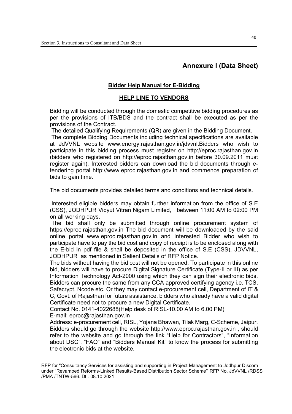## **Annexure I (Data Sheet)**

#### **Bidder Help Manual for E-Bidding**

#### **HELP LINE TO VENDORS**

Bidding will be conducted through the domestic competitive bidding procedures as per the provisions of ITB/BDS and the contract shall be executed as per the provisions of the Contract.

The detailed Qualifying Requirements (QR) are given in the Bidding Document.

 The complete Bidding Documents including technical specifications are available at JdVVNL website www.energy.rajasthan.gov.in/jdvvnl.Bidders who wish to participate in this bidding process must register on http://eproc.rajasthan.gov.in (bidders who registered on http://eproc.rajasthan.gov.in before 30.09.2011 must register again). Interested bidders can download the bid documents through etendering portal http://www.eproc.rajasthan.gov.in and commence preparation of bids to gain time.

The bid documents provides detailed terms and conditions and technical details.

 Interested eligible bidders may obtain further information from the office of S.E (CSS), JODHPUR Vidyut Vitran Nigam Limited, between 11:00 AM to 02:00 PM on all working days.

 The bid shall only be submitted through online procurement system of https://eproc.rajasthan.gov.in The bid document will be downloaded by the said online portal www.eproc.rajasthan.gov.in and Interested Bidder who wish to participate have to pay the bid cost and copy of receipt is to be enclosed along with the E-bid in pdf file & shall be deposited in the office of S.E (CSS), JDVVNL, JODHPUR as mentioned in Salient Details of RFP Notice.

The bids without having the bid cost will not be opened. To participate in this online bid, bidders will have to procure Digital Signature Certificate (Type-II or III) as per Information Technology Act-2000 using which they can sign their electronic bids. Bidders can procure the same from any CCA approved certifying agency i.e. TCS, Safecrypt, Ncode etc. Or they may contact e-procurement cell, Department of IT & C, Govt. of Rajasthan for future assistance, bidders who already have a valid digital Certificate need not to procure a new Digital Certificate.

Contact No. 0141-4022688(Help desk of RISL-10.00 AM to 6.00 PM)

E-mail: eproc@rajasthan.gov.in

Address: e-procurement cell, RISL, Yojana Bhawan, Tilak Marg, C-Scheme, Jaipur. Bidders should go through the website http://www.eproc.rajasthan.gov.in , should refer to the website and go through the link "Help for Contractors", "Information about DSC", "FAQ" and "Bidders Manual Kit" to know the process for submitting the electronic bids at the website.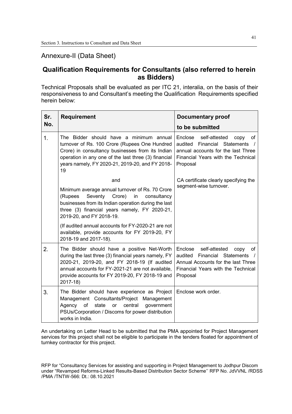## Annexure-II (Data Sheet)

# **Qualification Requirements for Consultants (also referred to herein as Bidders)**

Technical Proposals shall be evaluated as per ITC 21, interalia, on the basis of their responsiveness to and Consultant's meeting the Qualification Requirements specified herein below:

| Sr.            | <b>Requirement</b>                                                                                                                                                                                                                                                         | <b>Documentary proof</b>                                                                                                                                              |  |
|----------------|----------------------------------------------------------------------------------------------------------------------------------------------------------------------------------------------------------------------------------------------------------------------------|-----------------------------------------------------------------------------------------------------------------------------------------------------------------------|--|
| No.            |                                                                                                                                                                                                                                                                            | to be submitted                                                                                                                                                       |  |
| $\mathbf{1}$ . | The Bidder should have a minimum annual<br>turnover of Rs. 100 Crore (Rupees One Hundred<br>Crore) in consultancy businesses from its Indian<br>operation in any one of the last three (3) financial<br>years namely, FY 2020-21, 2019-20, and FY 2018-<br>19              | Enclose self-attested<br>copy<br>оf<br>audited<br><b>Financial Statements</b><br>annual accounts for the last Three<br>Financial Years with the Technical<br>Proposal |  |
|                | and                                                                                                                                                                                                                                                                        | CA certificate clearly specifying the                                                                                                                                 |  |
|                | Minimum average annual turnover of Rs. 70 Crore<br>Seventy<br>Crore)<br>(Rupees<br>consultancy<br>in<br>businesses from its Indian operation during the last<br>three (3) financial years namely, FY 2020-21,<br>2019-20, and FY 2018-19.                                  | segment-wise turnover.                                                                                                                                                |  |
|                | (If audited annual accounts for FY-2020-21 are not<br>available, provide accounts for FY 2019-20, FY<br>2018-19 and 2017-18).                                                                                                                                              |                                                                                                                                                                       |  |
| 2.             | The Bidder should have a positive Net-Worth<br>during the last three (3) financial years namely, FY<br>2020-21, 2019-20, and FY 2018-19 (If audited<br>annual accounts for FY-2021-21 are not available,<br>provide accounts for FY 2019-20, FY 2018-19 and<br>$2017 - 18$ | Enclose<br>self-attested<br>of<br>copy<br>Financial Statements<br>audited<br>Annual Accounts for the last Three<br>Financial Years with the Technical<br>Proposal     |  |
| 3.             | The Bidder should have experience as Project<br>Management Consultants/Project Management<br>central<br>Agency<br>of<br>state<br>government<br>or<br>PSUs/Corporation / Discoms for power distribution<br>works in India.                                                  | Enclose work order.                                                                                                                                                   |  |

An undertaking on Letter Head to be submitted that the PMA appointed for Project Management services for this project shall not be eligible to participate in the tenders floated for appointment of turnkey contractor for this project.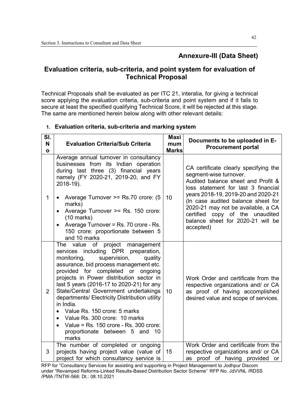# **Annexure-III (Data Sheet)**

# **Evaluation criteria, sub-criteria, and point system for evaluation of Technical Proposal**

Technical Proposals shall be evaluated as per ITC 21, interalia, for giving a technical score applying the evaluation criteria, sub-criteria and point system and if it fails to secure at least the specified qualifying Technical Score, it will be rejected at this stage. The same are mentioned herein below along with other relevant details:

| SI.<br>N<br>$\mathbf{o}$ | <b>Evaluation Criteria/Sub Criteria</b>                                                                                                                                                                                                                                                                                                                                                                                                                                                                                                                                               | <b>Maxi</b><br>mum<br><b>Marks</b> | Documents to be uploaded in E-<br><b>Procurement portal</b>                                                                                                                                                                                                                                                                                            |
|--------------------------|---------------------------------------------------------------------------------------------------------------------------------------------------------------------------------------------------------------------------------------------------------------------------------------------------------------------------------------------------------------------------------------------------------------------------------------------------------------------------------------------------------------------------------------------------------------------------------------|------------------------------------|--------------------------------------------------------------------------------------------------------------------------------------------------------------------------------------------------------------------------------------------------------------------------------------------------------------------------------------------------------|
| $\mathbf{1}$             | Average annual turnover in consultancy<br>businesses from its Indian operation<br>during last three (3) financial years<br>namely (FY 2020-21, 2019-20, and FY<br>2018-19).<br>Average Turnover >= Rs.70 crore: (5<br>$\bullet$<br>marks)<br>Average Turnover >= Rs. 150 crore:<br>$\bullet$<br>$(10 \text{ marks})$<br>Average Turnover = Rs. 70 crore - Rs.<br>$\bullet$<br>150 crore: proportionate between 5<br>and 10 marks                                                                                                                                                      | 10                                 | CA certificate clearly specifying the<br>segment-wise turnover.<br>Audited balance sheet and Profit &<br>loss statement for last 3 financial<br>years 2018-19, 2019-20 and 2020-21<br>(In case audited balance sheet for<br>2020-21 may not be available, a CA<br>certified<br>copy of the unaudited<br>balance sheet for 2020-21 will be<br>accepted) |
| $\overline{2}$           | of project management<br>The value<br>services including DPR preparation,<br>monitoring,<br>supervision,<br>quality<br>assurance, bid process management etc.<br>provided for completed or ongoing<br>projects in Power distribution sector in<br>last 5 years (2016-17 to 2020-21) for any<br>State/Central Government undertakings<br>departments/ Electricity Distribution utility<br>in India.<br>Value Rs. 150 crore: 5 marks<br>Value Rs. 300 crore: 10 marks<br>$\bullet$<br>Value = Rs. 150 crore - Rs. 300 crore:<br>$\bullet$<br>10<br>proportionate between 5 and<br>marks | 10                                 | Work Order and certificate from the<br>respective organizations and/ or CA<br>as proof of having accomplished<br>desired value and scope of services.                                                                                                                                                                                                  |
| 3                        | The number of completed or ongoing<br>projects having project value (value of<br>project for which consultancy service is                                                                                                                                                                                                                                                                                                                                                                                                                                                             | 15                                 | Work Order and certificate from the<br>respective organizations and/ or CA<br>as proof of having provided or                                                                                                                                                                                                                                           |

## **1. Evaluation criteria, sub-criteria and marking system**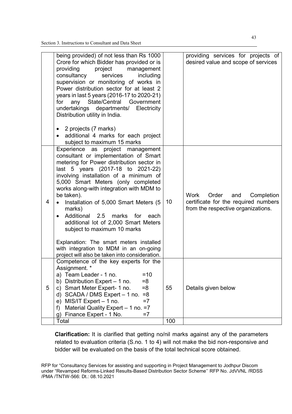|   | being provided) of not less than Rs 1000<br>Crore for which Bidder has provided or is<br>providing<br>project<br>management<br>consultancy<br>services<br>including<br>supervision or monitoring of works in<br>Power distribution sector for at least 2<br>years in last 5 years (2016-17 to 2020-21)<br>any State/Central Government<br>for<br>undertakings departments/ Electricity<br>Distribution utility in India.                                                                                                                                                                                            |     | providing services for projects of<br>desired value and scope of services                                        |
|---|---------------------------------------------------------------------------------------------------------------------------------------------------------------------------------------------------------------------------------------------------------------------------------------------------------------------------------------------------------------------------------------------------------------------------------------------------------------------------------------------------------------------------------------------------------------------------------------------------------------------|-----|------------------------------------------------------------------------------------------------------------------|
|   | 2 projects (7 marks)<br>additional 4 marks for each project<br>subject to maximum 15 marks                                                                                                                                                                                                                                                                                                                                                                                                                                                                                                                          |     |                                                                                                                  |
| 4 | Experience as project management<br>consultant or implementation of Smart<br>metering for Power distribution sector in<br>last 5 years (2017-18 to 2021-22)<br>involving installation of a minimum of<br>5,000 Smart Meters (only completed<br>works along-with integration with MDM to<br>be taken).<br>Installation of 5,000 Smart Meters (5<br>marks)<br>Additional<br>2.5<br>marks<br>for<br>each<br>additional lot of 2,000 Smart Meters<br>subject to maximum 10 marks<br>Explanation: The smart meters installed<br>with integration to MDM in an on-going<br>project will also be taken into consideration. | 10  | Work<br>Order<br>and<br>Completion<br>certificate for the required numbers<br>from the respective organizations. |
| 5 | Competence of the key experts for the<br>Assignment. *<br>$=10$<br>Team Leader - 1 no.<br>a)<br>Distribution Expert - 1 no.<br>$= 8$<br>b)<br>c) Smart Meter Expert- 1 no.<br>$= 8$<br>SCADA / DMS Expert - 1 no.<br>$= 8$<br>d)<br>MIS/IT Expert - 1 no.<br>$=7$<br>e)<br>Material Quality Expert - 1 no. = 7<br>f)<br>Finance Expert - 1 No.<br>$=7$<br>g)                                                                                                                                                                                                                                                        | 55  | Details given below                                                                                              |
|   | Total                                                                                                                                                                                                                                                                                                                                                                                                                                                                                                                                                                                                               | 100 |                                                                                                                  |

**Clarification:** It is clarified that getting no/nil marks against any of the parameters related to evaluation criteria (S.no. 1 to 4) will not make the bid non-responsive and bidder will be evaluated on the basis of the total technical score obtained.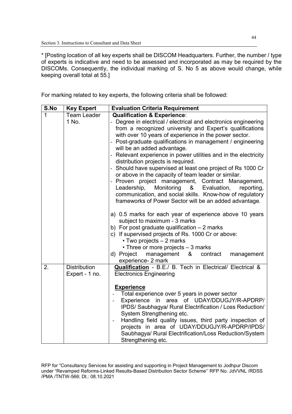\* [Posting location of all key experts shall be DISCOM Headquarters. Further, the number / type of experts is indicative and need to be assessed and incorporated as may be required by the DISCOMs. Consequently, the individual marking of S. No 5 as above would change, while keeping overall total at 55.]

For marking related to key experts, the following criteria shall be followed:

| S.No | <b>Key Expert</b>   | <b>Evaluation Criteria Requirement</b>                                                  |
|------|---------------------|-----------------------------------------------------------------------------------------|
| 1    | <b>Team Leader</b>  | <b>Qualification &amp; Experience:</b>                                                  |
|      | 1 No.               | - Degree in electrical / electrical and electronics engineering                         |
|      |                     | from a recognized university and Expert's qualifications                                |
|      |                     | with over 10 years of experience in the power sector.                                   |
|      |                     | - Post-graduate qualifications in management / engineering                              |
|      |                     | will be an added advantage.                                                             |
|      |                     | - Relevant experience in power utilities and in the electricity                         |
|      |                     | distribution projects is required.                                                      |
|      |                     | - Should have supervised at least one project of Rs 1000 Cr                             |
|      |                     | or above in the capacity of team leader or similar.                                     |
|      |                     | - Proven project management, Contract Management,                                       |
|      |                     | Monitoring<br>Leadership,<br>& Evaluation,<br>reporting,                                |
|      |                     | communication, and social skills. Know-how of regulatory                                |
|      |                     | frameworks of Power Sector will be an added advantage.                                  |
|      |                     |                                                                                         |
|      |                     | a) 0.5 marks for each year of experience above 10 years<br>subject to maximum - 3 marks |
|      |                     | b) For post graduate qualification $-2$ marks                                           |
|      |                     | c) If supervised projects of Rs. 1000 Cr or above:                                      |
|      |                     | • Two projects - 2 marks                                                                |
|      |                     | • Three or more projects – 3 marks                                                      |
|      |                     | d) Project management<br>&<br>contract<br>management                                    |
|      |                     | experience- 2 mark                                                                      |
| 2.   | <b>Distribution</b> | Qualification - B.E./ B. Tech in Electrical/ Electrical &                               |
|      | Expert - 1 no.      | <b>Electronics Engineering</b>                                                          |
|      |                     |                                                                                         |
|      |                     | <b>Experience</b>                                                                       |
|      |                     | Total experience over 5 years in power sector                                           |
|      |                     | in area of UDAY/DDUGJY/R-APDRP/<br>Experience                                           |
|      |                     | IPDS/ Saubhagya/ Rural Electrification / Loss Reduction/                                |
|      |                     | System Strengthening etc.                                                               |
|      |                     | Handling field quality issues, third party inspection of                                |
|      |                     | projects in area of UDAY/DDUGJY/R-APDRP/IPDS/                                           |
|      |                     | Saubhagya/ Rural Electrification/Loss Reduction/System                                  |
|      |                     | Strengthening etc.                                                                      |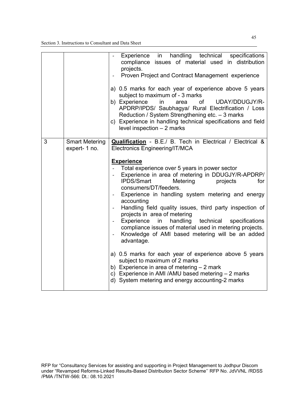|   |                                        | handling technical<br>specifications<br>Experience<br>in<br>compliance issues of material used in distribution<br>projects.<br>Proven Project and Contract Management experience<br>a) 0.5 marks for each year of experience above 5 years<br>subject to maximum of - 3 marks<br>b) Experience<br>$\mathsf{in}$<br>of<br>UDAY/DDUGJY/R-<br>area<br>APDRP/IPDS/ Saubhagya/ Rural Electrification / Loss<br>Reduction / System Strengthening etc. - 3 marks<br>c) Experience in handling technical specifications and field<br>level inspection $-2$ marks                                                                                                                                                                                                                                                                                                                                                                                         |
|---|----------------------------------------|--------------------------------------------------------------------------------------------------------------------------------------------------------------------------------------------------------------------------------------------------------------------------------------------------------------------------------------------------------------------------------------------------------------------------------------------------------------------------------------------------------------------------------------------------------------------------------------------------------------------------------------------------------------------------------------------------------------------------------------------------------------------------------------------------------------------------------------------------------------------------------------------------------------------------------------------------|
| 3 | <b>Smart Metering</b><br>expert- 1 no. | Qualification - B.E./ B. Tech in Electrical / Electrical &<br>Electronics Engineering/IT/MCA<br><b>Experience</b><br>Total experience over 5 years in power sector<br>Experience in area of metering in DDUGJY/R-APDRP/<br><b>IPDS/Smart</b><br>Metering<br>projects<br>for<br>consumers/DT/feeders.<br>Experience in handling system metering and energy<br>accounting<br>Handling field quality issues, third party inspection of<br>projects in area of metering<br>Experience<br>in<br>handling<br>technical<br>specifications<br>$\overline{\phantom{a}}$<br>compliance issues of material used in metering projects.<br>Knowledge of AMI based metering will be an added<br>advantage.<br>a) 0.5 marks for each year of experience above 5 years<br>subject to maximum of 2 marks<br>b) Experience in area of metering $-2$ mark<br>c) Experience in AMI /AMU based metering - 2 marks<br>d) System metering and energy accounting-2 marks |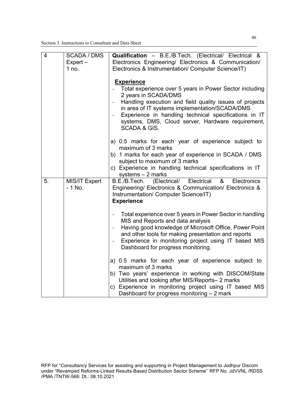| $\overline{4}$ | <b>SCADA / DMS</b><br>$Expert -$<br>1 no. | Qualification - B.E./B.Tech. (Electrical/ Electrical &<br>Electronics Engineering/ Electronics & Communication/<br>Electronics & Instrumentation/ Computer Science/IT)                                                                                                                                                                                                                                  |
|----------------|-------------------------------------------|---------------------------------------------------------------------------------------------------------------------------------------------------------------------------------------------------------------------------------------------------------------------------------------------------------------------------------------------------------------------------------------------------------|
|                |                                           | <b>Experience</b><br>Total experience over 5 years in Power Sector including<br>2 years in SCADA/DMS<br>Handling execution and field quality issues of projects<br>$\overline{\phantom{a}}$<br>in area of IT systems implementation/SCADA/DMS<br>Experience in handling technical specifications in IT<br>$\overline{\phantom{a}}$<br>systems, DMS, Cloud server, Hardware requirement,<br>SCADA & GIS. |
|                |                                           | a) 0.5 marks for each year of experience subject to<br>maximum of 3 marks<br>b) 1 marks for each year of experience in SCADA / DMS<br>subject to maximum of 3 marks<br>c) Experience in handling technical specifications in IT<br>systems $-2$ marks                                                                                                                                                   |
| 5.             | <b>MIS/IT Expert</b><br>$-1$ No.          | B.E./B.Tech. (Electrical/ Electrical<br>&<br>Electronics<br>Engineering/ Electronics & Communication/ Electronics &<br>Instrumentation/ Computer Science/IT)<br><b>Experience</b>                                                                                                                                                                                                                       |
|                |                                           | Total experience over 5 years in Power Sector in handling<br>MIS and Reports and data analysis<br>Having good knowledge of Microsoft Office, Power Point<br>and other tools for making presentation and reports<br>Experience in monitoring project using IT based MIS<br>Dashboard for progress monitoring.                                                                                            |
|                |                                           | a) 0.5 marks for each year of experience subject to<br>maximum of 3 marks<br>b) Two years' experience in working with DISCOM/State<br>Utilities and looking after MIS/Reports-2 marks<br>c) Experience in monitoring project using IT based MIS<br>Dashboard for progress monitoring - 2 mark                                                                                                           |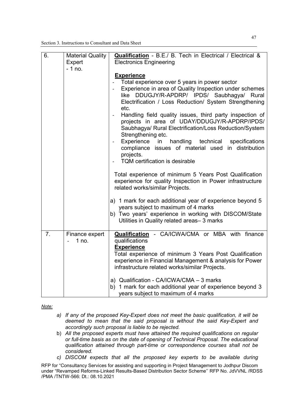| 6.             | <b>Material Quality</b><br>Expert | Qualification - B.E./ B. Tech in Electrical / Electrical &<br><b>Electronics Engineering</b>                                                                                                                                                                                                                                                                                                                                                                                                                                                                                                                                                                                                                                                                                                                                                                        |
|----------------|-----------------------------------|---------------------------------------------------------------------------------------------------------------------------------------------------------------------------------------------------------------------------------------------------------------------------------------------------------------------------------------------------------------------------------------------------------------------------------------------------------------------------------------------------------------------------------------------------------------------------------------------------------------------------------------------------------------------------------------------------------------------------------------------------------------------------------------------------------------------------------------------------------------------|
|                | $-1$ no.                          | <b>Experience</b><br>Total experience over 5 years in power sector<br>Experience in area of Quality Inspection under schemes<br>$\overline{\phantom{a}}$<br>like DDUGJY/R-APDRP/ IPDS/ Saubhagya/ Rural<br>Electrification / Loss Reduction/ System Strengthening<br>etc.<br>Handling field quality issues, third party inspection of<br>$\overline{\phantom{a}}$<br>projects in area of UDAY/DDUGJY/R-APDRP/IPDS/<br>Saubhagya/ Rural Electrification/Loss Reduction/System<br>Strengthening etc.<br>handling<br>Experience<br>in<br>technical<br>specifications<br>$\overline{\phantom{a}}$<br>compliance issues of material used in distribution<br>projects.<br><b>TQM</b> certification is desirable<br>Total experience of minimum 5 Years Post Qualification<br>experience for quality Inspection in Power infrastructure<br>related works/similar Projects. |
|                |                                   | a) 1 mark for each additional year of experience beyond 5<br>years subject to maximum of 4 marks<br>b) Two years' experience in working with DISCOM/State<br>Utilities in Quality related areas-3 marks                                                                                                                                                                                                                                                                                                                                                                                                                                                                                                                                                                                                                                                             |
| 7 <sub>1</sub> | Finance expert<br>1 no.           | <b>Qualification</b> - CA/ICWA/CMA or MBA with finance<br>qualifications<br><b>Experience</b><br>Total experience of minimum 3 Years Post Qualification<br>experience in Financial Management & analysis for Power<br>infrastructure related works/similar Projects.                                                                                                                                                                                                                                                                                                                                                                                                                                                                                                                                                                                                |
|                |                                   | a) Qualification - CA/ICWA/CMA - 3 marks<br>b) 1 mark for each additional year of experience beyond 3<br>years subject to maximum of 4 marks                                                                                                                                                                                                                                                                                                                                                                                                                                                                                                                                                                                                                                                                                                                        |

*Note:* 

- *a) If any of the proposed Key-Expert does not meet the basic qualification, it will be deemed to mean that the said proposal is without the said Key-Expert and accordingly such proposal is liable to be rejected.*
- b) *All the proposed experts must have attained the required qualifications on regular or full-time basis as on the date of opening of Technical Proposal. The educational qualification attained through part-time or correspondence courses shall not be considered.*
- *c) DISCOM expects that all the proposed key experts to be available during*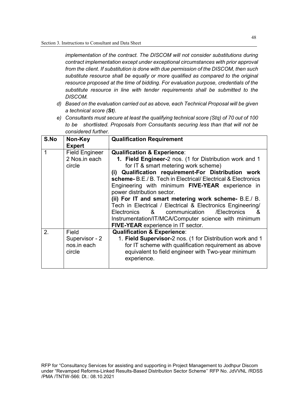*implementation of the contract. The DISCOM will not consider substitutions during contract implementation except under exceptional circumstances with prior approval from the client. If substitution is done with due permission of the DISCOM, then such substitute resource shall be equally or more qualified as compared to the original resource proposed at the time of bidding. For evaluation purpose, credentials of the substitute resource in line with tender requirements shall be submitted to the DISCOM.* 

- *d) Based on the evaluation carried out as above, each Technical Proposal will be given a technical score (St).*
- *e) Consultants must secure at least the qualifying technical score (Stq) of 70 out of 100 to be shortlisted. Proposals from Consultants securing less than that will not be considered further.*

| S.No | Non-Key                                          | <b>Qualification Requirement</b>                                                                                                                                                                                                                                                                                          |
|------|--------------------------------------------------|---------------------------------------------------------------------------------------------------------------------------------------------------------------------------------------------------------------------------------------------------------------------------------------------------------------------------|
|      | <b>Expert</b>                                    |                                                                                                                                                                                                                                                                                                                           |
| 1    | <b>Field Engineer</b>                            | <b>Qualification &amp; Experience:</b>                                                                                                                                                                                                                                                                                    |
|      | 2 Nos.in each                                    | 1. Field Engineer-2 nos. (1 for Distribution work and 1                                                                                                                                                                                                                                                                   |
|      | circle                                           | for IT & smart metering work scheme)                                                                                                                                                                                                                                                                                      |
|      |                                                  | (i) Qualification requirement-For Distribution work<br>scheme-B.E./B. Tech in Electrical/Electrical & Electronics<br>Engineering with minimum FIVE-YEAR experience in<br>power distribution sector.<br>(ii) For IT and smart metering work scheme- B.E./ B.<br>Tech in Electrical / Electrical & Electronics Engineering/ |
|      |                                                  | Electronics & communication<br>/Electronics<br>&<br>Instrumentation/IT/MCA/Computer science with minimum<br>FIVE-YEAR experience in IT sector.                                                                                                                                                                            |
| 2.   | Field<br>Supervisor - 2<br>nos.in each<br>circle | <b>Qualification &amp; Experience:</b><br>1. Field Supervisor-2 nos. (1 for Distribution work and 1<br>for IT scheme with qualification requirement as above<br>equivalent to field engineer with Two-year minimum<br>experience.                                                                                         |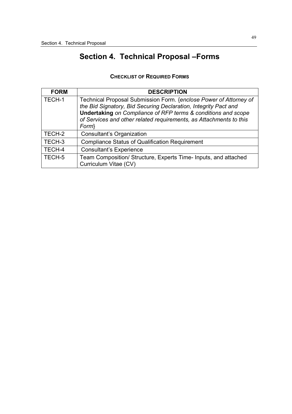# **Section 4. Technical Proposal –Forms**

|  | <b>CHECKLIST OF REQUIRED FORMS</b> |  |
|--|------------------------------------|--|
|--|------------------------------------|--|

| <b>FORM</b> | <b>DESCRIPTION</b>                                                                                                                                                                                                                                                                             |
|-------------|------------------------------------------------------------------------------------------------------------------------------------------------------------------------------------------------------------------------------------------------------------------------------------------------|
| TECH-1      | Technical Proposal Submission Form. {enclose Power of Attorney of<br>the Bid Signatory, Bid Securing Declaration, Integrity Pact and<br><b>Undertaking on Compliance of RFP terms &amp; conditions and scope</b><br>of Services and other related requirements, as Attachments to this<br>Form |
| TECH-2      | Consultant's Organization                                                                                                                                                                                                                                                                      |
| TECH-3      | <b>Compliance Status of Qualification Requirement</b>                                                                                                                                                                                                                                          |
| TECH-4      | <b>Consultant's Experience</b>                                                                                                                                                                                                                                                                 |
| TECH-5      | Team Composition/ Structure, Experts Time- Inputs, and attached<br>Curriculum Vitae (CV)                                                                                                                                                                                                       |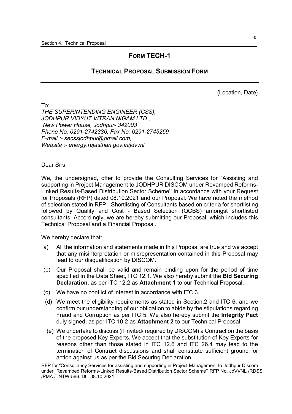## **FORM TECH-1**

## **TECHNICAL PROPOSAL SUBMISSION FORM**

{Location, Date}

 $\overline{\mathrm{To}}$ *THE SUPERINTENDING ENGINEER (CSS), JODHPUR VIDYUT VITRAN NIGAM LTD., New Power House, Jodhpur- 342003 Phone No: 0291-2742336, Fax No: 0291-2745259 E-mail :- secssjodhpur@gmail.com, Website :- energy.rajasthan.gov.in/jdvvnl* 

Dear Sirs:

We, the undersigned, offer to provide the Consulting Services for "Assisting and supporting in Project Management to JODHPUR DISCOM under Revamped Reforms-Linked Results-Based Distribution Sector Scheme'' in accordance with your Request for Proposals (RFP) dated 08.10.2021 and our Proposal. We have noted the method of selection stated in RFP:Shortlisting of Consultants based on criteria for shortlisting followed by Quality and Cost - Based Selection (QCBS) amongst shortlisted consultants. Accordingly, we are hereby submitting our Proposal, which includes this Technical Proposal and a Financial Proposal.

We hereby declare that:

- a) All the information and statements made in this Proposal are true and we accept that any misinterpretation or misrepresentation contained in this Proposal may lead to our disqualification by DISCOM.
- (b) Our Proposal shall be valid and remain binding upon for the period of time specified in the Data Sheet, ITC 12.1. We also hereby submit the **Bid Securing Declaration**, as per ITC 12.2 as **Attachment 1** to our Technical Proposal.
- (c) We have no conflict of interest in accordance with ITC 3.
- (d) We meet the eligibility requirements as stated in Section.2 and ITC 6, and we confirm our understanding of our obligation to abide by the stipulations regarding Fraud and Corruption as per ITC 5*.* We also hereby submit the **Integrity Pact**  duly signed, as per ITC 10.2 as **Attachment 2** to our Technical Proposal.
- (e) We undertake to discuss (if invited/ required by DISCOM) a Contract on the basis of the proposed Key Experts. We accept that the substitution of Key Experts for reasons other than those stated in ITC 12.6 and ITC 26.4 may lead to the termination of Contract discussions and shall constitute sufficient ground for action against us as per the Bid Securing Declaration.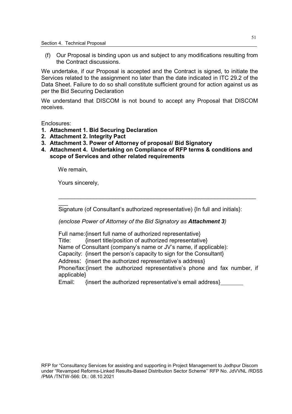(f) Our Proposal is binding upon us and subject to any modifications resulting from the Contract discussions.

We undertake, if our Proposal is accepted and the Contract is signed, to initiate the Services related to the assignment no later than the date indicated in ITC 29.2 of the Data Sheet. Failure to do so shall constitute sufficient ground for action against us as per the Bid Securing Declaration

We understand that DISCOM is not bound to accept any Proposal that DISCOM receives.

Enclosures:

- **1. Attachment 1. Bid Securing Declaration**
- **2. Attachment 2. Integrity Pact**
- **3. Attachment 3. Power of Attorney of proposal/ Bid Signatory**
- **4. Attachment 4. Undertaking on Compliance of RFP terms & conditions and scope of Services and other related requirements**

We remain,

 $\overline{\phantom{a}}$ 

Yours sincerely,

Signature (of Consultant's authorized representative) {In full and initials}:

\_\_\_\_\_\_\_\_\_\_\_\_\_\_\_\_\_\_\_\_\_\_\_\_\_\_\_\_\_\_\_\_\_\_\_\_\_\_\_\_\_\_\_\_\_\_\_\_\_\_\_\_\_\_\_\_\_\_\_\_\_\_

*(enclose Power of Attorney of the Bid Signatory as Attachment 3)* 

Full name: {insert full name of authorized representative} Title: {insert title/position of authorized representative} Name of Consultant (company's name or JV's name, if applicable): Capacity: {insert the person's capacity to sign for the Consultant} Address: {insert the authorized representative's address} Phone/fax:{insert the authorized representative's phone and fax number, if applicable}

Email: {insert the authorized representative's email address}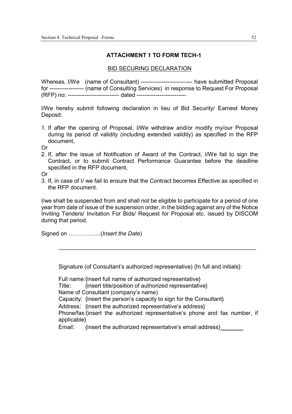## **ATTACHMENT 1 TO FORM TECH-1**

#### BID SECURING DECLARATION

Whereas, I/We (name of Consultant) ------------------------------- have submitted Proposal for ------------------ (name of Consulting Services) in response to Request For Proposal (RFP) no: --------------------------- dated --------------------------

I/We hereby submit following declaration in lieu of Bid Security/ Earnest Money Deposit:

1. If after the opening of Proposal, I/We withdraw and/or modify my/our Proposal during its period of validity (including extended validity) as specified in the RFP document,

Or

2. If, after the issue of Notification of Award of the Contract, I/We fail to sign the Contract, or to submit Contract Performance Guarantee before the deadline specified in the RFP document,

Or

3. If, in case of I/ we fail to ensure that the Contract becomes Effective as specified in the RFP document.

I/we shall be suspended from and shall not be eligible to participate for a period of one year from date of issue of the suspension order, in the bidding against any of the Notice Inviting Tenders/ Invitation For Bids/ Request for Proposal etc. issued by DISCOM during that period.

Signed on ……………..(*Insert the Date*)

Signature (of Consultant's authorized representative) {In full and initials}:

\_\_\_\_\_\_\_\_\_\_\_\_\_\_\_\_\_\_\_\_\_\_\_\_\_\_\_\_\_\_\_\_\_\_\_\_\_\_\_\_\_\_\_\_\_\_\_\_\_\_\_\_\_\_\_\_\_\_\_\_\_\_

Full name: {insert full name of authorized representative} Title: {insert title/position of authorized representative} Name of Consultant (company's name) Capacity: {insert the person's capacity to sign for the Consultant} Address: {insert the authorized representative's address} Phone/fax:{insert the authorized representative's phone and fax number, if applicable} Email: {insert the authorized representative's email address}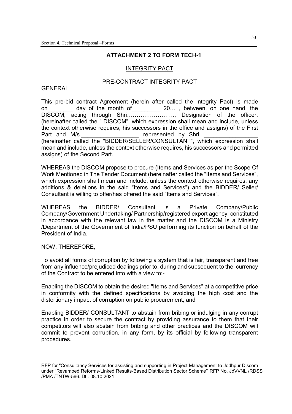#### **ATTACHMENT 2 TO FORM TECH-1**

#### INTEGRITY PACT

#### PRE-CONTRACT INTEGRITY PACT

#### **GENERAL**

This pre-bid contract Agreement (herein after called the Integrity Pact) is made on\_\_\_\_\_\_\_\_ day of the month of\_\_\_\_\_\_\_\_\_ 20..., between, on one hand, the DISCOM, acting through Shri……………………., Designation of the officer, (hereinafter called the " DISCOM", which expression shall mean and include, unless the context otherwise requires, his successors in the office and assigns) of the First Part and M/s. \_\_\_\_\_\_\_\_\_\_\_\_\_\_\_\_\_\_\_\_\_\_\_ represented by Shri \_\_\_\_\_\_\_\_\_\_\_\_\_\_\_\_\_\_\_\_\_\_ (hereinafter called the "BIDDER/SELLER/CONSULTANT", which expression shall mean and include, unless the context otherwise requires, his successors and permitted assigns) of the Second Part.

WHEREAS the DISCOM propose to procure (Items and Services as per the Scope Of Work Mentioned in The Tender Document (hereinafter called the "Items and Services", which expression shall mean and include, unless the context otherwise requires, any additions & deletions in the said "Items and Services") and the BIDDER/ Seller/ Consultant is willing to offer/has offered the said "Items and Services".

WHEREAS the BIDDER/ Consultant is a Private Company/Public Company/Government Undertaking/ Partnership/registered export agency, constituted in accordance with the relevant law in the matter and the DISCOM is a Ministry /Department of the Government of India/PSU performing its function on behalf of the President of India.

NOW, THEREFORE,

To avoid all forms of corruption by following a system that is fair, transparent and free from any influence/prejudiced dealings prior to, during and subsequent to the currency of the Contract to be entered into with a view to:-

Enabling the DISCOM to obtain the desired "Items and Services" at a competitive price in conformity with the defined specifications by avoiding the high cost and the distortionary impact of corruption on public procurement, and

Enabling BIDDER/ CONSULTANT to abstain from bribing or indulging in any corrupt practice in order to secure the contract by providing assurance to them that their competitors will also abstain from bribing and other practices and the DISCOM will commit to prevent corruption, in any form, by its official by following transparent procedures.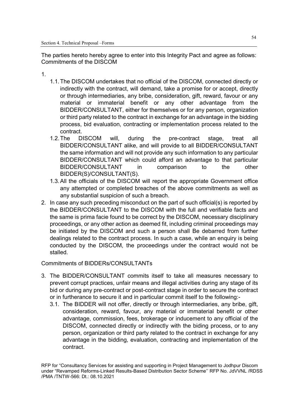The parties hereto hereby agree to enter into this Integrity Pact and agree as follows: Commitments of the DISCOM

- 1.
- 1.1. The DISCOM undertakes that no official of the DISCOM, connected directly or indirectly with the contract, will demand, take a promise for or accept, directly or through intermediaries, any bribe, consideration, gift, reward, favour or any material or immaterial benefit or any other advantage from the BIDDER/CONSULTANT, either for themselves or for any person, organization or third party related to the contract in exchange for an advantage in the bidding process, bid evaluation, contracting or implementation process related to the contract.
- 1.2. The DISCOM will, during the pre-contract stage, treat all BIDDER/CONSULTANT alike, and will provide to all BIDDER/CONSULTANT the same information and will not provide any such information to any particular BIDDER/CONSULTANT which could afford an advantage to that particular BIDDER/CONSULTANT in comparison to the other BIDDER(S)/CONSULTANT(S).
- 1.3. All the officials of the DISCOM will report the appropriate Government office any attempted or completed breaches of the above commitments as well as any substantial suspicion of such a breach.
- 2. In case any such preceding misconduct on the part of such official(s) is reported by the BIDDER/CONSULTANT to the DISCOM with the full and verifiable facts and the same is prima facie found to be correct by the DISCOM, necessary disciplinary proceedings, or any other action as deemed fit, including criminal proceedings may be initiated by the DISCOM and such a person shall Be debarred from further dealings related to the contract process. In such a case, while an enquiry is being conducted by the DISCOM, the proceedings under the contract would not be stalled.

Commitments of BIDDERs/CONSULTANTs

- 3. The BIDDER/CONSULTANT commits itself to take all measures necessary to prevent corrupt practices, unfair means and illegal activities during any stage of its bid or during any pre-contract or post-contract stage in order to secure the contract or in furtherance to secure it and in particular commit itself to the following:-
	- 3.1. The BIDDER will not offer, directly or through intermediaries, any bribe, gift, consideration, reward, favour, any material or immaterial benefit or other advantage, commission, fees, brokerage or inducement to any official of the DISCOM, connected directly or indirectly with the biding process, or to any person, organization or third party related to the contract in exchange for any advantage in the bidding, evaluation, contracting and implementation of the contract.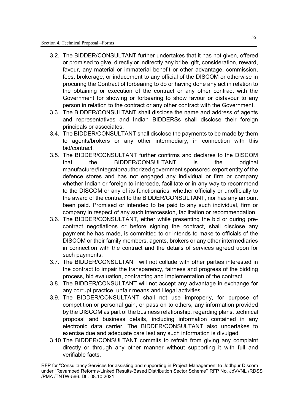- 3.2. The BIDDER/CONSULTANT further undertakes that it has not given, offered or promised to give, directly or indirectly any bribe, gift, consideration, reward, favour, any material or immaterial benefit or other advantage, commission, fees, brokerage, or inducement to any official of the DISCOM or otherwise in procuring the Contract of forbearing to do or having done any act in relation to the obtaining or execution of the contract or any other contract with the Government for showing or forbearing to show favour or disfavour to any person in relation to the contract or any other contract with the Government.
- 3.3. The BIDDER/CONSULTANT shall disclose the name and address of agents and representatives and Indian BIDDERSs shall disclose their foreign principals or associates.
- 3.4. The BIDDER/CONSULTANT shall disclose the payments to be made by them to agents/brokers or any other intermediary, in connection with this bid/contract.
- 3.5. The BIDDER/CONSULTANT further confirms and declares to the DISCOM that the BIDDER/CONSULTANT is the original manufacturer/Integrator/authorized government sponsored export entity of the defence stores and has not engaged any individual or firm or company whether Indian or foreign to intercede, facilitate or in any way to recommend to the DISCOM or any of its functionaries, whether officially or unofficially to the award of the contract to the BIDDER/CONSULTANT, nor has any amount been paid. Promised or intended to be paid to any such individual, firm or company in respect of any such intercession, facilitation or recommendation.
- 3.6. The BIDDER/CONSULTANT, either while presenting the bid or during precontract negotiations or before signing the contract, shall disclose any payment he has made, is committed to or intends to make to officials of the DISCOM or their family members, agents, brokers or any other intermediaries in connection with the contract and the details of services agreed upon for such payments.
- 3.7. The BIDDER/CONSULTANT will not collude with other parties interested in the contract to impair the transparency, fairness and progress of the bidding process, bid evaluation, contracting and implementation of the contract.
- 3.8. The BIDDER/CONSULTANT will not accept any advantage in exchange for any corrupt practice, unfair means and illegal activities.
- 3.9. The BIDDER/CONSULTANT shall not use improperly, for purpose of competition or personal gain, or pass on to others, any information provided by the DISCOM as part of the business relationship, regarding plans, technical proposal and business details, including information contained in any electronic data carrier. The BIDDER/CONSULTANT also undertakes to exercise due and adequate care lest any such information is divulged.
- 3.10. The BIDDER/CONSULTANT commits to refrain from giving any complaint directly or through any other manner without supporting it with full and verifiable facts.

RFP for "Consultancy Services for assisting and supporting in Project Management to Jodhpur Discom under "Revamped Reforms-Linked Results-Based Distribution Sector Scheme'' RFP No. JdVVNL /RDSS /PMA /TNTW-566: Dt.: 08.10.2021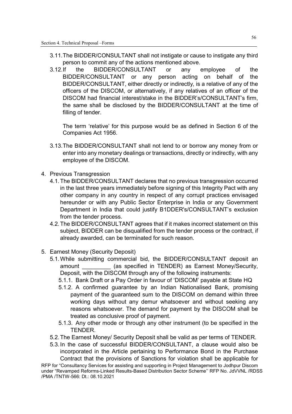- 3.11. The BIDDER/CONSULTANT shall not instigate or cause to instigate any third person to commit any of the actions mentioned above.
- 3.12. If the BIDDER/CONSULTANT or any employee of the BIDDER/CONSULTANT or any person acting on behalf of the BIDDER/CONSULTANT, either directly or indirectly, is a relative of any of the officers of the DISCOM, or alternatively, if any relatives of an officer of the DISCOM had financial interest/stake in the BIDDER's/CONSULTANT's firm, the same shall be disclosed by the BIDDER/CONSULTANT at the time of filling of tender.

The term 'relative' for this purpose would be as defined in Section 6 of the Companies Act 1956.

- 3.13. The BIDDER/CONSULTANT shall not lend to or borrow any money from or enter into any monetary dealings or transactions, directly or indirectly, with any employee of the DISCOM.
- 4. Previous Transgression
	- 4.1. The BIDDER/CONSULTANT declares that no previous transgression occurred in the last three years immediately before signing of this Integrity Pact with any other company in any country in respect of any corrupt practices envisaged hereunder or with any Public Sector Enterprise in India or any Government Department in India that could justify B1DDER's/CONSULTANT's exclusion from the tender process.
	- 4.2. The BIDDER/CONSULTANT agrees that if it makes incorrect statement on this subject, BIDDER can be disqualified from the tender process or the contract, if already awarded, can be terminated for such reason.
- 5. Earnest Money (Security Deposit)
	- 5.1. While submitting commercial bid, the BIDDER/CONSULTANT deposit an amount (as specified in TENDER) as Earnest Money/Security, Deposit, with the DISCOM through any of the following instruments:
		- 5.1.1. Bank Draft or a Pay Order in favour of 'DISCOM' payable at State HQ
		- 5.1.2. A confirmed guarantee by an Indian Nationalised Bank, promising payment of the guaranteed sum to the DISCOM on demand within three working days without any demur whatsoever and without seeking any reasons whatsoever. The demand for payment by the DISCOM shall be treated as conclusive proof of payment.
		- 5.1.3. Any other mode or through any other instrument (to be specified in the **TENDER**
	- 5.2. The Earnest Money/ Security Deposit shall be valid as per terms of TENDER.
	- 5.3. In the case of successful BIDDER/CONSULTANT, a clause would also be incorporated in the Article pertaining to Performance Bond in the Purchase Contract that the provisions of Sanctions for violation shall be applicable for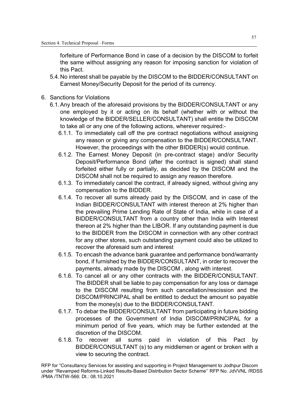forfeiture of Performance Bond in case of a decision by the DISCOM to forfeit the same without assigning any reason for imposing sanction for violation of this Pact.

- 5.4. No interest shall be payable by the DISCOM to the BIDDER/CONSULTANT on Earnest Money/Security Deposit for the period of its currency.
- 6. Sanctions for Violations
	- 6.1. Any breach of the aforesaid provisions by the BIDDER/CONSULTANT or any one employed by it or acting on its behalf (whether with or without the knowledge of the BIDDER/SELLER/CONSULTANT) shall entitle the DISCOM to take all or any one of the following actions, wherever required:-
		- 6.1.1. To immediately call off the pre contract negotiations without assigning any reason or giving any compensation to the BIDDER/CONSULTANT. However, the proceedings with the other BIDDER(s) would continue.
		- 6.1.2. The Earnest Money Deposit (in pre-contract stage) and/or Security Deposit/Performance Bond (after the contract is signed) shall stand forfeited either fully or partially, as decided by the DISCOM and the DISCOM shall not be required to assign any reason therefore.
		- 6.1.3. To immediately cancel the contract, if already signed, without giving any compensation to the BIDDER.
		- 6.1.4. To recover all sums already paid by the DISCOM, and in case of the Indian BIDDER/CONSULTANT with interest thereon at 2% higher than the prevailing Prime Lending Rate of State of India, while in case of a BIDDER/CONSULTANT from a country other than India with Interest thereon at 2% higher than the LIBOR. If any outstanding payment is due to the BIDDER from the DISCOM in connection with any other contract for any other stores, such outstanding payment could also be utilized to recover the aforesaid sum and interest
		- 6.1.5. To encash the advance bank guarantee and performance bond/warranty bond, if furnished by the BIDDER/CONSULTANT, in order to recover the payments, already made by the DISCOM , along with interest.
		- 6.1.6. To cancel all or any other contracts with the BIDDER/CONSULTANT. The BIDDER shall be liable to pay compensation for any loss or damage to the DISCOM resulting from such cancellation/rescission and the DISCOM/PRINCIPAL shall be entitled to deduct the amount so payable from the money(s) due to the BIDDER/CONSULTANT.
		- 6.1.7. To debar the BIDDER/CONSULTANT from participating in future bidding processes of the Government of India DISCOM/PRINCIPAL for a minimum period of five years, which may be further extended at the discretion of the DISCOM.
		- 6.1.8. To recover all sums paid in violation of this Pact by BIDDER/CONSULTANT (s) to any middlemen or agent or broken with a view to securing the contract.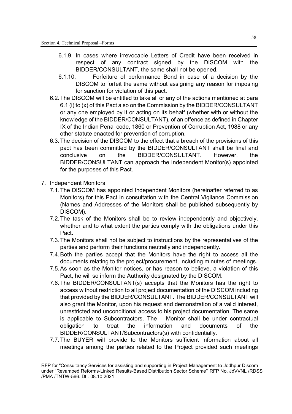- 6.1.9. In cases where irrevocable Letters of Credit have been received in respect of any contract signed by the DISCOM with the BIDDER/CONSULTANT, the same shall not be opened.
- 6.1.10. Forfeiture of performance Bond in case of a decision by the DISCOM to forfeit the same without assigning any reason for imposing for sanction for violation of this pact.
- 6.2. The DISCOM will be entitled to take all or any of the actions mentioned at para 6.1 (i) to (x) of this Pact also on the Commission by the BIDDER/CONSULTANT or any one employed by it or acting on its behalf (whether with or without the knowledge of the BIDDER/CONSULTANT), of an offence as defined in Chapter IX of the Indian Penal code, 1860 or Prevention of Corruption Act, 1988 or any other statute enacted for prevention of corruption.
- 6.3. The decision of the DISCOM to the effect that a breach of the provisions of this pact has been committed by the BIDDER/CONSULTANT shall be final and conclusive on the BIDDER/CONSULTANT. However, the BIDDER/CONSULTANT can approach the Independent Monitor(s) appointed for the purposes of this Pact.
- 7. Independent Monitors
	- 7.1. The DISCOM has appointed Independent Monitors (hereinafter referred to as Monitors) for this Pact in consultation with the Central Vigilance Commission (Names and Addresses of the Monitors shall be published subsequently by DISCOM).
	- 7.2. The task of the Monitors shall be to review independently and objectively, whether and to what extent the parties comply with the obligations under this Pact.
	- 7.3. The Monitors shall not be subject to instructions by the representatives of the parties and perform their functions neutrally and independently.
	- 7.4. Both the parties accept that the Monitors have the right to access all the documents relating to the project/procurement, including minutes of meetings.
	- 7.5. As soon as the Monitor notices, or has reason to believe, a violation of this Pact, he will so inform the Authority designated by the DISCOM.
	- 7.6. The BIDDER/CONSULTANT(s) accepts that the Monitors has the right to access without restriction to all project documentation of the DISCOM including that provided by the BIDDER/CONSULTANT. The BIDDER/CONSULTANT will also grant the Monitor, upon his request and demonstration of a valid interest, unrestricted and unconditional access to his project documentation. The same is applicable to Subcontractors. The Monitor shall be under contractual obligation to treat the information and documents of the BIDDER/CONSULTANT/Subcontractors(s) with confidentially.
	- 7.7. The BUYER will provide to the Monitors sufficient information about all meetings among the parties related to the Project provided such meetings

RFP for "Consultancy Services for assisting and supporting in Project Management to Jodhpur Discom under "Revamped Reforms-Linked Results-Based Distribution Sector Scheme'' RFP No. JdVVNL /RDSS /PMA /TNTW-566: Dt.: 08.10.2021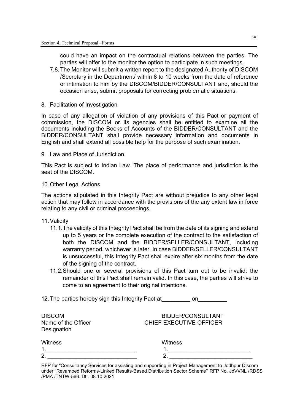could have an impact on the contractual relations between the parties. The parties will offer to the monitor the option to participate in such meetings.

- 7.8. The Monitor will submit a written report to the designated Authority of DISCOM /Secretary in the Department/ within 8 to 10 weeks from the date of reference or intimation to him by the DISCOM/BIDDER/CONSULTANT and, should the occasion arise, submit proposals for correcting problematic situations.
- 8. Facilitation of Investigation

In case of any allegation of violation of any provisions of this Pact or payment of commission, the DISCOM or its agencies shall be entitled to examine all the documents including the Books of Accounts of the BIDDER/CONSULTANT and the BIDDER/CONSULTANT shall provide necessary information and documents in English and shall extend all possible help for the purpose of such examination.

9. Law and Place of Jurisdiction

This Pact is subject to Indian Law. The place of performance and jurisdiction is the seat of the DISCOM.

10. Other Legal Actions

The actions stipulated in this Integrity Pact are without prejudice to any other legal action that may follow in accordance with the provisions of the any extent law in force relating to any civil or criminal proceedings.

- 11. Validity
	- 11.1. The validity of this Integrity Pact shall be from the date of its signing and extend up to 5 years or the complete execution of the contract to the satisfaction of both the DISCOM and the BIDDER/SELLER/CONSULTANT, including warranty period, whichever is later. In case BIDDER/SELLER/CONSULTANT is unsuccessful, this Integrity Pact shall expire after six months from the date of the signing of the contract.
	- 11.2. Should one or several provisions of this Pact turn out to be invalid; the remainder of this Pact shall remain valid. In this case, the parties will strive to come to an agreement to their original intentions.

12. The parties hereby sign this Integrity Pact at The parties hereby sign this Integrity Pact at

| <b>DISCOM</b>       | <b>BIDDER/CONSULTANT</b> |
|---------------------|--------------------------|
| Name of the Officer | CHIEF EXECUTIVE OFFICER  |
| Designation         |                          |
| <b>Witness</b>      | Witness                  |
| $\mathbf 1$         |                          |
| $\overline{2}$      |                          |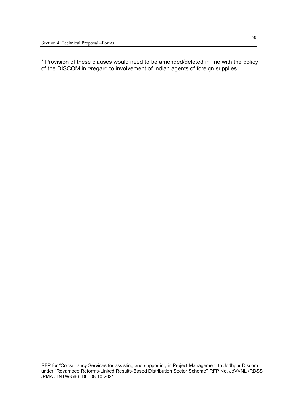\* Provision of these clauses would need to be amended/deleted in line with the policy of the DISCOM in ¬regard to involvement of Indian agents of foreign supplies.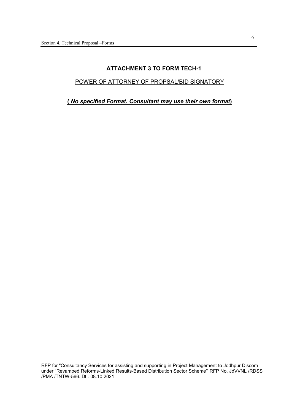## **ATTACHMENT 3 TO FORM TECH-1**

#### POWER OF ATTORNEY OF PROPSAL/BID SIGNATORY

**(** *No specified Format. Consultant may use their own format***)**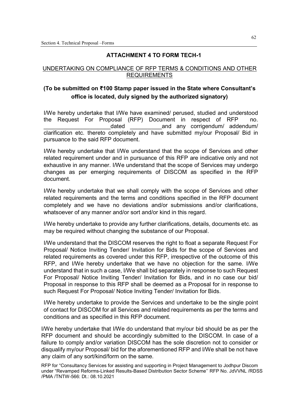## **ATTACHMENT 4 TO FORM TECH-1**

## UNDERTAKING ON COMPLIANCE OF RFP TERMS & CONDITIONS AND OTHER REQUIREMENTS

## **(To be submitted on ₹100 Stamp paper issued in the State where Consultant's office is located, duly signed by the authorized signatory)**

I/We hereby undertake that I/We have examined/ perused, studied and understood the Request For Proposal (RFP) Document in respect of RFP no. dated and any corrigendum/ addendum/ clarification etc. thereto completely and have submitted my/our Proposal/ Bid in pursuance to the said RFP document.

I/We hereby undertake that I/We understand that the scope of Services and other related requirement under and in pursuance of this RFP are indicative only and not exhaustive in any manner. I/We understand that the scope of Services may undergo changes as per emerging requirements of DISCOM as specified in the RFP document.

I/We hereby undertake that we shall comply with the scope of Services and other related requirements and the terms and conditions specified in the RFP document completely and we have no deviations and/or submissions and/or clarifications, whatsoever of any manner and/or sort and/or kind in this regard.

I/We hereby undertake to provide any further clarifications, details, documents etc. as may be required without changing the substance of our Proposal.

I/We understand that the DISCOM reserves the right to float a separate Request For Proposal/ Notice Inviting Tender/ Invitation for Bids for the scope of Services and related requirements as covered under this RFP, irrespective of the outcome of this RFP, and I/We hereby undertake that we have no objection for the same. I/We understand that in such a case, I/We shall bid separately in response to such Request For Proposal/ Notice Inviting Tender/ Invitation for Bids, and in no case our bid/ Proposal in response to this RFP shall be deemed as a Proposal for in response to such Request For Proposal/ Notice Inviting Tender/ Invitation for Bids.

I/We hereby undertake to provide the Services and undertake to be the single point of contact for DISCOM for all Services and related requirements as per the terms and conditions and as specified in this RFP document.

I/We hereby undertake that I/We do understand that my/our bid should be as per the RFP document and should be accordingly submitted to the DISCOM. In case of a failure to comply and/or variation DISCOM has the sole discretion not to consider or disqualify my/our Proposal/ bid for the aforementioned RFP and I/We shall be not have any claim of any sort/kind/form on the same.

RFP for "Consultancy Services for assisting and supporting in Project Management to Jodhpur Discom under "Revamped Reforms-Linked Results-Based Distribution Sector Scheme'' RFP No. JdVVNL /RDSS /PMA /TNTW-566: Dt.: 08.10.2021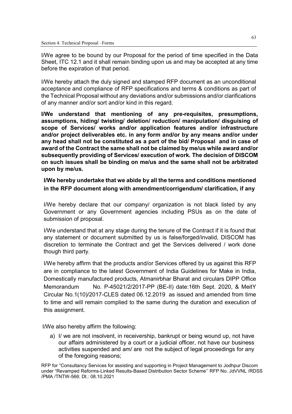I/We agree to be bound by our Proposal for the period of time specified in the Data Sheet, ITC 12.1 and it shall remain binding upon us and may be accepted at any time before the expiration of that period.

I/We hereby attach the duly signed and stamped RFP document as an unconditional acceptance and compliance of RFP specifications and terms & conditions as part of the Technical Proposal without any deviations and/or submissions and/or clarifications of any manner and/or sort and/or kind in this regard.

**I/We understand that mentioning of any pre-requisites, presumptions, assumptions, hiding/ twisting/ deletion/ reduction/ manipulation/ disguising of scope of Services/ works and/or application features and/or infrastructure and/or project deliverables etc. in any form and/or by any means and/or under any head shall not be constituted as a part of the bid/ Proposal and in case of award of the Contract the same shall not be claimed by me/us while award and/or subsequently providing of Services/ execution of work. The decision of DISCOM on such issues shall be binding on me/us and the same shall not be arbitrated upon by me/us.** 

**I/We hereby undertake that we abide by all the terms and conditions mentioned in the RFP document along with amendment/corrigendum/ clarification, if any**

I/We hereby declare that our company/ organization is not black listed by any Government or any Government agencies including PSUs as on the date of submission of proposal.

I/We understand that at any stage during the tenure of the Contract if it is found that any statement or document submitted by us is false/forged/invalid, DISCOM has discretion to terminate the Contract and get the Services delivered / work done though third party.

I/We hereby affirm that the products and/or Services offered by us against this RFP are in compliance to the latest Government of India Guidelines for Make in India, Domestically manufactured products, Atmanirbhar Bharat and circulars DIPP Office Memorandum No. P-45021/2/2017-PP (BE-II) date:16th Sept. 2020, & MeitY Circular No.1(10)/2017-CLES dated 06.12.2019 as issued and amended from time to time and will remain complied to the same during the duration and execution of this assignment.

I/We also hereby affirm the following:

a) I/ we are not insolvent, in receivership, bankrupt or being wound up, not have our affairs administered by a court or a judicial officer, not have our business activities suspended and am/ are not the subject of legal proceedings for any of the foregoing reasons;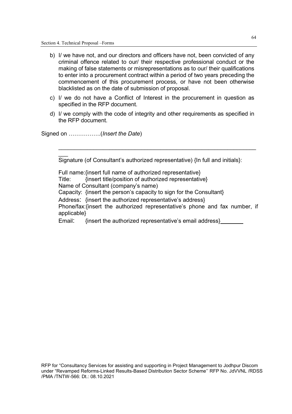- b) I/ we have not, and our directors and officers have not, been convicted of any criminal offence related to our/ their respective professional conduct or the making of false statements or misrepresentations as to our/ their qualifications to enter into a procurement contract within a period of two years preceding the commencement of this procurement process, or have not been otherwise blacklisted as on the date of submission of proposal.
- c) I/ we do not have a Conflict of Interest in the procurement in question as specified in the RFP document.
- d) I/ we comply with the code of integrity and other requirements as specified in the RFP document.

Signed on ……………..(*Insert the Date*)

 $\overline{\phantom{a}}$ 

Signature (of Consultant's authorized representative) {In full and initials}:

\_\_\_\_\_\_\_\_\_\_\_\_\_\_\_\_\_\_\_\_\_\_\_\_\_\_\_\_\_\_\_\_\_\_\_\_\_\_\_\_\_\_\_\_\_\_\_\_\_\_\_\_\_\_\_\_\_\_\_\_\_\_

Full name: {insert full name of authorized representative} Title: {insert title/position of authorized representative} Name of Consultant (company's name) Capacity: {insert the person's capacity to sign for the Consultant} Address: {insert the authorized representative's address} Phone/fax:{insert the authorized representative's phone and fax number, if applicable} Email: {insert the authorized representative's email address}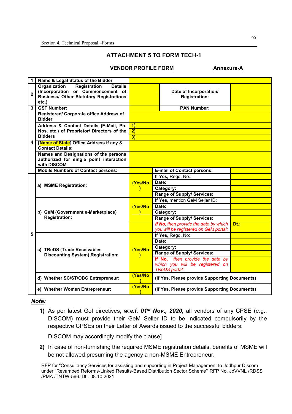## **ATTACHMENT 5 TO FORM TECH-1**

#### **VENDOR PROFILE FORM Annexure-A**

| 1                       | Name & Legal Status of the Bidder                                                                                                                     |                    |                                                |      |  |
|-------------------------|-------------------------------------------------------------------------------------------------------------------------------------------------------|--------------------|------------------------------------------------|------|--|
| $\overline{\mathbf{2}}$ | Organization<br><b>Registration</b><br><b>Details</b><br>(Incorporation or Commencement of<br><b>Business/ Other Statutory Registrations</b><br>etc.) |                    | Date of Incorporation/<br><b>Registration:</b> |      |  |
| 3                       | <b>GST Number:</b>                                                                                                                                    | <b>PAN Number:</b> |                                                |      |  |
|                         | Registered/ Corporate office Address of<br><b>Bidder</b>                                                                                              |                    |                                                |      |  |
|                         | Address & Contact Details (E-Mail, Ph.                                                                                                                | $\vert$ 1)         |                                                |      |  |
|                         | Nos. etc.) of Proprietor/ Directors of the                                                                                                            | 2)                 |                                                |      |  |
|                         | <b>Bidders</b>                                                                                                                                        | 3)                 |                                                |      |  |
| 4                       | [Name of State] Office Address if any &<br><b>Contact Details:</b>                                                                                    |                    |                                                |      |  |
|                         | Names and Designations of the persons<br>authorized for single point interaction<br>with DISCOM                                                       |                    |                                                |      |  |
|                         | <b>Mobile Numbers of Contact persons:</b>                                                                                                             |                    | <b>E-mail of Contact persons:</b>              |      |  |
|                         |                                                                                                                                                       |                    | If Yes, Regd. No.:                             |      |  |
|                         | a) MSME Registration:                                                                                                                                 | (Yes/No<br>)       | Date:                                          |      |  |
|                         |                                                                                                                                                       |                    | Category:                                      |      |  |
|                         |                                                                                                                                                       |                    | Range of Supply/ Services:                     |      |  |
|                         | b) GeM (Government e-Marketplace)<br><b>Registration:</b>                                                                                             | (Yes/No<br>١       | If Yes, mention GeM Seller ID:                 |      |  |
|                         |                                                                                                                                                       |                    | Date:                                          |      |  |
|                         |                                                                                                                                                       |                    | Category:                                      |      |  |
|                         |                                                                                                                                                       |                    | Range of Supply/ Services:                     |      |  |
|                         |                                                                                                                                                       |                    | If No, then provide the date by which          | Dt.: |  |
|                         |                                                                                                                                                       |                    | you will be registered on GeM portal:          |      |  |
| 5                       | c) TReDS (Trade Receivables<br><b>Discounting System) Registration:</b>                                                                               |                    | If Yes, Regd. No:                              |      |  |
|                         |                                                                                                                                                       | (Yes/No<br>)       | Date:                                          |      |  |
|                         |                                                                                                                                                       |                    | Category:                                      |      |  |
|                         |                                                                                                                                                       |                    | Range of Supply/ Services:                     |      |  |
|                         |                                                                                                                                                       |                    | If No, then provide the date by                |      |  |
|                         |                                                                                                                                                       |                    | which you will be registered on                |      |  |
|                         |                                                                                                                                                       |                    | <b>TReDS</b> portal:                           |      |  |
|                         | d) Whether SC/ST/OBC Entrepreneur:                                                                                                                    | (Yes/No            | (If Yes, Please provide Supporting Documents)  |      |  |
|                         | e) Whether Women Entrepreneur:                                                                                                                        | (Yes/No            | (If Yes, Please provide Supporting Documents)  |      |  |

#### *Note:*

**1)** As per latest GoI directives, *w.e.f. 01st Nov., 2020*, all vendors of any CPSE (e.g., DISCOM) must provide their GeM Seller ID to be indicated compulsorily by the respective CPSEs on their Letter of Awards issued to the successful bidders.

DISCOM may accordingly modify the clause]

**2)** In case of non-furnishing the required MSME registration details, benefits of MSME will be not allowed presuming the agency a non-MSME Entrepreneur.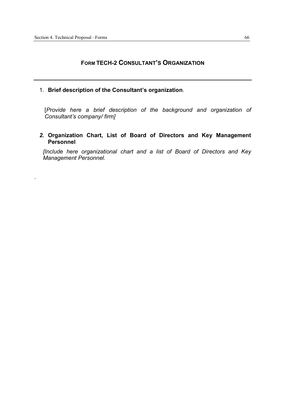.

## **FORM TECH-2 CONSULTANT'S ORGANIZATION**

1. **Brief description of the Consultant's organization**.

[*Provide here a brief description of the background and organization of Consultant's company/ firm]*

*2.* **Organization Chart, List of Board of Directors and Key Management Personnel**

*[Include here organizational chart and a list of Board of Directors and Key Management Personnel.*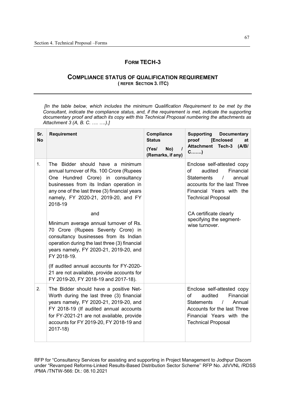## **FORM TECH-3**

#### **COMPLIANCE STATUS OF QUALIFICATION REQUIREMENT ( REFER SECTION 3. ITC)**

 *[In the table below, which includes the minimum Qualification Requirement to be met by the Consultant, indicate the compliance status, and, if the requirement is met, indicate the supporting documentary proof and attach its copy with this Technical Proposal numbering the attachments as Attachment 3 (A, B. C. …. ….).]*

| Sr.<br><b>No</b> | <b>Requirement</b>                                                                                                                                                                                                                                                          | Compliance<br><b>Status</b><br>No)<br>(Yes/<br>(Remarks, if any) | <b>Supporting</b><br><b>Documentary</b><br>proof<br><b>[Enclosed</b><br>at<br><b>Attachment Tech-3</b><br>(A/B)<br>$C$ )                                                                    |
|------------------|-----------------------------------------------------------------------------------------------------------------------------------------------------------------------------------------------------------------------------------------------------------------------------|------------------------------------------------------------------|---------------------------------------------------------------------------------------------------------------------------------------------------------------------------------------------|
| $\mathbf{1}$ .   | The Bidder should have a minimum<br>annual turnover of Rs. 100 Crore (Rupees<br>One Hundred Crore) in consultancy<br>businesses from its Indian operation in<br>any one of the last three (3) financial years<br>namely, FY 2020-21, 2019-20, and FY<br>2018-19             |                                                                  | Enclose self-attested copy<br>of<br>audited<br>Financial<br>$\prime$<br><b>Statements</b><br>annual<br>accounts for the last Three<br>Financial Years with the<br><b>Technical Proposal</b> |
|                  | and<br>Minimum average annual turnover of Rs.<br>70 Crore (Rupees Seventy Crore) in<br>consultancy businesses from its Indian<br>operation during the last three (3) financial<br>years namely, FY 2020-21, 2019-20, and<br>FY 2018-19.                                     |                                                                  | CA certificate clearly<br>specifying the segment-<br>wise turnover.                                                                                                                         |
|                  | (If audited annual accounts for FY-2020-<br>21 are not available, provide accounts for<br>FY 2019-20, FY 2018-19 and 2017-18).                                                                                                                                              |                                                                  |                                                                                                                                                                                             |
| 2.               | The Bidder should have a positive Net-<br>Worth during the last three (3) financial<br>years namely, FY 2020-21, 2019-20, and<br>FY 2018-19 (If audited annual accounts<br>for FY-2021-21 are not available, provide<br>accounts for FY 2019-20, FY 2018-19 and<br>2017-18) |                                                                  | Enclose self-attested copy<br>of<br>audited<br>Financial<br><b>Statements</b><br>$\prime$<br>Annual<br>Accounts for the last Three<br>Financial Years with the<br><b>Technical Proposal</b> |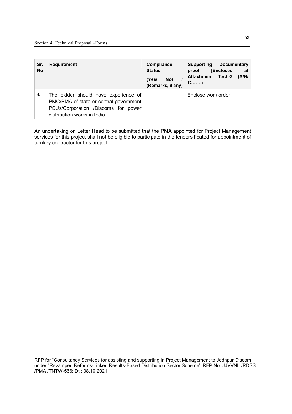| Sr.<br><b>No</b> | <b>Requirement</b>                                                                                                                                    | Compliance<br><b>Status</b><br>No)<br>(Yes/<br>(Remarks, if any) | Supporting<br>Documentary<br><b>[Enclosed</b><br>at<br>proof<br><b>Attachment Tech-3</b><br>(A/B/<br>$C$ ) |
|------------------|-------------------------------------------------------------------------------------------------------------------------------------------------------|------------------------------------------------------------------|------------------------------------------------------------------------------------------------------------|
| 3.               | The bidder should have experience of<br>PMC/PMA of state or central government<br>PSUs/Corporation /Discoms for power<br>distribution works in India. |                                                                  | Enclose work order.                                                                                        |

An undertaking on Letter Head to be submitted that the PMA appointed for Project Management services for this project shall not be eligible to participate in the tenders floated for appointment of turnkey contractor for this project.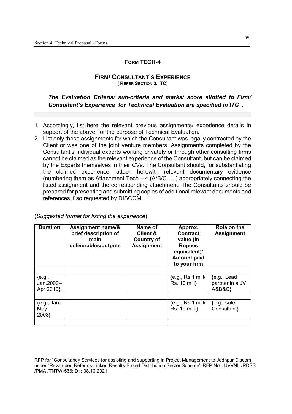#### **FORM TECH-4**

#### **FIRM/ CONSULTANT'S EXPERIENCE ( REFER SECTION 3. ITC)**

## *The Evaluation Criteria/ sub-criteria and marks/ score allotted to Firm/ Consultant's Experience for Technical Evaluation are specified in ITC .*

- 1. Accordingly, list here the relevant previous assignments/ experience details in support of the above, for the purpose of Technical Evaluation.
- 2. List only those assignments for which the Consultant was legally contracted by the Client or was one of the joint venture members. Assignments completed by the Consultant's individual experts working privately or through other consulting firms cannot be claimed as the relevant experience of the Consultant, but can be claimed by the Experts themselves in their CVs. The Consultant should, for substantiating the claimed experience, attach herewith relevant documentary evidence (numbering them as Attachment Tech – 4 (A/B/C…..) appropriately connecting the listed assignment and the corresponding attachment. The Consultants should be prepared for presenting and submitting copies of additional relevant documents and references if so requested by DISCOM.

| <b>Duration</b>                     | Assignment name/&<br>brief description of<br>main<br>deliverables/outputs | Name of<br><b>Client &amp;</b><br><b>Country of</b><br><b>Assignment</b> | Approx.<br><b>Contract</b><br>value (in<br><b>Rupees</b><br>equivalent)/<br><b>Amount paid</b><br>to your firm | Role on the<br><b>Assignment</b>            |
|-------------------------------------|---------------------------------------------------------------------------|--------------------------------------------------------------------------|----------------------------------------------------------------------------------------------------------------|---------------------------------------------|
| ${e.g.,}$<br>Jan.2009-<br>Apr.2010} |                                                                           |                                                                          | ${e.g., Rs.1 mill/}$<br>Rs. 10 mill}                                                                           | ${e.g., Lead}$<br>partner in a JV<br>A&B&C} |
| ${e.g., Jan-}$<br>May<br>2008}      |                                                                           |                                                                          | ${e.g., Rs.1 mill/}$<br>Rs. 10 mill }                                                                          | ${e.g., sole}$<br>Consultant}               |

(*Suggested format for listing the experience*)

RFP for "Consultancy Services for assisting and supporting in Project Management to Jodhpur Discom under "Revamped Reforms-Linked Results-Based Distribution Sector Scheme'' RFP No. JdVVNL /RDSS /PMA /TNTW-566: Dt.: 08.10.2021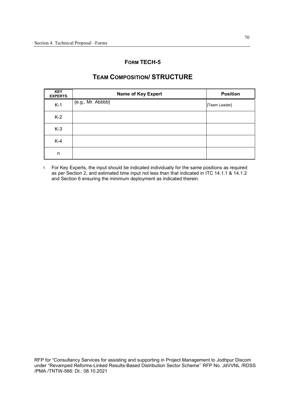## **FORM TECH-5**

## **TEAM COMPOSITION/ STRUCTURE**

| <b>KEY</b><br><b>EXPERTS</b> | <b>Name of Key Expert</b> | <b>Position</b> |
|------------------------------|---------------------------|-----------------|
| $K-1$                        | {e.g., Mr. Abbbb}         | [Team Leader]   |
| $K-2$                        |                           |                 |
| $K-3$                        |                           |                 |
| $K-4$                        |                           |                 |
| n                            |                           |                 |

1 For Key Experts, the input should be indicated individually for the same positions as required as per Section 2, and estimated time input not less than that indicated in ITC 14.1.1 & 14.1.2 and Section 6 ensuring the minimum deployment as indicated therein.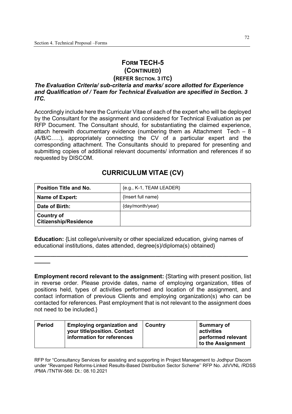# **FORM TECH-5 (CONTINUED)**

#### **(REFER SECTION. 3 ITC)**  *The Evaluation Criteria/ sub-criteria and marks/ score allotted for Experience and Qualification of / Team for Technical Evaluation are specified in Section. 3*

*ITC.*

**\_\_\_\_\_** 

Accordingly include here the Curricular Vitae of each of the expert who will be deployed by the Consultant for the assignment and considered for Technical Evaluation as per RFP Document. The Consultant should, for substantiating the claimed experience, attach herewith documentary evidence (numbering them as Attachment Tech – 8 (A/B/C…..), appropriately connecting the CV of a particular expert and the corresponding attachment. The Consultants should to prepared for presenting and submitting copies of additional relevant documents/ information and references if so requested by DISCOM.

# **CURRICULUM VITAE (CV)**

| <b>Position Title and No.</b>                     | ${e.g., K-1, TEAM LEADER}$ |
|---------------------------------------------------|----------------------------|
| Name of Expert:                                   | ${Inset full name}$        |
| Date of Birth:                                    | {day/month/year}           |
| <b>Country of</b><br><b>Citizenship/Residence</b> |                            |

**Education:** {List college/university or other specialized education, giving names of educational institutions, dates attended, degree(s)/diploma(s) obtained}

**\_\_\_\_\_\_\_\_\_\_\_\_\_\_\_\_\_\_\_\_\_\_\_\_\_\_\_\_\_\_\_\_\_\_\_\_\_\_\_\_\_\_\_\_\_\_\_\_\_\_\_\_\_\_\_\_\_\_\_\_\_\_\_\_\_\_\_**

#### **Employment record relevant to the assignment:** {Starting with present position, list in reverse order. Please provide dates, name of employing organization, titles of positions held, types of activities performed and location of the assignment, and contact information of previous Clients and employing organization(s) who can be contacted for references. Past employment that is not relevant to the assignment does not need to be included.}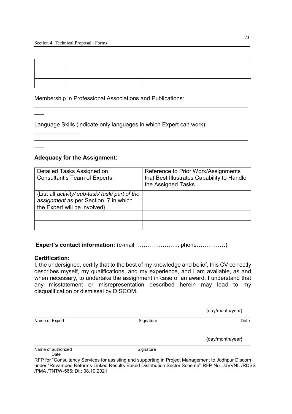$\_$ 

 $\_$ 

Membership in Professional Associations and Publications:

Language Skills (indicate only languages in which Expert can work):

### **Adequacy for the Assignment:**

| Detailed Tasks Assigned on<br><b>Consultant's Team of Experts:</b>                                                       | Reference to Prior Work/Assignments<br>that Best Illustrates Capability to Handle<br>the Assigned Tasks |
|--------------------------------------------------------------------------------------------------------------------------|---------------------------------------------------------------------------------------------------------|
| {List all activity/ sub-task/ task/ part of the<br>assignment as per Section. 7 in which<br>the Expert will be involved} |                                                                                                         |
|                                                                                                                          |                                                                                                         |
|                                                                                                                          |                                                                                                         |

## **Expert's contact information:** (e-mail …………………., phone……………)

#### **Certification:**

 $\overline{\phantom{a}}$ 

 $\overline{\phantom{a}}$ 

 $\mathcal{L}=\mathcal{L}$ 

I, the undersigned, certify that to the best of my knowledge and belief, this CV correctly describes myself, my qualifications, and my experience, and I am available, as and when necessary, to undertake the assignment in case of an award. I understand that any misstatement or misrepresentation described herein may lead to my disqualification or dismissal by DISCOM.

{day/month/year}

Name of Expert Signature Signature Signature Date Date Date

{day/month/year}

Name of authorized Signature Date

RFP for "Consultancy Services for assisting and supporting in Project Management to Jodhpur Discom under "Revamped Reforms-Linked Results-Based Distribution Sector Scheme'' RFP No. JdVVNL /RDSS /PMA /TNTW-566: Dt.: 08.10.2021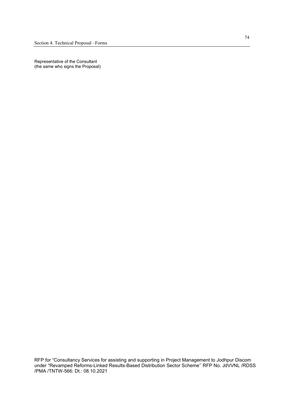Representative of the Consultant (the same who signs the Proposal)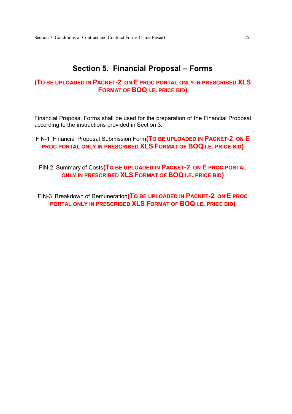## **Section 5. Financial Proposal – Forms**

## **(TO BE UPLOADED IN PACKET-2 ON E PROC PORTAL ONLY IN PRESCRIBED XLS FORMAT OF BOQ I.E. PRICE BID)**

Financial Proposal Forms shall be used for the preparation of the Financial Proposal according to the instructions provided in Section 3.

- FIN-1 Financial Proposal Submission Form**(TO BE UPLOADED IN PACKET-2 ON E PROC PORTAL ONLY IN PRESCRIBED XLS FORMAT OF BOQ I.E. PRICE BID)** 
	- FIN-2 Summary of Costs**(TO BE UPLOADED IN PACKET-2 ON E PROC PORTAL ONLY IN PRESCRIBED XLS FORMAT OF BOQ I.E. PRICE BID)**

FIN-3 Breakdown of Remuneration**(TO BE UPLOADED IN PACKET-2 ON E PROC PORTAL ONLY IN PRESCRIBED XLS FORMAT OF BOQ I.E. PRICE BID)**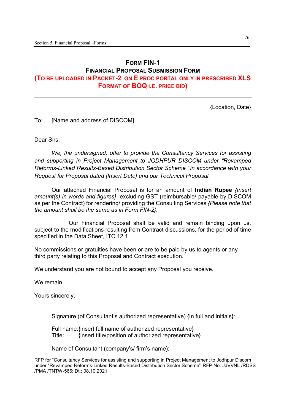## **FORM FIN-1 FINANCIAL PROPOSAL SUBMISSION FORM (TO BE UPLOADED IN PACKET-2 ON E PROC PORTAL ONLY IN PRESCRIBED XLS FORMAT OF BOQ I.E. PRICE BID)**

{Location, Date}

To: [Name and address of DISCOM]

Dear Sirs:

*We, the undersigned, offer to provide the Consultancy Services for assisting and supporting in Project Management to JODHPUR DISCOM under "Revamped Reforms-Linked Results-Based Distribution Sector Scheme'' in accordance with your Request for Proposal dated [Insert Date] and our Technical Proposal.*

Our attached Financial Proposal is for an amount of **Indian Rupee** *{Insert amount(s) in words and figures}*, excluding GST (reimbursable/ payable by DISCOM as per the Contract) for rendering/ providing the Consulting Services *{Please note that the amount shall be the same as in Form FIN-2}*.

 Our Financial Proposal shall be valid and remain binding upon us, subject to the modifications resulting from Contract discussions, for the period of time specified in the Data Sheet, ITC 12.1.

No commissions or gratuities have been or are to be paid by us to agents or any third party relating to this Proposal and Contract execution.

We understand you are not bound to accept any Proposal you receive.

We remain,

Yours sincerely,

Signature (of Consultant's authorized representative) {In full and initials}:

Full name: {insert full name of authorized representative} Title: {insert title/position of authorized representative}

Name of Consultant (company's/ firm's name):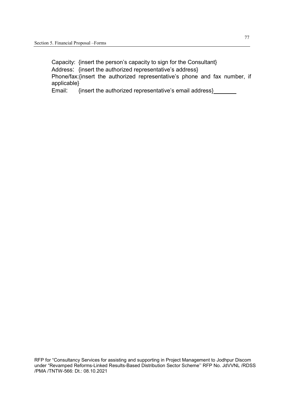Capacity: {insert the person's capacity to sign for the Consultant} Address: {insert the authorized representative's address} Phone/fax:{insert the authorized representative's phone and fax number, if applicable}

Email: {insert the authorized representative's email address}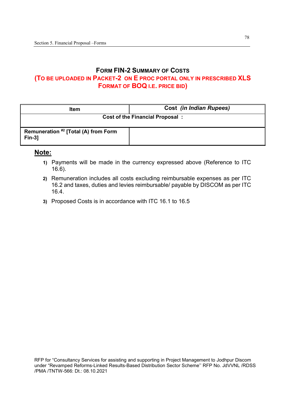## **FORM FIN-2 SUMMARY OF COSTS (TO BE UPLOADED IN PACKET-2 ON E PROC PORTAL ONLY IN PRESCRIBED XLS FORMAT OF BOQ I.E. PRICE BID)**

| <b>Item</b>                                      | <b>Cost (in Indian Rupees)</b>         |
|--------------------------------------------------|----------------------------------------|
|                                                  | <b>Cost of the Financial Proposal:</b> |
| Remuneration #2 [Total (A) from Form<br>$Fin-3]$ |                                        |

## **Note:**

- **1)** Payments will be made in the currency expressed above (Reference to ITC 16.6).
- **2)** Remuneration includes all costs excluding reimbursable expenses as per ITC 16.2 and taxes, duties and levies reimbursable/ payable by DISCOM as per ITC 16.4.
- **3)** Proposed Costs is in accordance with ITC 16.1 to 16.5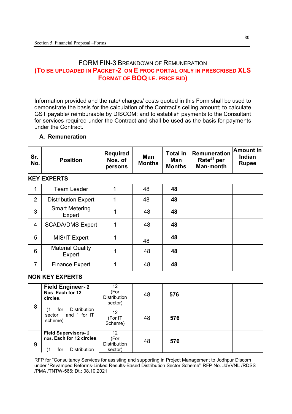## FORM FIN-3 BREAKDOWN OF REMUNERATION **(TO BE UPLOADED IN PACKET-2 ON E PROC PORTAL ONLY IN PRESCRIBED XLS FORMAT OF BOQ I.E. PRICE BID)**

Information provided and the rate/ charges/ costs quoted in this Form shall be used to demonstrate the basis for the calculation of the Contract's ceiling amount; to calculate GST payable/ reimbursable by DISCOM; and to establish payments to the Consultant for services required under the Contract and shall be used as the basis for payments under the Contract.

### **A. Remuneration**

| Sr.<br>No.     | <b>Position</b>                                                                              | <b>Required</b><br>Nos. of<br>persons                     | Man<br><b>Months</b> | <b>Total in</b><br><b>Man</b><br><b>Months</b> | <b>Remuneration</b><br>Rate <sup>#1</sup> per<br><b>Man-month</b> | <b>Amount in</b><br>Indian<br><b>Rupee</b> |
|----------------|----------------------------------------------------------------------------------------------|-----------------------------------------------------------|----------------------|------------------------------------------------|-------------------------------------------------------------------|--------------------------------------------|
|                | <b>KEY EXPERTS</b>                                                                           |                                                           |                      |                                                |                                                                   |                                            |
| 1              | <b>Team Leader</b>                                                                           | 1                                                         | 48                   | 48                                             |                                                                   |                                            |
| $\overline{2}$ | <b>Distribution Expert</b>                                                                   | 1                                                         | 48                   | 48                                             |                                                                   |                                            |
| 3              | <b>Smart Metering</b><br>Expert                                                              | 1                                                         | 48                   | 48                                             |                                                                   |                                            |
| 4              | <b>SCADA/DMS Expert</b>                                                                      | 1                                                         | 48                   | 48                                             |                                                                   |                                            |
| 5              | MIS/IT Expert                                                                                | 1                                                         | 48                   | 48                                             |                                                                   |                                            |
| 6              | <b>Material Quality</b><br>Expert                                                            | 1                                                         | 48                   | 48                                             |                                                                   |                                            |
| $\overline{7}$ | <b>Finance Expert</b>                                                                        | 1                                                         | 48                   | 48                                             |                                                                   |                                            |
|                | <b>NON KEY EXPERTS</b>                                                                       |                                                           |                      |                                                |                                                                   |                                            |
|                | <b>Field Engineer-2</b><br>Nos. Each for 12<br>circles.                                      | $\overline{12}$<br>(For<br><b>Distribution</b><br>sector) | 48                   | 576                                            |                                                                   |                                            |
| 8              | <b>Distribution</b><br>for<br>(1)<br>and 1 for IT<br>sector<br>scheme)                       | 12<br>(For IT<br>Scheme)                                  | 48                   | 576                                            |                                                                   |                                            |
| 9              | <b>Field Supervisors-2</b><br>nos. Each for 12 circles.<br><b>Distribution</b><br>(1)<br>for | 12<br>(For<br><b>Distribution</b><br>sector)              | 48                   | 576                                            |                                                                   |                                            |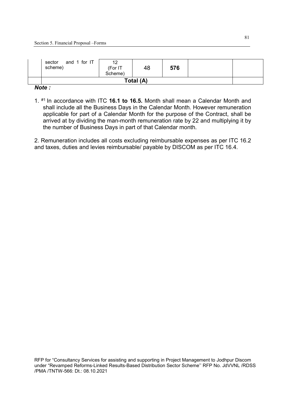| and 1 for IT<br>sector<br>scheme) | 12<br>(For IT<br>Scheme) | 48        | 576 |  |
|-----------------------------------|--------------------------|-----------|-----|--|
|                                   |                          | Total (A) |     |  |

#### *Note :*

1. #1 In accordance with ITC **16.1 to 16.5.** Month shall mean a Calendar Month and shall include all the Business Days in the Calendar Month. However remuneration applicable for part of a Calendar Month for the purpose of the Contract, shall be arrived at by dividing the man-month remuneration rate by 22 and multiplying it by the number of Business Days in part of that Calendar month.

2. Remuneration includes all costs excluding reimbursable expenses as per ITC 16.2 and taxes, duties and levies reimbursable/ payable by DISCOM as per ITC 16.4.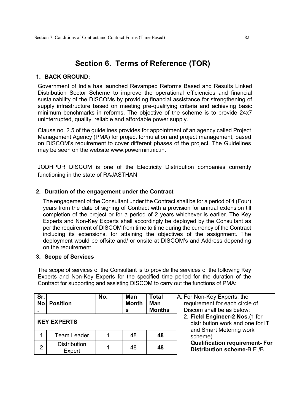## **Section 6. Terms of Reference (TOR)**

#### **1. BACK GROUND:**

Government of India has launched Revamped Reforms Based and Results Linked Distribution Sector Scheme to improve the operational efficiencies and financial sustainability of the DISCOMs by providing financial assistance for strengthening of supply infrastructure based on meeting pre-qualifying criteria and achieving basic minimum benchmarks in reforms. The objective of the scheme is to provide 24x7 uninterrupted, quality, reliable and affordable power supply.

Clause no. 2.5 of the guidelines provides for appointment of an agency called Project Management Agency (PMA) for project formulation and project management, based on DISCOM's requirement to cover different phases of the project. The Guidelines may be seen on the website www.powermin.nic.in.

JODHPUR DISCOM is one of the Electricity Distribution companies currently functioning in the state of RAJASTHAN

## **2. Duration of the engagement under the Contract**

The engagement of the Consultant under the Contract shall be for a period of 4 (Four) years from the date of signing of Contract with a provision for annual extension till completion of the project or for a period of 2 years whichever is earlier. The Key Experts and Non-Key Experts shall accordingly be deployed by the Consultant as per the requirement of DISCOM from time to time during the currency of the Contract including its extensions, for attaining the objectives of the assignment. The deployment would be offsite and/ or onsite at DISCOM's and Address depending on the requirement.

#### **3. Scope of Services**

The scope of services of the Consultant is to provide the services of the following Key Experts and Non-Key Experts for the specified time period for the duration of the Contract for supporting and assisting DISCOM to carry out the functions of PMA:

| Sr.<br><b>No</b>   | <b>Position</b>               | No. | <b>Man</b><br><b>Month</b><br>s | <b>Total</b><br>Man<br><b>Months</b>                                                           | A. For Non-Key Experts, the<br>requirement for each circle of<br>Discom shall be as below: |
|--------------------|-------------------------------|-----|---------------------------------|------------------------------------------------------------------------------------------------|--------------------------------------------------------------------------------------------|
| <b>KEY EXPERTS</b> |                               |     |                                 | 2. Field Engineer-2 Nos. (1 for<br>distribution work and one for IT<br>and Smart Metering work |                                                                                            |
|                    | <b>Team Leader</b>            |     | 48                              | 48                                                                                             | scheme)                                                                                    |
| 2                  | <b>Distribution</b><br>Expert |     | 48                              | 48                                                                                             | <b>Qualification requirement- For</b><br>Distribution scheme-B.E./B.                       |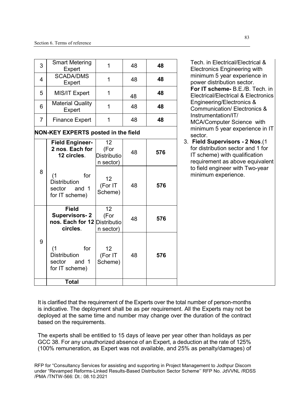| 3              | <b>Smart Metering</b><br>Expert                                                  | $\mathbf{1}$                                  | 48 | 48  | Tech. in Electrical/Electrical &<br><b>Electronics Engineering with</b>                                                                |
|----------------|----------------------------------------------------------------------------------|-----------------------------------------------|----|-----|----------------------------------------------------------------------------------------------------------------------------------------|
| $\overline{4}$ | <b>SCADA/DMS</b><br>Expert                                                       | $\mathbf 1$                                   | 48 | 48  | minimum 5 year experience in<br>power distribution sector.                                                                             |
| 5              | MIS/IT Expert                                                                    | $\mathbf{1}$                                  | 48 | 48  | For IT scheme- B.E./B. Tech.<br>Electrical/Electrical & Electroni                                                                      |
| 6              | <b>Material Quality</b><br>Expert                                                | 1                                             | 48 | 48  | Engineering/Electronics &<br><b>Communication/ Electronics &amp;</b>                                                                   |
| $\overline{7}$ | <b>Finance Expert</b>                                                            | 1                                             | 48 | 48  | Instrumentation/IT/<br>MCA/Computer Science with                                                                                       |
|                | <b>NON-KEY EXPERTS posted in the field</b>                                       |                                               |    |     | minimum 5 year experience in<br>sector.                                                                                                |
|                | <b>Field Engineer-</b><br>2 nos. Each for<br>12 circles.                         | 12<br>(For<br><b>Distributio</b><br>n sector) | 48 | 576 | 3. Field Supervisors - 2 Nos.(1<br>for distribution sector and 1 for<br>IT scheme) with qualification<br>requirement as above equivale |
| 8              | for<br>(1)<br><b>Distribution</b><br>sector<br>and 1<br>for IT scheme)           | 12<br>(For IT<br>Scheme)                      | 48 | 576 | to field engineer with Two-year<br>minimum experience.                                                                                 |
|                | <b>Field</b><br><b>Supervisors-2</b><br>nos. Each for 12 Distributio<br>circles. | 12<br>(For<br>n sector)                       | 48 | 576 |                                                                                                                                        |
| 9              | for<br>(1)<br><b>Distribution</b><br>sector<br>and 1<br>for IT scheme)           | 12<br>(For IT<br>Scheme)                      | 48 | 576 |                                                                                                                                        |
|                | <b>Total</b>                                                                     |                                               |    |     |                                                                                                                                        |

minimum 5 year experience in power distribution sector. **For IT scheme-** B.E./B. Tech. in Electrical/Electrical & Electronics Engineering/Electronics & Communication/ Electronics & Instrumentation/IT/ MCA/Computer Science with minimum 5 year experience in IT sector.

3. **Field Supervisors - 2 Nos**.(1 for distribution sector and 1 for IT scheme) with qualification requirement as above equivalent to field engineer with Two-year minimum experience.

It is clarified that the requirement of the Experts over the total number of person-months is indicative. The deployment shall be as per requirement. All the Experts may not be deployed at the same time and number may change over the duration of the contract based on the requirements.

The experts shall be entitled to 15 days of leave per year other than holidays as per GCC 38. For any unauthorized absence of an Expert, a deduction at the rate of 125% (100% remuneration, as Expert was not available, and 25% as penalty/damages) of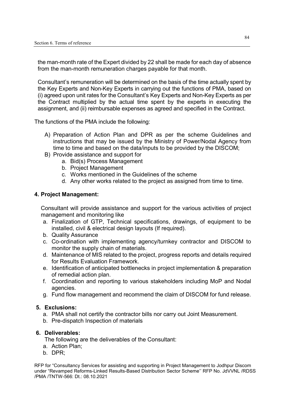the man-month rate of the Expert divided by 22 shall be made for each day of absence from the man-month remuneration charges payable for that month.

Consultant's remuneration will be determined on the basis of the time actually spent by the Key Experts and Non-Key Experts in carrying out the functions of PMA, based on (i) agreed upon unit rates for the Consultant's Key Experts and Non-Key Experts as per the Contract multiplied by the actual time spent by the experts in executing the assignment, and (ii) reimbursable expenses as agreed and specified in the Contract.

The functions of the PMA include the following:

- A) Preparation of Action Plan and DPR as per the scheme Guidelines and instructions that may be issued by the Ministry of Power/Nodal Agency from time to time and based on the data/inputs to be provided by the DISCOM;
- B) Provide assistance and support for
	- a. Bid(s) Process Management
	- b. Project Management
	- c. Works mentioned in the Guidelines of the scheme
	- d. Any other works related to the project as assigned from time to time.

#### **4. Project Management:**

Consultant will provide assistance and support for the various activities of project management and monitoring like

- a. Finalization of GTP, Technical specifications, drawings, of equipment to be installed, civil & electrical design layouts (If required).
- b. Quality Assurance
- c. Co-ordination with implementing agency/turnkey contractor and DISCOM to monitor the supply chain of materials.
- d. Maintenance of MIS related to the project, progress reports and details required for Results Evaluation Framework.
- e. Identification of anticipated bottlenecks in project implementation & preparation of remedial action plan.
- f. Coordination and reporting to various stakeholders including MoP and Nodal agencies.
- g. Fund flow management and recommend the claim of DISCOM for fund release.

#### **5. Exclusions:**

- a. PMA shall not certify the contractor bills nor carry out Joint Measurement.
- b. Pre-dispatch Inspection of materials

#### **6. Deliverables:**

The following are the deliverables of the Consultant:

- a. Action Plan;
- b. DPR;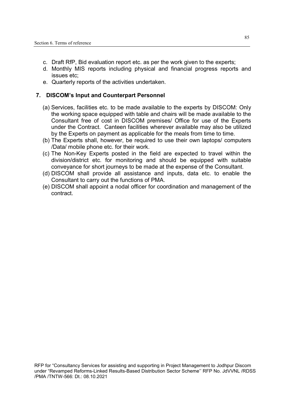- c. Draft RfP, Bid evaluation report etc. as per the work given to the experts;
- d. Monthly MIS reports including physical and financial progress reports and issues etc;
- e. Quarterly reports of the activities undertaken.

#### **7. DISCOM's Input and Counterpart Personnel**

- (a) Services, facilities etc. to be made available to the experts by DISCOM: Only the working space equipped with table and chairs will be made available to the Consultant free of cost in DISCOM premises/ Office for use of the Experts under the Contract. Canteen facilities wherever available may also be utilized by the Experts on payment as applicable for the meals from time to time.
- (b) The Experts shall, however, be required to use their own laptops/ computers /Data/ mobile phone etc. for their work.
- (c) The Non-Key Experts posted in the field are expected to travel within the division/district etc. for monitoring and should be equipped with suitable conveyance for short journeys to be made at the expense of the Consultant.
- (d) DISCOM shall provide all assistance and inputs, data etc. to enable the Consultant to carry out the functions of PMA.
- (e) DISCOM shall appoint a nodal officer for coordination and management of the contract.

85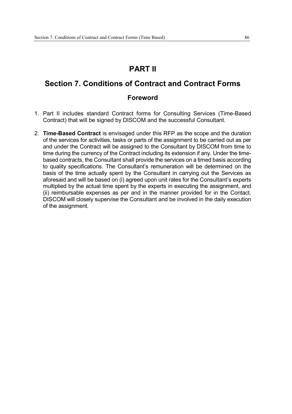## **PART II**

## **Section 7. Conditions of Contract and Contract Forms**

## **Foreword**

- 1. Part II includes standard Contract forms for Consulting Services (Time-Based Contract) that will be signed by DISCOM and the successful Consultant.
- 2. **Time-Based Contract** is envisaged under this RFP as the scope and the duration of the services for activities, tasks or parts of the assignment to be carried out as per and under the Contract will be assigned to the Consultant by DISCOM from time to time during the currency of the Contract including its extension if any. Under the timebased contracts, the Consultant shall provide the services on a timed basis according to quality specifications. The Consultant's remuneration will be determined on the basis of the time actually spent by the Consultant in carrying out the Services as aforesaid and will be based on (i) agreed upon unit rates for the Consultant's experts multiplied by the actual time spent by the experts in executing the assignment, and (ii) reimbursable expenses as per and in the manner provided for in the Contact. DISCOM will closely supervise the Consultant and be involved in the daily execution of the assignment.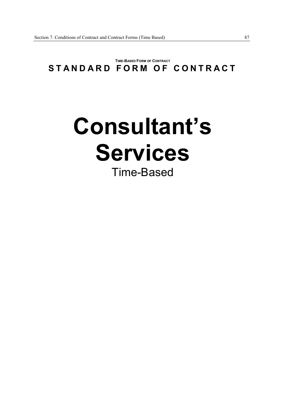## **TIME-BASED FORM OF CONTRACT** STANDARD FORM OF CONTRACT

# **Consultant's Services** Time-Based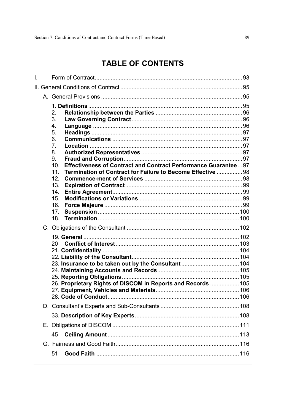## **TABLE OF CONTENTS**

| L. |                                                                                                                                                                                                                                                               |  |
|----|---------------------------------------------------------------------------------------------------------------------------------------------------------------------------------------------------------------------------------------------------------------|--|
|    |                                                                                                                                                                                                                                                               |  |
|    |                                                                                                                                                                                                                                                               |  |
|    | 2.<br>3.<br>4.<br>5.<br>6.<br>7.<br>8.<br>9.<br>Effectiveness of Contract and Contract Performance Guarantee97<br>10 <sub>1</sub><br>Termination of Contract for Failure to Become Effective  98<br>11 <sub>1</sub><br>12.<br>13.<br>14.<br>15.<br>16.<br>17. |  |
|    | 18.                                                                                                                                                                                                                                                           |  |
|    | 26. Proprietary Rights of DISCOM in Reports and Records  105                                                                                                                                                                                                  |  |
|    |                                                                                                                                                                                                                                                               |  |
|    |                                                                                                                                                                                                                                                               |  |
|    |                                                                                                                                                                                                                                                               |  |
|    | 45                                                                                                                                                                                                                                                            |  |
|    |                                                                                                                                                                                                                                                               |  |
|    | 51                                                                                                                                                                                                                                                            |  |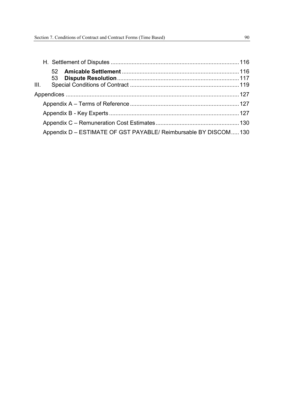| Appendix D - ESTIMATE OF GST PAYABLE/ Reimbursable BY DISCOM 130 |  |
|------------------------------------------------------------------|--|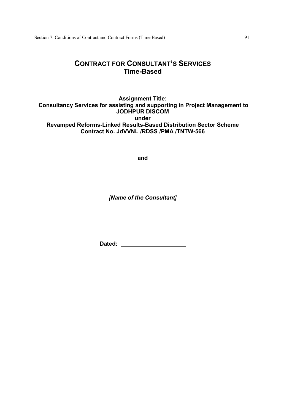## **CONTRACT FOR CONSULTANT'S SERVICES Time-Based**

**Assignment Title: Consultancy Services for assisting and supporting in Project Management to JODHPUR DISCOM under Revamped Reforms-Linked Results-Based Distribution Sector Scheme Contract No. JdVVNL /RDSS /PMA /TNTW-566** 

**and** 

*[Name of the Consultant]* 

**Dated:**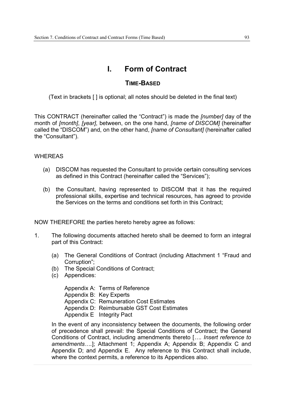## **I. Form of Contract**

## **TIME-BASED**

(Text in brackets [ ] is optional; all notes should be deleted in the final text)

This CONTRACT (hereinafter called the "Contract") is made the *[number]* day of the month of *[month]*, *[year]*, between, on the one hand, *[name of DISCOM]* (hereinafter called the "DISCOM") and, on the other hand, *[name of Consultant]* (hereinafter called the "Consultant").

#### **WHEREAS**

- (a) DISCOM has requested the Consultant to provide certain consulting services as defined in this Contract (hereinafter called the "Services");
- (b) the Consultant, having represented to DISCOM that it has the required professional skills, expertise and technical resources, has agreed to provide the Services on the terms and conditions set forth in this Contract;

NOW THEREFORE the parties hereto hereby agree as follows:

- 1. The following documents attached hereto shall be deemed to form an integral part of this Contract:
	- (a) The General Conditions of Contract (including Attachment 1 "Fraud and Corruption";
	- (b) The Special Conditions of Contract;
	- (c) Appendices:

Appendix A: Terms of Reference Appendix B: Key Experts Appendix C: Remuneration Cost Estimates Appendix D: Reimbursable GST Cost Estimates Appendix E Integrity Pact

In the event of any inconsistency between the documents, the following order of precedence shall prevail: the Special Conditions of Contract; the General Conditions of Contract, including amendments thereto [*…. Insert reference to amendments….*]; Attachment 1; Appendix A; Appendix B; Appendix C and Appendix D; and Appendix E. Any reference to this Contract shall include, where the context permits, a reference to its Appendices also.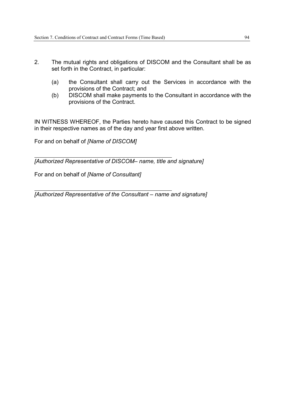- 2. The mutual rights and obligations of DISCOM and the Consultant shall be as set forth in the Contract, in particular:
	- (a) the Consultant shall carry out the Services in accordance with the provisions of the Contract; and
	- (b) DISCOM shall make payments to the Consultant in accordance with the provisions of the Contract.

IN WITNESS WHEREOF, the Parties hereto have caused this Contract to be signed in their respective names as of the day and year first above written.

For and on behalf of *[Name of DISCOM]*

*[Authorized Representative of DISCOM– name, title and signature]*

For and on behalf of *[Name of Consultant]*

*[Authorized Representative of the Consultant – name and signature]*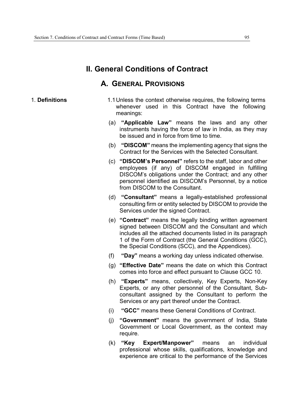## **II. General Conditions of Contract**

## **A. GENERAL PROVISIONS**

- 1. **Definitions** 1.1 Unless the context otherwise requires, the following terms whenever used in this Contract have the following meanings:
	- (a) **"Applicable Law"** means the laws and any other instruments having the force of law in India, as they may be issued and in force from time to time.
	- (b) **"DISCOM"** means the implementing agency that signs the Contract for the Services with the Selected Consultant.
	- (c) **"DISCOM's Personnel"** refers to the staff, labor and other employees (if any) of DISCOM engaged in fulfilling DISCOM's obligations under the Contract; and any other personnel identified as DISCOM's Personnel, by a notice from DISCOM to the Consultant.
	- (d) **"Consultant"** means a legally-established professional consulting firm or entity selected by DISCOM to provide the Services under the signed Contract.
	- (e) **"Contract"** means the legally binding written agreement signed between DISCOM and the Consultant and which includes all the attached documents listed in its paragraph 1 of the Form of Contract (the General Conditions (GCC), the Special Conditions (SCC), and the Appendices).
	- (f) **"Day"** means a working day unless indicated otherwise.
	- (g) **"Effective Date"** means the date on which this Contract comes into force and effect pursuant to Clause GCC 10.
	- (h) **"Experts"** means, collectively, Key Experts, Non-Key Experts, or any other personnel of the Consultant, Subconsultant assigned by the Consultant to perform the Services or any part thereof under the Contract.
	- (i) **"GCC"** means these General Conditions of Contract.
	- (j) **"Government"** means the government of India, State Government or Local Government, as the context may require.
	- (k) **"Key Expert/Manpower"** means an individual professional whose skills, qualifications, knowledge and experience are critical to the performance of the Services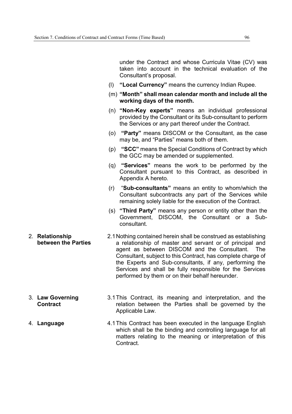2. **Relationship** 

|                                        |     | under the Contract and whose Curricula Vitae (CV) was<br>taken into account in the technical evaluation of the<br>Consultant's proposal.                                                                                                                                                                                                                                                                                    |
|----------------------------------------|-----|-----------------------------------------------------------------------------------------------------------------------------------------------------------------------------------------------------------------------------------------------------------------------------------------------------------------------------------------------------------------------------------------------------------------------------|
|                                        | (I) | "Local Currency" means the currency Indian Rupee.                                                                                                                                                                                                                                                                                                                                                                           |
|                                        |     | (m) "Month" shall mean calendar month and include all the<br>working days of the month.                                                                                                                                                                                                                                                                                                                                     |
|                                        |     | (n) "Non-Key experts" means an individual professional<br>provided by the Consultant or its Sub-consultant to perform<br>the Services or any part thereof under the Contract.                                                                                                                                                                                                                                               |
|                                        | (o) | "Party" means DISCOM or the Consultant, as the case<br>may be, and "Parties" means both of them.                                                                                                                                                                                                                                                                                                                            |
|                                        |     | (p) "SCC" means the Special Conditions of Contract by which<br>the GCC may be amended or supplemented.                                                                                                                                                                                                                                                                                                                      |
|                                        | (q) | "Services" means the work to be performed by the<br>Consultant pursuant to this Contract, as described in<br>Appendix A hereto.                                                                                                                                                                                                                                                                                             |
|                                        | (r) | "Sub-consultants" means an entity to whom/which the<br>Consultant subcontracts any part of the Services while<br>remaining solely liable for the execution of the Contract.                                                                                                                                                                                                                                                 |
|                                        |     | (s) "Third Party" means any person or entity other than the<br>Government, DISCOM, the Consultant or a Sub-<br>consultant.                                                                                                                                                                                                                                                                                                  |
| 2. Relationship<br>between the Parties |     | 2.1 Nothing contained herein shall be construed as establishing<br>a relationship of master and servant or of principal and<br>agent as between DISCOM and the Consultant.<br>The<br>Consultant, subject to this Contract, has complete charge of<br>the Experts and Sub-consultants, if any, performing the<br>Services and shall be fully responsible for the Services<br>performed by them or on their behalf hereunder. |
| 3. Law Governing<br><b>Contract</b>    |     | 3.1 This Contract, its meaning and interpretation, and the<br>relation between the Parties shall be governed by the<br>Applicable Law.                                                                                                                                                                                                                                                                                      |
|                                        |     |                                                                                                                                                                                                                                                                                                                                                                                                                             |

4. **Language** 4.1 This Contract has been executed in the language English which shall be the binding and controlling language for all matters relating to the meaning or interpretation of this Contract.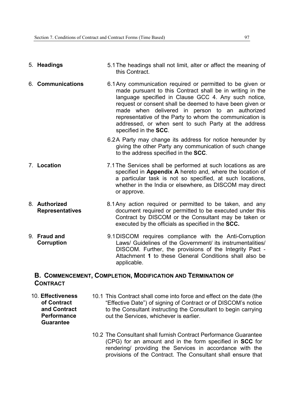| 5. Headings                             | 5.1 The headings shall not limit, alter or affect the meaning of<br>this Contract.                                                                                                                                                                                                                                                                                                                                                         |
|-----------------------------------------|--------------------------------------------------------------------------------------------------------------------------------------------------------------------------------------------------------------------------------------------------------------------------------------------------------------------------------------------------------------------------------------------------------------------------------------------|
| 6. Communications                       | 6.1 Any communication required or permitted to be given or<br>made pursuant to this Contract shall be in writing in the<br>language specified in Clause GCC 4. Any such notice,<br>request or consent shall be deemed to have been given or<br>made when delivered in person to an authorized<br>representative of the Party to whom the communication is<br>addressed, or when sent to such Party at the address<br>specified in the SCC. |
|                                         | 6.2A Party may change its address for notice hereunder by<br>giving the other Party any communication of such change<br>to the address specified in the SCC.                                                                                                                                                                                                                                                                               |
| 7. Location                             | 7.1 The Services shall be performed at such locations as are<br>specified in Appendix A hereto and, where the location of<br>a particular task is not so specified, at such locations,<br>whether in the India or elsewhere, as DISCOM may direct<br>or approve.                                                                                                                                                                           |
| 8. Authorized<br><b>Representatives</b> | 8.1 Any action required or permitted to be taken, and any<br>document required or permitted to be executed under this<br>Contract by DISCOM or the Consultant may be taken or<br>executed by the officials as specified in the SCC.                                                                                                                                                                                                        |
| 9. Fraud and<br>Corruption              | 9.1 DISCOM requires compliance with the Anti-Corruption<br>Laws/ Guidelines of the Government/ its instrumentalities/<br>DISCOM. Further, the provisions of the Integrity Pact -<br>Attachment 1 to these General Conditions shall also be                                                                                                                                                                                                 |

## **B. COMMENCEMENT, COMPLETION, MODIFICATION AND TERMINATION OF CONTRACT**

applicable.

10. **Effectiveness of Contract and Contract Performance Guarantee**

- 10.1 This Contract shall come into force and effect on the date (the "Effective Date") of signing of Contract or of DISCOM's notice to the Consultant instructing the Consultant to begin carrying out the Services, whichever is earlier.
	- 10.2 The Consultant shall furnish Contract Performance Guarantee (CPG) for an amount and in the form specified in **SCC** for rendering/ providing the Services in accordance with the provisions of the Contract. The Consultant shall ensure that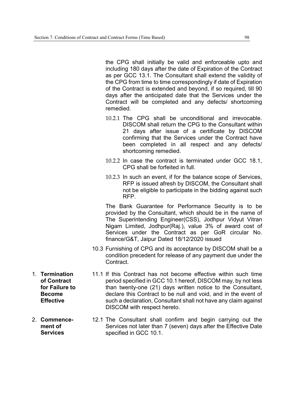the CPG shall initially be valid and enforceable upto and including 180 days after the date of Expiration of the Contract as per GCC 13.1. The Consultant shall extend the validity of the CPG from time to time correspondingly if date of Expiration of the Contract is extended and beyond, if so required, till 90 days after the anticipated date that the Services under the Contract will be completed and any defects/ shortcoming remedied.

- 10.2.1 The CPG shall be unconditional and irrevocable. DISCOM shall return the CPG to the Consultant within 21 days after issue of a certificate by DISCOM confirming that the Services under the Contract have been completed in all respect and any defects/ shortcoming remedied.
- 10.2.2 In case the contract is terminated under GCC 18.1, CPG shall be forfeited in full.
- 10.2.3 In such an event, if for the balance scope of Services, RFP is issued afresh by DISCOM, the Consultant shall not be eligible to participate in the bidding against such RFP.

The Bank Guarantee for Performance Security is to be provided by the Consultant, which should be in the name of The Superintending Engineer(CSS), Jodhpur Vidyut Vitran Nigam Limited, Jodhpur(Raj.), value 3% of award cost of Services under the Contract as per GoR circular No. finance/G&T, Jaipur Dated 18/12/2020 issued

- 10.3 Furnishing of CPG and its acceptance by DISCOM shall be a condition precedent for release of any payment due under the **Contract**
- 11.1 If this Contract has not become effective within such time period specified in GCC 10.1 hereof, DISCOM may, by not less than twenty-one (21) days written notice to the Consultant, declare this Contract to be null and void, and in the event of such a declaration, Consultant shall not have any claim against DISCOM with respect hereto.
- 12.1 The Consultant shall confirm and begin carrying out the Services not later than 7 (seven) days after the Effective Date specified in GCC 10.1.
- 1. **Termination of Contract for Failure to Become Effective**
- 2. **Commencement of Services**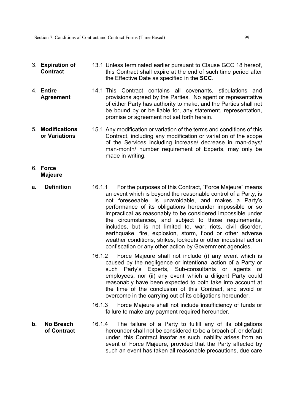- 3. **Expiration of Contract**  13.1 Unless terminated earlier pursuant to Clause GCC 18 hereof, this Contract shall expire at the end of such time period after the Effective Date as specified in the **SCC**.
- 4. **Entire Agreement**  14.1 This Contract contains all covenants, stipulations and provisions agreed by the Parties. No agent or representative of either Party has authority to make, and the Parties shall not be bound by or be liable for, any statement, representation, promise or agreement not set forth herein.
- 5. **Modifications or Variations**  15.1 Any modification or variation of the terms and conditions of this Contract, including any modification or variation of the scope of the Services including increase/ decrease in man-days/ man-month/ number requirement of Experts, may only be made in writing.
- 6. **Force Majeure**
- **a. Definition** 16.1.1 For the purposes of this Contract, "Force Majeure" means an event which is beyond the reasonable control of a Party, is not foreseeable, is unavoidable, and makes a Party's performance of its obligations hereunder impossible or so impractical as reasonably to be considered impossible under the circumstances, and subject to those requirements, includes, but is not limited to, war, riots, civil disorder, earthquake, fire, explosion, storm, flood or other adverse weather conditions, strikes, lockouts or other industrial action confiscation or any other action by Government agencies.
	- 16.1.2 Force Majeure shall not include (i) any event which is caused by the negligence or intentional action of a Party or such Party's Experts, Sub-consultants or agents or employees, nor (ii) any event which a diligent Party could reasonably have been expected to both take into account at the time of the conclusion of this Contract, and avoid or overcome in the carrying out of its obligations hereunder.
	- 16.1.3 Force Majeure shall not include insufficiency of funds or failure to make any payment required hereunder.
- **b. No Breach of Contract** 16.1.4 The failure of a Party to fulfill any of its obligations hereunder shall not be considered to be a breach of, or default under, this Contract insofar as such inability arises from an event of Force Majeure, provided that the Party affected by such an event has taken all reasonable precautions, due care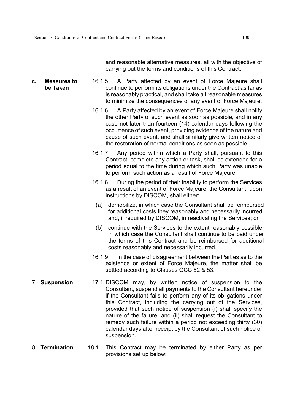and reasonable alternative measures, all with the objective of carrying out the terms and conditions of this Contract.

- **c. Measures to be Taken**  16.1.5 A Party affected by an event of Force Majeure shall continue to perform its obligations under the Contract as far as is reasonably practical, and shall take all reasonable measures to minimize the consequences of any event of Force Majeure.
	- 16.1.6 A Party affected by an event of Force Majeure shall notify the other Party of such event as soon as possible, and in any case not later than fourteen (14) calendar days following the occurrence of such event, providing evidence of the nature and cause of such event, and shall similarly give written notice of the restoration of normal conditions as soon as possible.
	- 16.1.7 Any period within which a Party shall, pursuant to this Contract, complete any action or task, shall be extended for a period equal to the time during which such Party was unable to perform such action as a result of Force Majeure.
	- 16.1.8 During the period of their inability to perform the Services as a result of an event of Force Majeure, the Consultant, upon instructions by DISCOM, shall either:
		- (a) demobilize, in which case the Consultant shall be reimbursed for additional costs they reasonably and necessarily incurred, and, if required by DISCOM, in reactivating the Services; or
		- (b) continue with the Services to the extent reasonably possible, in which case the Consultant shall continue to be paid under the terms of this Contract and be reimbursed for additional costs reasonably and necessarily incurred.
	- 16.1.9 In the case of disagreement between the Parties as to the existence or extent of Force Majeure, the matter shall be settled according to Clauses GCC 52 & 53.
- 7. **Suspension** 17.1 DISCOM may, by written notice of suspension to the Consultant, suspend all payments to the Consultant hereunder if the Consultant fails to perform any of its obligations under this Contract, including the carrying out of the Services, provided that such notice of suspension (i) shall specify the nature of the failure, and (ii) shall request the Consultant to remedy such failure within a period not exceeding thirty (30) calendar days after receipt by the Consultant of such notice of suspension.
- 8. **Termination** 18.1 This Contract may be terminated by either Party as per provisions set up below: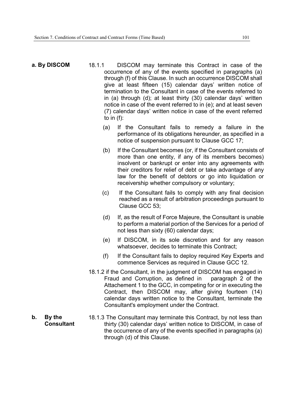**b. By the** 

**Consultant** 

- **a. By DISCOM** 18.1.1 DISCOM may terminate this Contract in case of the occurrence of any of the events specified in paragraphs (a) through (f) of this Clause. In such an occurrence DISCOM shall give at least fifteen (15) calendar days' written notice of termination to the Consultant in case of the events referred to in (a) through (d); at least thirty (30) calendar days' written notice in case of the event referred to in (e); and at least seven (7) calendar days' written notice in case of the event referred to in (f):
	- (a) If the Consultant fails to remedy a failure in the performance of its obligations hereunder, as specified in a notice of suspension pursuant to Clause GCC 17;
	- (b) If the Consultant becomes (or, if the Consultant consists of more than one entity, if any of its members becomes) insolvent or bankrupt or enter into any agreements with their creditors for relief of debt or take advantage of any law for the benefit of debtors or go into liquidation or receivership whether compulsory or voluntary;
	- (c) If the Consultant fails to comply with any final decision reached as a result of arbitration proceedings pursuant to Clause GCC 53;
	- (d) If, as the result of Force Majeure, the Consultant is unable to perform a material portion of the Services for a period of not less than sixty (60) calendar days;
	- (e) If DISCOM, in its sole discretion and for any reason whatsoever, decides to terminate this Contract;
	- (f) If the Consultant fails to deploy required Key Experts and commence Services as required in Clause GCC 12.
	- 18.1.2 if the Consultant, in the judgment of DISCOM has engaged in Fraud and Corruption, as defined in paragraph 2 of the Attachement 1 to the GCC, in competing for or in executing the Contract, then DISCOM may, after giving fourteen (14) calendar days written notice to the Consultant, terminate the Consultant's employment under the Contract.
	- 18.1.3 The Consultant may terminate this Contract, by not less than thirty (30) calendar days' written notice to DISCOM, in case of the occurrence of any of the events specified in paragraphs (a) through (d) of this Clause.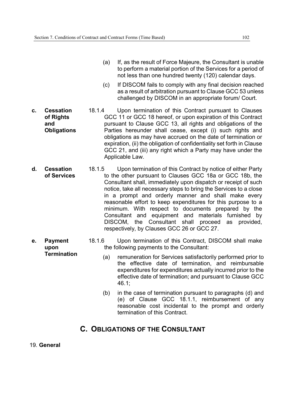- (a) If, as the result of Force Majeure, the Consultant is unable to perform a material portion of the Services for a period of not less than one hundred twenty (120) calendar days.
- (c) If DISCOM fails to comply with any final decision reached as a result of arbitration pursuant to Clause GCC 53 unless challenged by DISCOM in an appropriate forum/ Court.
- **c. Cessation of Rights and Obligations**  18.1.4 Upon termination of this Contract pursuant to Clauses GCC 11 or GCC 18 hereof, or upon expiration of this Contract pursuant to Clause GCC 13, all rights and obligations of the Parties hereunder shall cease, except (i) such rights and obligations as may have accrued on the date of termination or expiration, (ii) the obligation of confidentiality set forth in Clause GCC 21, and (iii) any right which a Party may have under the Applicable Law.
- **d. Cessation of Services**  18.1.5 Upon termination of this Contract by notice of either Party to the other pursuant to Clauses GCC 18a or GCC 18b, the Consultant shall, immediately upon dispatch or receipt of such notice, take all necessary steps to bring the Services to a close in a prompt and orderly manner and shall make every reasonable effort to keep expenditures for this purpose to a minimum. With respect to documents prepared by the Consultant and equipment and materials furnished by DISCOM, the Consultant shall proceed as provided, respectively, by Clauses GCC 26 or GCC 27.
- **e. Payment upon Termination** 18.1.6 Upon termination of this Contract, DISCOM shall make the following payments to the Consultant:
	- (a) remuneration for Services satisfactorily performed prior to the effective date of termination, and reimbursable expenditures for expenditures actually incurred prior to the effective date of termination; and pursuant to Clause GCC 46.1;
	- (b) in the case of termination pursuant to paragraphs (d) and (e) of Clause GCC 18.1.1, reimbursement of any reasonable cost incidental to the prompt and orderly termination of this Contract.

## **C. OBLIGATIONS OF THE CONSULTANT**

19. **General**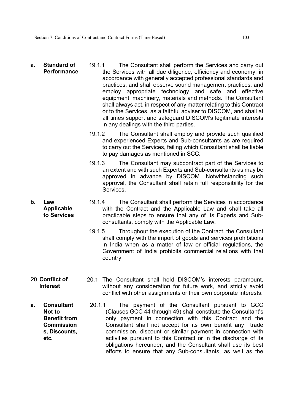**b. Law** 

- **a. Standard of Performance**  19.1.1 The Consultant shall perform the Services and carry out the Services with all due diligence, efficiency and economy, in accordance with generally accepted professional standards and practices, and shall observe sound management practices, and employ appropriate technology and safe and effective equipment, machinery, materials and methods. The Consultant shall always act, in respect of any matter relating to this Contract or to the Services, as a faithful adviser to DISCOM, and shall at all times support and safeguard DISCOM's legitimate interests in any dealings with the third parties.
	- 19.1.2 The Consultant shall employ and provide such qualified and experienced Experts and Sub-consultants as are required to carry out the Services, failing which Consultant shall be liable to pay damages as mentioned in SCC.
	- 19.1.3 The Consultant may subcontract part of the Services to an extent and with such Experts and Sub-consultants as may be approved in advance by DISCOM. Notwithstanding such approval, the Consultant shall retain full responsibility for the Services.
	- **Applicable to Services**  19.1.4 The Consultant shall perform the Services in accordance with the Contract and the Applicable Law and shall take all practicable steps to ensure that any of its Experts and Subconsultants, comply with the Applicable Law.
		- 19.1.5 Throughout the execution of the Contract, the Consultant shall comply with the import of goods and services prohibitions in India when as a matter of law or official regulations, the Government of India prohibits commercial relations with that country.
- 20 **Conflict of Interest**  20.1 The Consultant shall hold DISCOM's interests paramount, without any consideration for future work, and strictly avoid conflict with other assignments or their own corporate interests.
- **a. Consultant Not to Benefit from Commission s, Discounts, etc.**  20.1.1 The payment of the Consultant pursuant to GCC (Clauses GCC 44 through 49) shall constitute the Consultant's only payment in connection with this Contract and the Consultant shall not accept for its own benefit any trade commission, discount or similar payment in connection with activities pursuant to this Contract or in the discharge of its obligations hereunder, and the Consultant shall use its best efforts to ensure that any Sub-consultants, as well as the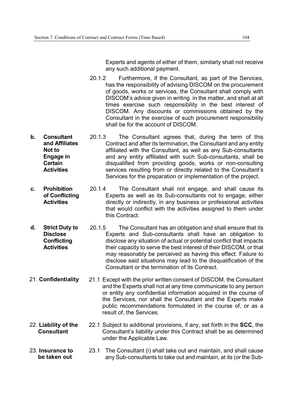Experts and agents of either of them, similarly shall not receive any such additional payment.

- 20.1.2 Furthermore, if the Consultant, as part of the Services, has the responsibility of advising DISCOM on the procurement of goods, works or services, the Consultant shall comply with DISCOM's advice given in writing in the matter, and shall at all times exercise such responsibility in the best interest of DISCOM. Any discounts or commissions obtained by the Consultant in the exercise of such procurement responsibility shall be for the account of DISCOM.
- **b. Consultant and Affiliates Not to Engage in Certain Activities**  20.1.3 The Consultant agrees that, during the term of this Contract and after its termination, the Consultant and any entity affiliated with the Consultant, as well as any Sub-consultants and any entity affiliated with such Sub-consultants, shall be disqualified from providing goods, works or non-consulting services resulting from or directly related to the Consultant's Services for the preparation or implementation of the project.
- **c. Prohibition of Conflicting Activities**  20.1.4 The Consultant shall not engage, and shall cause its Experts as well as its Sub-consultants not to engage, either directly or indirectly, in any business or professional activities that would conflict with the activities assigned to them under this Contract.
- **d. Strict Duty to Disclose Conflicting Activities**  20.1.5 The Consultant has an obligation and shall ensure that its Experts and Sub-consultants shall have an obligation to disclose any situation of actual or potential conflict that impacts their capacity to serve the best interest of their DISCOM, or that may reasonably be perceived as having this effect. Failure to disclose said situations may lead to the disqualification of the Consultant or the termination of its Contract.
- 21. **Confidentiality** 21.1 Except with the prior written consent of DISCOM, the Consultant and the Experts shall not at any time communicate to any person or entity any confidential information acquired in the course of the Services, nor shall the Consultant and the Experts make public recommendations formulated in the course of, or as a result of, the Services.
- 22. **Liability of the Consultant** 22.1 Subject to additional provisions, if any, set forth in the **SCC**, the Consultant's liability under this Contract shall be as determined under the Applicable Law.
- 23. **Insurance to be taken out**  23.1 The Consultant (i) shall take out and maintain, and shall cause any Sub-consultants to take out and maintain, at its (or the Sub-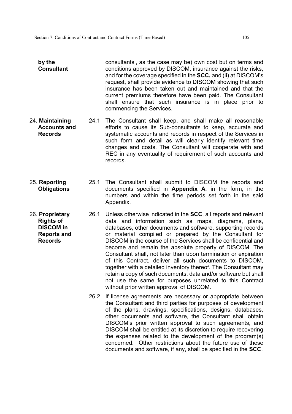- **by the Consultant** consultants', as the case may be) own cost but on terms and conditions approved by DISCOM, insurance against the risks, and for the coverage specified in the **SCC,** and (ii) at DISCOM's request, shall provide evidence to DISCOM showing that such insurance has been taken out and maintained and that the current premiums therefore have been paid. The Consultant shall ensure that such insurance is in place prior to commencing the Services.
- 24. **Maintaining Accounts and Records** 24.1 The Consultant shall keep, and shall make all reasonable efforts to cause its Sub-consultants to keep, accurate and systematic accounts and records in respect of the Services in such form and detail as will clearly identify relevant time changes and costs. The Consultant will cooperate with and REC in any eventuality of requirement of such accounts and records.
- 25. **Reporting Obligations** 25.1 The Consultant shall submit to DISCOM the reports and documents specified in **Appendix A**, in the form, in the numbers and within the time periods set forth in the said Appendix.
- 26. **Proprietary Rights of DISCOM in Reports and Records** 26.1 Unless otherwise indicated in the **SCC**, all reports and relevant data and information such as maps, diagrams, plans, databases, other documents and software, supporting records or material compiled or prepared by the Consultant for DISCOM in the course of the Services shall be confidential and become and remain the absolute property of DISCOM. The Consultant shall, not later than upon termination or expiration of this Contract, deliver all such documents to DISCOM, together with a detailed inventory thereof. The Consultant may retain a copy of such documents, data and/or software but shall not use the same for purposes unrelated to this Contract without prior written approval of DISCOM.
	- 26.2 If license agreements are necessary or appropriate between the Consultant and third parties for purposes of development of the plans, drawings, specifications, designs, databases, other documents and software, the Consultant shall obtain DISCOM's prior written approval to such agreements, and DISCOM shall be entitled at its discretion to require recovering the expenses related to the development of the program(s) concerned. Other restrictions about the future use of these documents and software, if any, shall be specified in the **SCC**.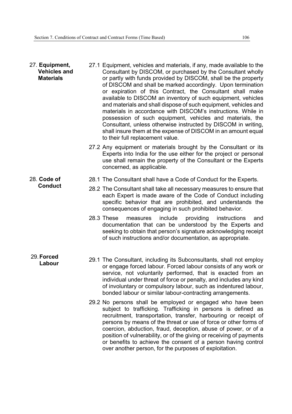| 27. Equipment,<br><b>Vehicles and</b><br><b>Materials</b> | 27.1 Equipment, vehicles and materials, if any, made available to the<br>Consultant by DISCOM, or purchased by the Consultant wholly<br>or partly with funds provided by DISCOM, shall be the property<br>of DISCOM and shall be marked accordingly. Upon termination<br>or expiration of this Contract, the Consultant shall make<br>available to DISCOM an inventory of such equipment, vehicles<br>and materials and shall dispose of such equipment, vehicles and<br>materials in accordance with DISCOM's instructions. While in<br>possession of such equipment, vehicles and materials, the<br>Consultant, unless otherwise instructed by DISCOM in writing,<br>shall insure them at the expense of DISCOM in an amount equal<br>to their full replacement value. |
|-----------------------------------------------------------|--------------------------------------------------------------------------------------------------------------------------------------------------------------------------------------------------------------------------------------------------------------------------------------------------------------------------------------------------------------------------------------------------------------------------------------------------------------------------------------------------------------------------------------------------------------------------------------------------------------------------------------------------------------------------------------------------------------------------------------------------------------------------|
|                                                           | 27.2 Any equipment or materials brought by the Consultant or its<br>Experts into India for the use either for the project or personal                                                                                                                                                                                                                                                                                                                                                                                                                                                                                                                                                                                                                                    |

- Experts into India for the use either for the project or personal use shall remain the property of the Consultant or the Experts concerned, as applicable.
- 28. **Code of Conduct** 28.1 The Consultant shall have a Code of Conduct for the Experts.
	- 28.2 The Consultant shall take all necessary measures to ensure that each Expert is made aware of the Code of Conduct including specific behavior that are prohibited, and understands the consequences of engaging in such prohibited behavior.
	- 28.3 These measures include providing instructions and documentation that can be understood by the Experts and seeking to obtain that person's signature acknowledging receipt of such instructions and/or documentation, as appropriate.
- 29. **Forced** 
	- **Labour** 29.1 The Consultant, including its Subconsultants, shall not employ or engage forced labour. Forced labour consists of any work or service, not voluntarily performed, that is exacted from an individual under threat of force or penalty, and includes any kind of involuntary or compulsory labour, such as indentured labour, bonded labour or similar labour-contracting arrangements.
		- 29.2 No persons shall be employed or engaged who have been subject to trafficking. Trafficking in persons is defined as recruitment, transportation, transfer, harbouring or receipt of persons by means of the threat or use of force or other forms of coercion, abduction, fraud, deception, abuse of power, or of a position of vulnerability, or of the giving or receiving of payments or benefits to achieve the consent of a person having control over another person, for the purposes of exploitation.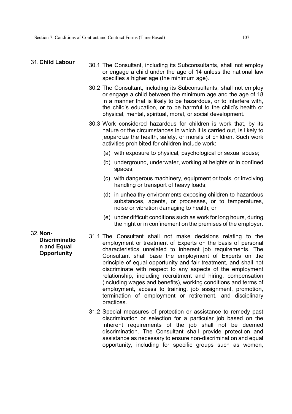#### 31. **Child Labour**

- 30.1 The Consultant, including its Subconsultants, shall not employ or engage a child under the age of 14 unless the national law specifies a higher age (the minimum age).
- 30.2 The Consultant, including its Subconsultants, shall not employ or engage a child between the minimum age and the age of 18 in a manner that is likely to be hazardous, or to interfere with, the child's education, or to be harmful to the child's health or physical, mental, spiritual, moral, or social development.
- 30.3 Work considered hazardous for children is work that, by its nature or the circumstances in which it is carried out, is likely to jeopardize the health, safety, or morals of children. Such work activities prohibited for children include work:
	- (a) with exposure to physical, psychological or sexual abuse;
	- (b) underground, underwater, working at heights or in confined spaces;
	- (c) with dangerous machinery, equipment or tools, or involving handling or transport of heavy loads;
	- (d) in unhealthy environments exposing children to hazardous substances, agents, or processes, or to temperatures, noise or vibration damaging to health; or
	- (e) under difficult conditions such as work for long hours, during the night or in confinement on the premises of the employer.
- 32. **Non-Discriminatio n and Equal Opportunity**
- 31.1 The Consultant shall not make decisions relating to the employment or treatment of Experts on the basis of personal characteristics unrelated to inherent job requirements. The Consultant shall base the employment of Experts on the principle of equal opportunity and fair treatment, and shall not discriminate with respect to any aspects of the employment relationship, including recruitment and hiring, compensation (including wages and benefits), working conditions and terms of employment, access to training, job assignment, promotion, termination of employment or retirement, and disciplinary practices.
- 31.2 Special measures of protection or assistance to remedy past discrimination or selection for a particular job based on the inherent requirements of the job shall not be deemed discrimination. The Consultant shall provide protection and assistance as necessary to ensure non-discrimination and equal opportunity, including for specific groups such as women,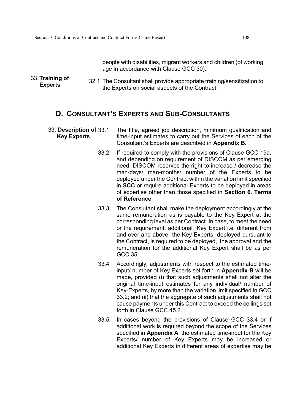people with disabilities, migrant workers and children (of working age in accordance with Clause GCC 30).

33. **Training of Experts** 32.1 The Consultant shall provide appropriate training/sensitization to<br>the Experts on easiel experts of the Captract the Experts on social aspects of the Contract.

## **D. CONSULTANT'S EXPERTS AND SUB-CONSULTANTS**

- 33. **Description of Key Experts** The title, agreed job description, minimum qualification and time-input estimates to carry out the Services of each of the Consultant's Experts are described in **Appendix B.** 
	- 33.2 If required to comply with the provisions of Clause GCC 19a, and depending on requirement of DISCOM as per emerging need, DISCOM reserves the right to increase / decrease the man-days/ man-months/ number of the Experts to be deployed under the Contract within the variation limit specified in **SCC** or require additional Experts to be deployed in areas of expertise other than those specified in **Section 6. Terms of Reference**.
	- 33.3 The Consultant shall make the deployment accordingly at the same remuneration as is payable to the Key Expert at the corresponding level as per Contract. In case, to meet the need or the requirement, additional Key Expert i.e, different from and over and above the Key Experts deployed pursuant to the Contract, is required to be deployed, the approval and the remuneration for the additional Key Expert shall be as per GCC 35.
	- 33.4 Accordingly, adjustments with respect to the estimated timeinput/ number of Key Experts set forth in **Appendix B** will be made, provided (i) that such adjustments shall not alter the original time-input estimates for any individual/ number of Key-Experts, by more than the variation limit specified in GCC 33.2; and (ii) that the aggregate of such adjustments shall not cause payments under this Contract to exceed the ceilings set forth in Clause GCC 45.2.
	- 33.5 In cases beyond the provisions of Clause GCC 33.4 or if additional work is required beyond the scope of the Services specified in **Appendix A**, the estimated time-input for the Key Experts/ number of Key Experts may be increased or additional Key Experts in different areas of expertise may be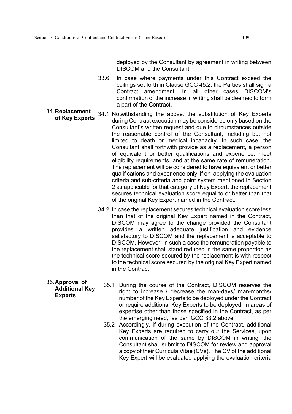deployed by the Consultant by agreement in writing between DISCOM and the Consultant.

- 33.6 In case where payments under this Contract exceed the ceilings set forth in Clause GCC 45.2, the Parties shall sign a Contract amendment. In all other cases DISCOM's confirmation of the increase in writing shall be deemed to form a part of the Contract.
- 34. **Replacement of Key Experts** 34.1 Notwithstanding the above, the substitution of Key Experts during Contract execution may be considered only based on the Consultant's written request and due to circumstances outside the reasonable control of the Consultant, including but not limited to death or medical incapacity. In such case, the Consultant shall forthwith provide as a replacement, a person of equivalent or better qualifications and experience, meet eligibility requirements, and at the same rate of remuneration. The replacement will be considered to have equivalent or better qualifications and experience only if on applying the evaluation criteria and sub-criteria and point system mentioned in Section 2 as applicable for that category of Key Expert, the replacement secures technical evaluation score equal to or better than that of the original Key Expert named in the Contract.
	- 34.2 In case the replacement secures technical evaluation score less than that of the original Key Expert named in the Contract, DISCOM may agree to the change provided the Consultant provides a written adequate justification and evidence satisfactory to DISCOM and the replacement is acceptable to DISCOM. However, in such a case the remuneration payable to the replacement shall stand reduced in the same proportion as the technical score secured by the replacement is with respect to the technical score secured by the original Key Expert named in the Contract.
- 35. **Approval of Additional Key Experts**
- 35.1 During the course of the Contract, DISCOM reserves the right to increase / decrease the man-days/ man-months/ number of the Key Experts to be deployed under the Contract or require additional Key Experts to be deployed in areas of expertise other than those specified in the Contract, as per the emerging need, as per GCC 33.2 above.
- 35.2 Accordingly, if during execution of the Contract, additional Key Experts are required to carry out the Services, upon communication of the same by DISCOM in writing, the Consultant shall submit to DISCOM for review and approval a copy of their Curricula Vitae (CVs). The CV of the additional Key Expert will be evaluated applying the evaluation criteria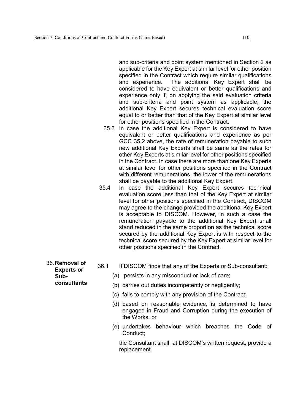and sub-criteria and point system mentioned in Section 2 as applicable for the Key Expert at similar level for other position specified in the Contract which require similar qualifications and experience. The additional Key Expert shall be considered to have equivalent or better qualifications and experience only if, on applying the said evaluation criteria and sub-criteria and point system as applicable, the additional Key Expert secures technical evaluation score equal to or better than that of the Key Expert at similar level for other positions specified in the Contract.

- 35.3 In case the additional Key Expert is considered to have equivalent or better qualifications and experience as per GCC 35.2 above, the rate of remuneration payable to such new additional Key Experts shall be same as the rates for other Key Experts at similar level for other positions specified in the Contract. In case there are more than one Key Experts at similar level for other positions specified in the Contract with different remunerations, the lower of the remunerations shall be payable to the additional Key Expert.
- 35.4 In case the additional Key Expert secures technical evaluation score less than that of the Key Expert at similar level for other positions specified in the Contract, DISCOM may agree to the change provided the additional Key Expert is acceptable to DISCOM. However, in such a case the remuneration payable to the additional Key Expert shall stand reduced in the same proportion as the technical score secured by the additional Key Expert is with respect to the technical score secured by the Key Expert at similar level for other positions specified in the Contract.
- 36.1 If DISCOM finds that any of the Experts or Sub-consultant:
	- (a) persists in any misconduct or lack of care;
	- (b) carries out duties incompetently or negligently;
	- (c) fails to comply with any provision of the Contract;
	- (d) based on reasonable evidence, is determined to have engaged in Fraud and Corruption during the execution of the Works; or
	- (e) undertakes behaviour which breaches the Code of Conduct;

the Consultant shall, at DISCOM's written request, provide a replacement.

36. **Removal of Experts or Subconsultants**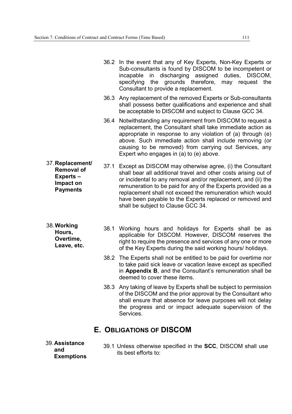|                                                                                          |      | 36.2 In the event that any of Key Experts, Non-Key Experts or<br>Sub-consultants is found by DISCOM to be incompetent or<br>incapable in discharging assigned duties, DISCOM,<br>the grounds therefore,<br>specifying<br>may request the<br>Consultant to provide a replacement.                                                                                                                                            |
|------------------------------------------------------------------------------------------|------|-----------------------------------------------------------------------------------------------------------------------------------------------------------------------------------------------------------------------------------------------------------------------------------------------------------------------------------------------------------------------------------------------------------------------------|
|                                                                                          |      | 36.3 Any replacement of the removed Experts or Sub-consultants<br>shall possess better qualifications and experience and shall<br>be acceptable to DISCOM and subject to Clause GCC 34.                                                                                                                                                                                                                                     |
|                                                                                          | 36.4 | Notwithstanding any requirement from DISCOM to request a<br>replacement, the Consultant shall take immediate action as<br>appropriate in response to any violation of (a) through (e)<br>above. Such immediate action shall include removing (or<br>causing to be removed) from carrying out Services, any<br>Expert who engages in (a) to (e) above.                                                                       |
| 37. Replacement/<br><b>Removal of</b><br><b>Experts-</b><br>Impact on<br><b>Payments</b> | 37.1 | Except as DISCOM may otherwise agree, (i) the Consultant<br>shall bear all additional travel and other costs arising out of<br>or incidental to any removal and/or replacement, and (ii) the<br>remuneration to be paid for any of the Experts provided as a<br>replacement shall not exceed the remuneration which would<br>have been payable to the Experts replaced or removed and<br>shall be subject to Clause GCC 34. |
| 38. Working<br>Hours,<br>Overtime,<br>Leave, etc.                                        |      | 38.1 Working hours and holidays for Experts shall be as<br>applicable for DISCOM. However, DISCOM reserves the<br>right to require the presence and services of any one or more<br>of the Key Experts during the said working hours/ holidays.                                                                                                                                                                              |
|                                                                                          |      | 38.2 The Experts shall not be entitled to be paid for overtime nor<br>to take paid sick leave or vacation leave except as specified<br>in Appendix B, and the Consultant's remuneration shall be<br>deemed to cover these items.                                                                                                                                                                                            |
|                                                                                          |      | 38.3 Any taking of leave by Experts shall be subject to permission<br>of the DISCOM and the prior approval by the Consultant who<br>shall ensure that absence for leave purposes will not delay<br>the progress and or impact adequate supervision of the<br>Services.                                                                                                                                                      |

## **E. OBLIGATIONS OF DISCOM**

- 39. **Assistance and Exemptions**
- 39.1 Unless otherwise specified in the **SCC**, DISCOM shall use its best efforts to: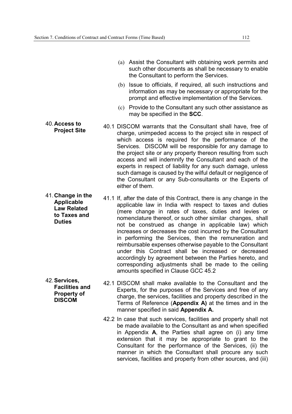- (a) Assist the Consultant with obtaining work permits and such other documents as shall be necessary to enable the Consultant to perform the Services.
- (b) Issue to officials, if required, all such instructions and information as may be necessary or appropriate for the prompt and effective implementation of the Services.
- (c) Provide to the Consultant any such other assistance as may be specified in the **SCC**.
- **Project Site** 40.1 DISCOM warrants that the Consultant shall have, free of **Project Site** charge, unimpeded access to the project site in respect of which access is required for the performance of the Services. DISCOM will be responsible for any damage to the project site or any property thereon resulting from such access and will indemnify the Consultant and each of the experts in respect of liability for any such damage, unless such damage is caused by the wilful default or negligence of the Consultant or any Sub-consultants or the Experts of either of them.
- **Applicable Law Related to Taxes and Duties**  41.1 If, after the date of this Contract, there is any change in the applicable law in India with respect to taxes and duties (mere change in rates of taxes, duties and levies or nomenclature thereof, or such other similar changes, shall not be construed as change in applicable law) which increases or decreases the cost incurred by the Consultant in performing the Services, then the remuneration and reimbursable expenses otherwise payable to the Consultant under this Contract shall be increased or decreased accordingly by agreement between the Parties hereto, and corresponding adjustments shall be made to the ceiling amounts specified in Clause GCC 45.2
- 42. **Services, Facilities and Property of DISCOM**  42.1 DISCOM shall make available to the Consultant and the Experts, for the purposes of the Services and free of any charge, the services, facilities and property described in the Terms of Reference (**Appendix A)** at the times and in the manner specified in said **Appendix A.**
	- 42.2 In case that such services, facilities and property shall not be made available to the Consultant as and when specified in Appendix **A**, the Parties shall agree on (i) any time extension that it may be appropriate to grant to the Consultant for the performance of the Services, (ii) the manner in which the Consultant shall procure any such services, facilities and property from other sources, and (iii)

# 40. **Access to**

41. **Change in the**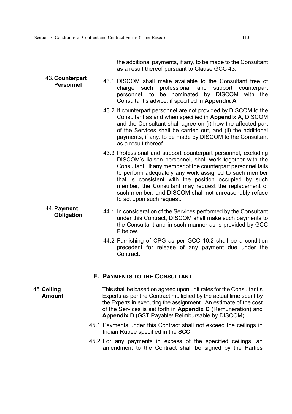44. **Payment** 

the additional payments, if any, to be made to the Consultant as a result thereof pursuant to Clause GCC 43.

- 43. **Counterpart Personnel** 43.1 DISCOM shall make available to the Consultant free of charge such professional and support counterpart personnel, to be nominated by DISCOM with the Consultant's advice, if specified in **Appendix A**.
	- 43.2 If counterpart personnel are not provided by DISCOM to the Consultant as and when specified in **Appendix A**, DISCOM and the Consultant shall agree on (i) how the affected part of the Services shall be carried out, and (ii) the additional payments, if any, to be made by DISCOM to the Consultant as a result thereof.
	- 43.3 Professional and support counterpart personnel, excluding DISCOM's liaison personnel, shall work together with the Consultant. If any member of the counterpart personnel fails to perform adequately any work assigned to such member that is consistent with the position occupied by such member, the Consultant may request the replacement of such member, and DISCOM shall not unreasonably refuse to act upon such request.
	- **Obligation** 44.1 In consideration of the Services performed by the Consultant under this Contract, DISCOM shall make such payments to the Consultant and in such manner as is provided by GCC F below.
		- 44.2 Furnishing of CPG as per GCC 10.2 shall be a condition precedent for release of any payment due under the Contract.

#### **F. PAYMENTS TO THE CONSULTANT**

- 45 **Ceiling Amount** This shall be based on agreed upon unit rates for the Consultant's Experts as per the Contract multiplied by the actual time spent by the Experts in executing the assignment. An estimate of the cost of the Services is set forth in **Appendix C** (Remuneration) and **Appendix D** (GST Payable/ Reimbursable by DISCOM).
	- 45.1 Payments under this Contract shall not exceed the ceilings in Indian Rupee specified in the **SCC**.
	- 45.2 For any payments in excess of the specified ceilings, an amendment to the Contract shall be signed by the Parties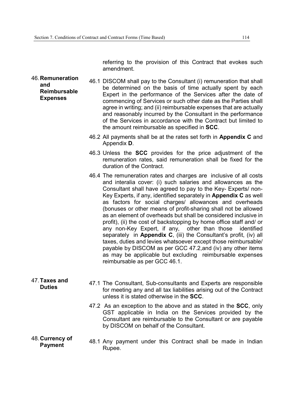referring to the provision of this Contract that evokes such amendment.

- 46. **Remuneration and Reimbursable Expenses**  46.1 DISCOM shall pay to the Consultant (i) remuneration that shall be determined on the basis of time actually spent by each Expert in the performance of the Services after the date of commencing of Services or such other date as the Parties shall agree in writing; and (ii) reimbursable expenses that are actually and reasonably incurred by the Consultant in the performance of the Services in accordance with the Contract but limited to the amount reimbursable as specified in **SCC**.
	- 46.2 All payments shall be at the rates set forth in **Appendix C** and Appendix **D**.
	- 46.3 Unless the **SCC** provides for the price adjustment of the remuneration rates, said remuneration shall be fixed for the duration of the Contract.
	- 46.4 The remuneration rates and charges are inclusive of all costs and interalia cover: (i) such salaries and allowances as the Consultant shall have agreed to pay to the Key- Experts/ non-Key Experts, if any, identified separately in **Appendix C** as well as factors for social charges/ allowances and overheads (bonuses or other means of profit-sharing shall not be allowed as an element of overheads but shall be considered inclusive in profit), (ii) the cost of backstopping by home office staff and/ or any non-Key Expert, if any, other than those identified separately in **Appendix C**, (iii) the Consultant's profit, (iv) all taxes, duties and levies whatsoever except those reimbursable/ payable by DISCOM as per GCC 47.2,and (iv) any other items as may be applicable but excluding reimbursable expenses reimbursable as per GCC 46.1.
- 47. **Taxes and Duties** 47.1 The Consultant, Sub-consultants and Experts are responsible for meeting any and all tax liabilities arising out of the Contract unless it is stated otherwise in the **SCC**. 47.2 As an exception to the above and as stated in the **SCC**, only GST applicable in India on the Services provided by the Consultant are reimbursable to the Consultant or are payable by DISCOM on behalf of the Consultant.

#### 48. **Currency of Payment** *AB.1 Any payment under this Contract shall be made in Indian*<br>Payment **Bungs** Rupee.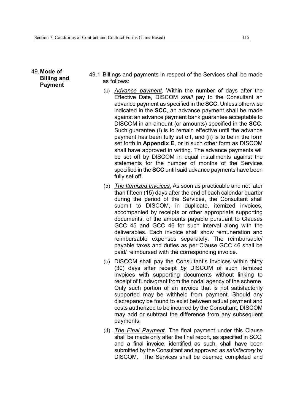49. **Mode of Billing and Payment** 

- 49.1 Billings and payments in respect of the Services shall be made as follows:
	- (a) *Advance payment*. Within the number of days after the Effective Date, DISCOM *shall* pay to the Consultant an advance payment as specified in the **SCC**. Unless otherwise indicated in the **SCC**, an advance payment shall be made against an advance payment bank guarantee acceptable to DISCOM in an amount (or amounts) specified in the **SCC**. Such guarantee (i) is to remain effective until the advance payment has been fully set off, and (ii) is to be in the form set forth in **Appendix E**, or in such other form as DISCOM shall have approved in writing. The advance payments will be set off by DISCOM in equal installments against the statements for the number of months of the Services specified in the **SCC** until said advance payments have been fully set off.
	- (b) *The Itemized Invoices.* As soon as practicable and not later than fifteen (15) days after the end of each calendar quarter during the period of the Services, the Consultant shall submit to DISCOM, in duplicate, itemized invoices, accompanied by receipts or other appropriate supporting documents, of the amounts payable pursuant to Clauses GCC 45 and GCC 46 for such interval along with the deliverables. Each invoice shall show remuneration and reimbursable expenses separately. The reimbursable/ payable taxes and duties as per Clause GCC 46 shall be paid/ reimbursed with the corresponding invoice.
	- (c) DISCOM shall pay the Consultant's invoices within thirty (30) days after receipt *by* DISCOM of such itemized invoices with supporting documents without linking to receipt of funds/grant from the nodal agency of the scheme. Only such portion of an invoice that is not satisfactorily supported may be withheld from payment. Should any discrepancy be found to exist between actual payment and costs authorized to be incurred by the Consultant, DISCOM may add or subtract the difference from any subsequent payments.
	- (d) *The Final Payment*. The final payment under this Clause shall be made only after the final report, as specified in SCC, and a final invoice, identified as such, shall have been submitted by the Consultant and approved as *satisfactory* by DISCOM. The Services shall be deemed completed and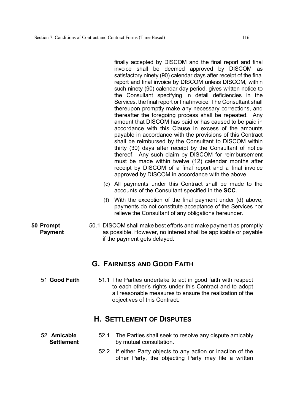finally accepted by DISCOM and the final report and final invoice shall be deemed approved by DISCOM as satisfactory ninety (90) calendar days after receipt of the final report and final invoice by DISCOM unless DISCOM, within such ninety (90) calendar day period, gives written notice to the Consultant specifying in detail deficiencies in the Services, the final report or final invoice. The Consultant shall thereupon promptly make any necessary corrections, and thereafter the foregoing process shall be repeated. Any amount that DISCOM has paid or has caused to be paid in accordance with this Clause in excess of the amounts payable in accordance with the provisions of this Contract shall be reimbursed by the Consultant to DISCOM within thirty (30) days after receipt by the Consultant of notice thereof. Any such claim by DISCOM for reimbursement must be made within twelve (12) calendar months after receipt by DISCOM of a final report and a final invoice approved by DISCOM in accordance with the above.

- (e) All payments under this Contract shall be made to the accounts of the Consultant specified in the **SCC**.
- (f) With the exception of the final payment under (d) above, payments do not constitute acceptance of the Services nor relieve the Consultant of any obligations hereunder.
- 50.1 DISCOM shall make best efforts and make payment as promptly as possible. However, no interest shall be applicable or payable if the payment gets delayed.

### **G. FAIRNESS AND GOOD FAITH**

51 **Good Faith** 51.1 The Parties undertake to act in good faith with respect to each other's rights under this Contract and to adopt all reasonable measures to ensure the realization of the objectives of this Contract.

### **H. SETTLEMENT OF DISPUTES**

- 52.1 The Parties shall seek to resolve any dispute amicably by mutual consultation.
	- 52.2 If either Party objects to any action or inaction of the other Party, the objecting Party may file a written

52 **Amicable Settlement**

**50 Prompt Payment**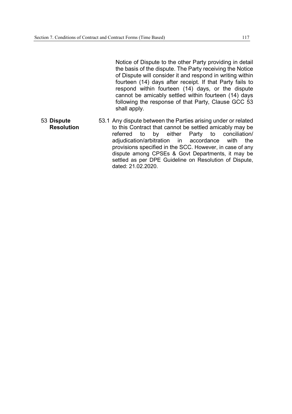Notice of Dispute to the other Party providing in detail the basis of the dispute. The Party receiving the Notice of Dispute will consider it and respond in writing within fourteen (14) days after receipt. If that Party fails to respond within fourteen (14) days, or the dispute cannot be amicably settled within fourteen (14) days following the response of that Party, Clause GCC 53 shall apply.

53 **Dispute Resolution** 53.1 Any dispute between the Parties arising under or related to this Contract that cannot be settled amicably may be referred to by either Party to conciliation/<br>adjudication/arbitration in accordance with the adjudication/arbitration in accordance with the provisions specified in the SCC. However, in case of any dispute among CPSEs & Govt Departments, it may be settled as per DPE Guideline on Resolution of Dispute, dated: 21.02.2020.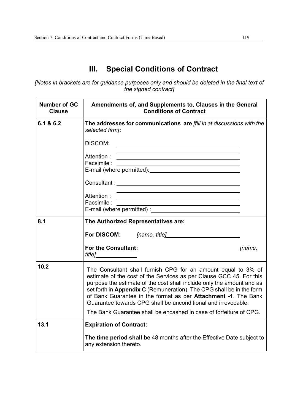## **III. Special Conditions of Contract**

*[Notes in brackets are for guidance purposes only and should be deleted in the final text of the signed contract]* 

| <b>Number of GC</b><br><b>Clause</b> | Amendments of, and Supplements to, Clauses in the General<br><b>Conditions of Contract</b>                                                                                                                                                                                                                                                                                                                                                                                                     |        |  |
|--------------------------------------|------------------------------------------------------------------------------------------------------------------------------------------------------------------------------------------------------------------------------------------------------------------------------------------------------------------------------------------------------------------------------------------------------------------------------------------------------------------------------------------------|--------|--|
| 6.1 & 6.2                            | The addresses for communications are [fill in at discussions with the<br>selected firm]:                                                                                                                                                                                                                                                                                                                                                                                                       |        |  |
|                                      | DISCOM:                                                                                                                                                                                                                                                                                                                                                                                                                                                                                        |        |  |
|                                      | Facsimile :<br><u> 1989 - Johann Stein, marwolaethau a bhann an t-Amhair an t-Amhair an t-Amhair an t-Amhair an t-Amhair an t-A</u>                                                                                                                                                                                                                                                                                                                                                            |        |  |
|                                      |                                                                                                                                                                                                                                                                                                                                                                                                                                                                                                |        |  |
|                                      | Attention:<br>Facsimile :<br><u> 1989 - Johann Barn, fransk politik (</u>                                                                                                                                                                                                                                                                                                                                                                                                                      |        |  |
| 8.1                                  | The Authorized Representatives are:                                                                                                                                                                                                                                                                                                                                                                                                                                                            |        |  |
|                                      |                                                                                                                                                                                                                                                                                                                                                                                                                                                                                                |        |  |
|                                      | <b>For the Consultant:</b><br><i>title</i> ]                                                                                                                                                                                                                                                                                                                                                                                                                                                   | [name, |  |
| 10.2                                 | The Consultant shall furnish CPG for an amount equal to 3% of<br>estimate of the cost of the Services as per Clause GCC 45. For this<br>purpose the estimate of the cost shall include only the amount and as<br>set forth in Appendix C (Remuneration). The CPG shall be in the form<br>of Bank Guarantee in the format as per Attachment -1. The Bank<br>Guarantee towards CPG shall be unconditional and irrevocable.<br>The Bank Guarantee shall be encashed in case of forfeiture of CPG. |        |  |
| 13.1                                 | <b>Expiration of Contract:</b>                                                                                                                                                                                                                                                                                                                                                                                                                                                                 |        |  |
|                                      | The time period shall be 48 months after the Effective Date subject to<br>any extension thereto.                                                                                                                                                                                                                                                                                                                                                                                               |        |  |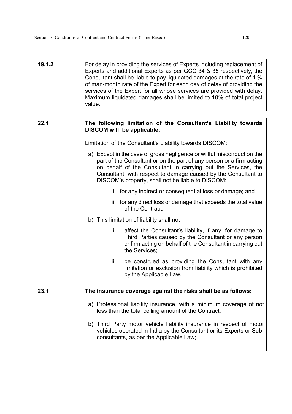| 19.1.2 | For delay in providing the services of Experts including replacement of<br>Experts and additional Experts as per GCC 34 & 35 respectively, the<br>Consultant shall be liable to pay liquidated damages at the rate of 1 %<br>of man-month rate of the Expert for each day of delay of providing the<br>services of the Expert for all whose services are provided with delay.<br>Maximum liquidated damages shall be limited to 10% of total project<br>value. |  |  |  |
|--------|----------------------------------------------------------------------------------------------------------------------------------------------------------------------------------------------------------------------------------------------------------------------------------------------------------------------------------------------------------------------------------------------------------------------------------------------------------------|--|--|--|
| 22.1   | The following limitation of the Consultant's Liability towards<br><b>DISCOM will be applicable:</b>                                                                                                                                                                                                                                                                                                                                                            |  |  |  |
|        | Limitation of the Consultant's Liability towards DISCOM:                                                                                                                                                                                                                                                                                                                                                                                                       |  |  |  |
|        | a) Except in the case of gross negligence or willful misconduct on the<br>part of the Consultant or on the part of any person or a firm acting<br>on behalf of the Consultant in carrying out the Services, the<br>Consultant, with respect to damage caused by the Consultant to<br>DISCOM's property, shall not be liable to DISCOM:                                                                                                                         |  |  |  |
|        | i. for any indirect or consequential loss or damage; and                                                                                                                                                                                                                                                                                                                                                                                                       |  |  |  |
|        | ii. for any direct loss or damage that exceeds the total value<br>of the Contract;                                                                                                                                                                                                                                                                                                                                                                             |  |  |  |
|        | b) This limitation of liability shall not                                                                                                                                                                                                                                                                                                                                                                                                                      |  |  |  |
|        | i.<br>affect the Consultant's liability, if any, for damage to<br>Third Parties caused by the Consultant or any person<br>or firm acting on behalf of the Consultant in carrying out<br>the Services;                                                                                                                                                                                                                                                          |  |  |  |
|        | ii.<br>be construed as providing the Consultant with any<br>limitation or exclusion from liability which is prohibited<br>by the Applicable Law.                                                                                                                                                                                                                                                                                                               |  |  |  |
| 23.1   | The insurance coverage against the risks shall be as follows:                                                                                                                                                                                                                                                                                                                                                                                                  |  |  |  |
|        | a) Professional liability insurance, with a minimum coverage of not<br>less than the total ceiling amount of the Contract;                                                                                                                                                                                                                                                                                                                                     |  |  |  |
|        | b) Third Party motor vehicle liability insurance in respect of motor<br>vehicles operated in India by the Consultant or its Experts or Sub-<br>consultants, as per the Applicable Law;                                                                                                                                                                                                                                                                         |  |  |  |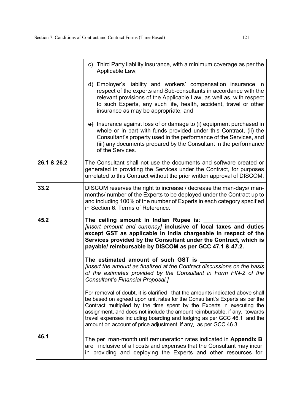|             | c) Third Party liability insurance, with a minimum coverage as per the<br>Applicable Law;                                                                                                                                                                                                                                                                                                                                                                    |
|-------------|--------------------------------------------------------------------------------------------------------------------------------------------------------------------------------------------------------------------------------------------------------------------------------------------------------------------------------------------------------------------------------------------------------------------------------------------------------------|
|             | d) Employer's liability and workers' compensation insurance in<br>respect of the experts and Sub-consultants in accordance with the<br>relevant provisions of the Applicable Law, as well as, with respect<br>to such Experts, any such life, health, accident, travel or other<br>insurance as may be appropriate; and                                                                                                                                      |
|             | $\leftrightarrow$ Insurance against loss of or damage to (i) equipment purchased in<br>whole or in part with funds provided under this Contract, (ii) the<br>Consultant's property used in the performance of the Services, and<br>(iii) any documents prepared by the Consultant in the performance<br>of the Services.                                                                                                                                     |
| 26.1 & 26.2 | The Consultant shall not use the documents and software created or<br>generated in providing the Services under the Contract, for purposes<br>unrelated to this Contract without the prior written approval of DISCOM.                                                                                                                                                                                                                                       |
| 33.2        | DISCOM reserves the right to increase / decrease the man-days/ man-<br>months/ number of the Experts to be deployed under the Contract up to<br>and including 100% of the number of Experts in each category specified<br>in Section 6. Terms of Reference.                                                                                                                                                                                                  |
| 45.2        | The ceiling amount in Indian Rupee is:<br>[insert amount and currency] inclusive of local taxes and duties<br>except GST as applicable in India chargeable in respect of the<br>Services provided by the Consultant under the Contract, which is<br>payable/ reimbursable by DISCOM as per GCC 47.1 & 47.2.                                                                                                                                                  |
|             | The estimated amount of such GST is<br>[insert the amount as finalized at the Contract discussions on the basis<br>of the estimates provided by the Consultant in Form FIN-2 of the<br>Consultant's Financial Proposal.]                                                                                                                                                                                                                                     |
|             | For removal of doubt, it is clarified that the amounts indicated above shall<br>be based on agreed upon unit rates for the Consultant's Experts as per the<br>Contract multiplied by the time spent by the Experts in executing the<br>assignment, and does not include the amount reimbursable, if any, towards<br>travel expenses including boarding and lodging as per GCC 46.1 and the<br>amount on account of price adjustment, if any, as per GCC 46.3 |
| 46.1        | The per man-month unit remuneration rates indicated in Appendix B<br>are inclusive of all costs and expenses that the Consultant may incur<br>in providing and deploying the Experts and other resources for                                                                                                                                                                                                                                                 |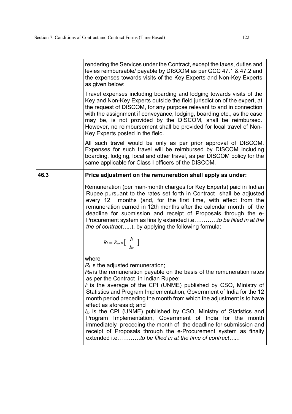|      | rendering the Services under the Contract, except the taxes, duties and<br>levies reimbursable/ payable by DISCOM as per GCC 47.1 & 47.2 and<br>the expenses towards visits of the Key Experts and Non-Key Experts<br>as given below:                                                                                                                                                                                                                                                                                                                                                                                                                                                                                                                                            |
|------|----------------------------------------------------------------------------------------------------------------------------------------------------------------------------------------------------------------------------------------------------------------------------------------------------------------------------------------------------------------------------------------------------------------------------------------------------------------------------------------------------------------------------------------------------------------------------------------------------------------------------------------------------------------------------------------------------------------------------------------------------------------------------------|
|      | Travel expenses including boarding and lodging towards visits of the<br>Key and Non-Key Experts outside the field jurisdiction of the expert, at<br>the request of DISCOM, for any purpose relevant to and in connection<br>with the assignment if conveyance, lodging, boarding etc., as the case<br>may be, is not provided by the DISCOM, shall be reimbursed.<br>However, no reimbursement shall be provided for local travel of Non-<br>Key Experts posted in the field.                                                                                                                                                                                                                                                                                                    |
|      | All such travel would be only as per prior approval of DISCOM.<br>Expenses for such travel will be reimbursed by DISCOM including<br>boarding, lodging, local and other travel, as per DISCOM policy for the<br>same applicable for Class I officers of the DISCOM.                                                                                                                                                                                                                                                                                                                                                                                                                                                                                                              |
| 46.3 | Price adjustment on the remuneration shall apply as under:                                                                                                                                                                                                                                                                                                                                                                                                                                                                                                                                                                                                                                                                                                                       |
|      | Remuneration (per man-month charges for Key Experts) paid in Indian<br>Rupee pursuant to the rates set forth in Contract shall be adjusted<br>months (and, for the first time, with effect from the<br>every 12<br>remuneration earned in 12th months after the calendar month of the<br>deadline for submission and receipt of Proposals through the e-<br>Procurement system as finally extended i.eto be filled in at the<br>the of contract), by applying the following formula:                                                                                                                                                                                                                                                                                             |
|      | $R_l = R_{lo} \times \left[ \begin{array}{c} \frac{I_l}{I_{lo}} \end{array} \right]$                                                                                                                                                                                                                                                                                                                                                                                                                                                                                                                                                                                                                                                                                             |
|      | where<br>$R_i$ is the adjusted remuneration;<br>$R_{\text{lo}}$ is the remuneration payable on the basis of the remuneration rates<br>as per the Contract in Indian Rupee;<br>$I_i$ is the average of the CPI (UNME) published by CSO, Ministry of<br>Statistics and Program Implementation, Government of India for the 12<br>month period preceding the month from which the adjustment is to have<br>effect as aforesaid; and<br>I <sub>lo</sub> is the CPI (UNME) published by CSO, Ministry of Statistics and<br>Program Implementation, Government of India for the month<br>immediately preceding the month of the deadline for submission and<br>receipt of Proposals through the e-Procurement system as finally<br>extended i.eto be filled in at the time of contract |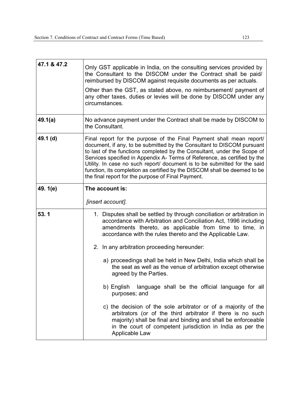| 47.1 & 47.2 | Only GST applicable in India, on the consulting services provided by<br>the Consultant to the DISCOM under the Contract shall be paid/<br>reimbursed by DISCOM against requisite documents as per actuals.<br>Other than the GST, as stated above, no reimbursement/ payment of<br>any other taxes, duties or levies will be done by DISCOM under any<br>circumstances.                                                                                                                                                 |  |  |
|-------------|-------------------------------------------------------------------------------------------------------------------------------------------------------------------------------------------------------------------------------------------------------------------------------------------------------------------------------------------------------------------------------------------------------------------------------------------------------------------------------------------------------------------------|--|--|
| 49.1(a)     | No advance payment under the Contract shall be made by DISCOM to<br>the Consultant.                                                                                                                                                                                                                                                                                                                                                                                                                                     |  |  |
| 49.1 (d)    | Final report for the purpose of the Final Payment shall mean report/<br>document, if any, to be submitted by the Consultant to DISCOM pursuant<br>to last of the functions completed by the Consultant, under the Scope of<br>Services specified in Appendix A- Terms of Reference, as certified by the<br>Utility. In case no such report/ document is to be submitted for the said<br>function, its completion as certified by the DISCOM shall be deemed to be<br>the final report for the purpose of Final Payment. |  |  |
| 49. 1(e)    | The account is:                                                                                                                                                                                                                                                                                                                                                                                                                                                                                                         |  |  |
|             | [insert account].                                                                                                                                                                                                                                                                                                                                                                                                                                                                                                       |  |  |
| 53.1        | 1. Disputes shall be settled by through conciliation or arbitration in<br>accordance with Arbitration and Conciliation Act, 1996 including<br>amendments thereto, as applicable from time to time, in<br>accordance with the rules thereto and the Applicable Law.                                                                                                                                                                                                                                                      |  |  |
|             | 2. In any arbitration proceeding hereunder:                                                                                                                                                                                                                                                                                                                                                                                                                                                                             |  |  |
|             | a) proceedings shall be held in New Delhi, India which shall be<br>the seat as well as the venue of arbitration except otherwise<br>agreed by the Parties.                                                                                                                                                                                                                                                                                                                                                              |  |  |
|             | language shall be the official language for all<br>b) English<br>purposes; and                                                                                                                                                                                                                                                                                                                                                                                                                                          |  |  |
|             | c) the decision of the sole arbitrator or of a majority of the<br>arbitrators (or of the third arbitrator if there is no such<br>majority) shall be final and binding and shall be enforceable<br>in the court of competent jurisdiction in India as per the<br>Applicable Law                                                                                                                                                                                                                                          |  |  |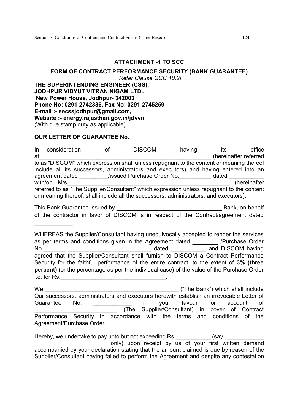#### **ATTACHMENT -1 TO SCC**

#### **FORM OF CONTRACT PERFORMANCE SECURITY (BANK GUARANTEE)**

[*Refer Clause GCC 10.2]*

**THE SUPERINTENDING ENGINEER (CSS), JODHPUR VIDYUT VITRAN NIGAM LTD., New Power House, Jodhpur- 342003 Phone No: 0291-2742336, Fax No: 0291-2745259 E-mail :- secssjodhpur@gmail.com, Website :- energy.rajasthan.gov.in/jdvvnl**  (With due stamp duty as applicable)

#### **OUR LETTER OF GUARANTEE No.**:

|    | In consideration                                                                                                                                                                   | 0f | <b>DISCOM</b>              | having | its                   | office       |
|----|------------------------------------------------------------------------------------------------------------------------------------------------------------------------------------|----|----------------------------|--------|-----------------------|--------------|
| at |                                                                                                                                                                                    |    |                            |        | (hereinafter referred |              |
|    | to as "DISCOM" which expression shall unless repugnant to the content or meaning thereof                                                                                           |    |                            |        |                       |              |
|    | include all its successors, administrators and executors) and having entered into an                                                                                               |    |                            |        |                       |              |
|    | agreement dated                                                                                                                                                                    |    | /issued Purchase Order No. |        | dated                 |              |
|    | with/on M/s                                                                                                                                                                        |    |                            |        |                       | (hereinafter |
|    | referred to as "The Supplier/Consultant" which expression unless repugnant to the content<br>or meaning thereof, shall include all the successors, administrators, and executors). |    |                            |        |                       |              |

This Bank Guarantee issued by **Example 20** and the Bank, on behalf of the contractor in favor of DISCOM is in respect of the Contract/agreement dated \_\_\_\_\_\_\_\_\_\_\_\_.

WHEREAS the Supplier/Consultant having unequivocally accepted to render the services as per terms and conditions given in the Agreement dated /Purchase Order No. the contract of the contract of the dated the contract and DISCOM having and  $\overline{C}$ agreed that the Supplier/Consultant shall furnish to DISCOM a Contract Performance Security for the faithful performance of the entire contract, to the extent of **3% (three percent)** (or the percentage as per the individual case) of the value of the Purchase Order  $i.e.$  for Rs.  $\blacksquare$ 

We, which shall include  $($ "The Bank") which shall include Our successors, administrators and executors herewith establish an irrevocable Letter of Guarantee No.  $\qquad \qquad$  in your favour for account of \_\_\_\_\_\_\_\_\_\_\_\_\_\_\_\_\_\_\_\_\_\_\_\_\_\_ (The Supplier/Consultant) in cover of Contract Performance Security in accordance with the terms and conditions of the Agreement/Purchase Order.

Hereby, we undertake to pay upto but not exceeding Rs.  $\qquad \qquad$  (say only) upon receipt by us of your first written demand accompanied by your declaration stating that the amount claimed is due by reason of the Supplier/Consultant having failed to perform the Agreement and despite any contestation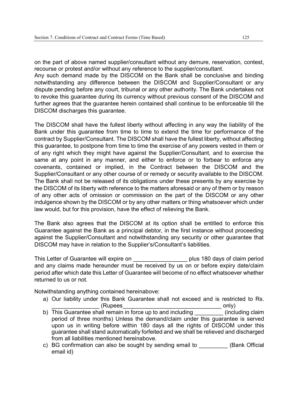on the part of above named supplier/consultant without any demure, reservation, contest, recourse or protest and/or without any reference to the supplier/consultant.

Any such demand made by the DISCOM on the Bank shall be conclusive and binding notwithstanding any difference between the DISCOM and Supplier/Consultant or any dispute pending before any court, tribunal or any other authority. The Bank undertakes not to revoke this guarantee during its currency without previous consent of the DISCOM and further agrees that the guarantee herein contained shall continue to be enforceable till the DISCOM discharges this guarantee.

The DISCOM shall have the fullest liberty without affecting in any way the liability of the Bank under this guarantee from time to time to extend the time for performance of the contract by Supplier/Consultant. The DISCOM shall have the fullest liberty, without affecting this guarantee, to postpone from time to time the exercise of any powers vested in them or of any right which they might have against the Supplier/Consultant, and to exercise the same at any point in any manner, and either to enforce or to forbear to enforce any covenants, contained or implied, in the Contract between the DISCOM and the Supplier/Consultant or any other course of or remedy or security available to the DISCOM. The Bank shall not be released of its obligations under these presents by any exercise by the DISCOM of its liberty with reference to the matters aforesaid or any of them or by reason of any other acts of omission or commission on the part of the DISCOM or any other indulgence shown by the DISCOM or by any other matters or thing whatsoever which under law would, but for this provision, have the effect of relieving the Bank.

The Bank also agrees that the DISCOM at its option shall be entitled to enforce this Guarantee against the Bank as a principal debtor, in the first instance without proceeding against the Supplier/Consultant and notwithstanding any security or other guarantee that DISCOM may have in relation to the Supplier's/Consultant's liabilities.

This Letter of Guarantee will expire on \_\_\_\_\_\_\_\_\_\_\_\_\_\_\_\_\_ plus 180 days of claim period and any claims made hereunder must be received by us on or before expiry date/claim period after which date this Letter of Guarantee will become of no effect whatsoever whether returned to us or not.

Notwithstanding anything contained hereinabove:

- a) Our liability under this Bank Guarantee shall not exceed and is restricted to Rs.  $(Rupees$  only)
- b) This Guarantee shall remain in force up to and including **the contract of the Contract Contract Contract Contract Contract Contract Contract Contract Contract Contract Contract Contract Contract Contract Contract Contra** period of three months) Unless the demand/claim under this guarantee is served upon us in writing before within 180 days all the rights of DISCOM under this guarantee shall stand automatically forfeited and we shall be relieved and discharged from all liabilities mentioned hereinabove.
- c) BG confirmation can also be sought by sending email to \_\_\_\_\_\_\_\_\_ (Bank Official email id)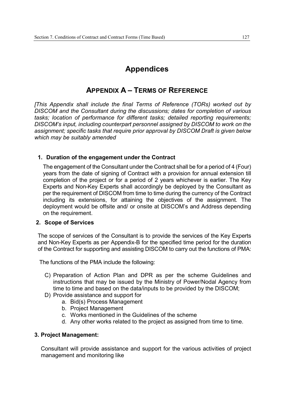## **Appendices**

## **APPENDIX A – TERMS OF REFERENCE**

*[This Appendix shall include the final Terms of Reference (TORs) worked out by DISCOM and the Consultant during the discussions; dates for completion of various tasks; location of performance for different tasks; detailed reporting requirements; DISCOM's input, including counterpart personnel assigned by DISCOM to work on the assignment; specific tasks that require prior approval by DISCOM Draft is given below which may be suitably amended*

#### **1. Duration of the engagement under the Contract**

The engagement of the Consultant under the Contract shall be for a period of 4 (Four) years from the date of signing of Contract with a provision for annual extension till completion of the project or for a period of 2 years whichever is earlier. The Key Experts and Non-Key Experts shall accordingly be deployed by the Consultant as per the requirement of DISCOM from time to time during the currency of the Contract including its extensions, for attaining the objectives of the assignment. The deployment would be offsite and/ or onsite at DISCOM's and Address depending on the requirement.

#### **2. Scope of Services**

The scope of services of the Consultant is to provide the services of the Key Experts and Non-Key Experts as per Appendix-B for the specified time period for the duration of the Contract for supporting and assisting DISCOM to carry out the functions of PMA:

The functions of the PMA include the following:

- C) Preparation of Action Plan and DPR as per the scheme Guidelines and instructions that may be issued by the Ministry of Power/Nodal Agency from time to time and based on the data/inputs to be provided by the DISCOM;
- D) Provide assistance and support for
	- a. Bid(s) Process Management
	- b. Project Management
	- c. Works mentioned in the Guidelines of the scheme
	- d. Any other works related to the project as assigned from time to time.

#### **3. Project Management:**

Consultant will provide assistance and support for the various activities of project management and monitoring like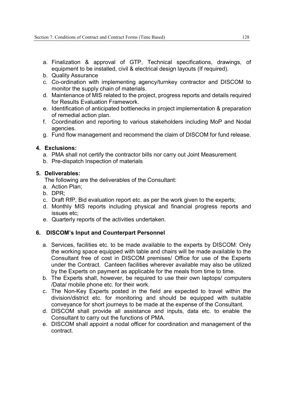- a. Finalization & approval of GTP, Technical specifications, drawings, of equipment to be installed, civil & electrical design layouts (If required).
- b. Quality Assurance
- c. Co-ordination with implementing agency/turnkey contractor and DISCOM to monitor the supply chain of materials.
- d. Maintenance of MIS related to the project, progress reports and details required for Results Evaluation Framework.
- e. Identification of anticipated bottlenecks in project implementation & preparation of remedial action plan.
- f. Coordination and reporting to various stakeholders including MoP and Nodal agencies.
- g. Fund flow management and recommend the claim of DISCOM for fund release.

#### **4. Exclusions:**

- a. PMA shall not certify the contractor bills nor carry out Joint Measurement.
- b. Pre-dispatch Inspection of materials

#### **5. Deliverables:**

The following are the deliverables of the Consultant:

- a. Action Plan;
- b. DPR;
- c. Draft RfP, Bid evaluation report etc. as per the work given to the experts;
- d. Monthly MIS reports including physical and financial progress reports and issues etc;
- e. Quarterly reports of the activities undertaken.

#### **6. DISCOM's Input and Counterpart Personnel**

- a. Services, facilities etc. to be made available to the experts by DISCOM: Only the working space equipped with table and chairs will be made available to the Consultant free of cost in DISCOM premises/ Office for use of the Experts under the Contract. Canteen facilities wherever available may also be utilized by the Experts on payment as applicable for the meals from time to time.
- b. The Experts shall, however, be required to use their own laptops/ computers /Data/ mobile phone etc. for their work.
- c. The Non-Key Experts posted in the field are expected to travel within the division/district etc. for monitoring and should be equipped with suitable conveyance for short journeys to be made at the expense of the Consultant.
- d. DISCOM shall provide all assistance and inputs, data etc. to enable the Consultant to carry out the functions of PMA.
- e. DISCOM shall appoint a nodal officer for coordination and management of the contract.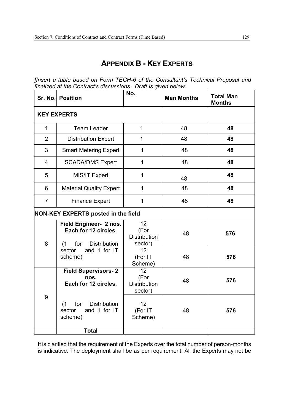## **APPENDIX B - KEY EXPERTS**

*[Insert a table based on Form TECH-6 of the Consultant's Technical Proposal and finalized at the Contract's discussions. Draft is given below:* 

|                                            | Sr. No. Position                                                                    | No.                                          | <b>Man Months</b> | <b>Total Man</b><br><b>Months</b> |  |
|--------------------------------------------|-------------------------------------------------------------------------------------|----------------------------------------------|-------------------|-----------------------------------|--|
| <b>KEY EXPERTS</b>                         |                                                                                     |                                              |                   |                                   |  |
| $\mathbf{1}$                               | <b>Team Leader</b>                                                                  | $\mathbf{1}$                                 | 48                | 48                                |  |
| $\overline{2}$                             | <b>Distribution Expert</b>                                                          | 1                                            | 48                | 48                                |  |
| 3                                          | <b>Smart Metering Expert</b>                                                        | 1                                            | 48                | 48                                |  |
| 4                                          | <b>SCADA/DMS Expert</b>                                                             | 1                                            | 48                | 48                                |  |
| 5                                          | MIS/IT Expert                                                                       | 1                                            | 48                | 48                                |  |
| 6                                          | <b>Material Quality Expert</b>                                                      | 1                                            | 48                | 48                                |  |
| $\overline{7}$                             | <b>Finance Expert</b>                                                               | 1                                            | 48                | 48                                |  |
| <b>NON-KEY EXPERTS posted in the field</b> |                                                                                     |                                              |                   |                                   |  |
| 8                                          | Field Engineer- 2 nos.<br>Each for 12 circles.<br><b>Distribution</b><br>for<br>(1) | 12<br>(For<br><b>Distribution</b><br>sector) | 48                | 576                               |  |
|                                            | sector<br>and 1 for IT<br>scheme)                                                   | 12<br>(For IT<br>Scheme)                     | 48                | 576                               |  |
|                                            | <b>Field Supervisors-2</b><br>nos.<br>Each for 12 circles.                          | 12<br>(For<br><b>Distribution</b><br>sector) | 48                | 576                               |  |
| 9                                          | for<br><b>Distribution</b><br>(1)<br>and 1 for IT<br>sector<br>scheme)              | 12<br>(For IT<br>Scheme)                     | 48                | 576                               |  |
|                                            | <b>Total</b>                                                                        |                                              |                   |                                   |  |

It is clarified that the requirement of the Experts over the total number of person-months is indicative. The deployment shall be as per requirement. All the Experts may not be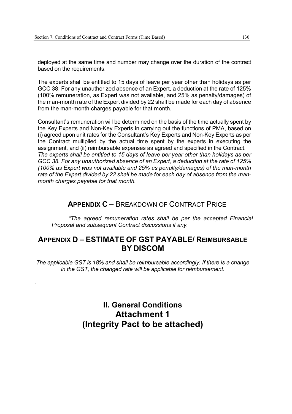deployed at the same time and number may change over the duration of the contract based on the requirements.

The experts shall be entitled to 15 days of leave per year other than holidays as per GCC 38. For any unauthorized absence of an Expert, a deduction at the rate of 125% (100% remuneration, as Expert was not available, and 25% as penalty/damages) of the man-month rate of the Expert divided by 22 shall be made for each day of absence from the man-month charges payable for that month.

Consultant's remuneration will be determined on the basis of the time actually spent by the Key Experts and Non-Key Experts in carrying out the functions of PMA, based on (i) agreed upon unit rates for the Consultant's Key Experts and Non-Key Experts as per the Contract multiplied by the actual time spent by the experts in executing the assignment, and (ii) reimbursable expenses as agreed and specified in the Contract. *The experts shall be entitled to 15 days of leave per year other than holidays as per GCC 38. For any unauthorized absence of an Expert, a deduction at the rate of 125% (100% as Expert was not available and 25% as penalty/damages) of the man-month rate of the Expert divided by 22 shall be made for each day of absence from the manmonth charges payable for that month.* 

## **APPENDIX C –** BREAKDOWN OF CONTRACT PRICE

 *"The agreed remuneration rates shall be per the accepted Financial Proposal and subsequent Contract discussions if any.* 

## **APPENDIX D – ESTIMATE OF GST PAYABLE/ REIMBURSABLE BY DISCOM**

*The applicable GST is 18% and shall be reimbursable accordingly. If there is a change in the GST, the changed rate will be applicable for reimbursement.* 

*.* 

**II. General Conditions Attachment 1 (Integrity Pact to be attached)**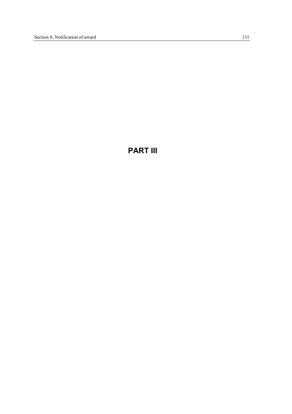## **PART III**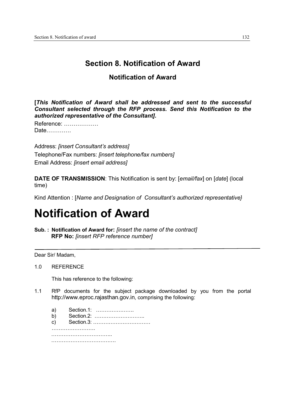## **Section 8. Notification of Award**

## **Notification of Award**

**[***This Notification of Award shall be addressed and sent to the successful Consultant selected through the RFP process. Send this Notification to the authorized representative of the Consultant].*

| Reference: |
|------------|
| Date       |

Address: *[insert Consultant's address]* Telephone/Fax numbers: *[insert telephone/fax numbers]* Email Address: *[insert email address]*

**DATE OF TRANSMISSION**: This Notification is sent by: [*email/fax*] on [*date*] (local time)

Kind Attention : [*Name and Designation of Consultant's authorized representative}*

# **Notification of Award**

**Sub. : Notification of Award for:** *[insert the name of the contract]* **RFP No:** *[insert RFP reference number]*

Dear Sir/ Madam,

1

1.0 REFERENCE

This has reference to the following:

1.1 RfP documents for the subject package downloaded by you from the portal http://www.eproc.rajasthan.gov.in, comprising the following:

 a) Section.1: …………………. b) Section.2: ……………………….. c) Section.3: …………………………… …………………………… ……………………………………… ……………………………….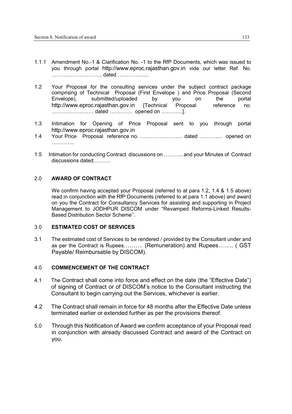- 1.1.1 Amendment No.-1 & Clarification No. -1 to the RfP Documents, which was issued to you through portal http://www.eproc.rajasthan.gov.in vide our letter Ref. No. ……………………….. dated ……………...
- 1.2 Your Proposal for the consulting services under the subject contract package comprising of Technical Proposal (First Envelope ) and Price Proposal (Second Envelope), submitted/uploaded by you on the portal http://www.eproc.rajasthan.gov.in [Technical Proposal reference no. …………………… dated …………. opened on …………].
- 1.3 Intimation for Opening of Price Proposal sent to you through portal http://www.eproc.rajasthan.gov.in
- 1.4 Your Price Proposal reference no. …………………… dated …………. opened on ………………
- 1.5 Intimation for conducting Contract discussions on ……….. and your Minutes of Contract discussions dated……….

#### 2.0 **AWARD OF CONTRACT**

We confirm having accepted your Proposal (referred to at para 1.2, 1.4 & 1.5 above) read in conjunction with the RfP Documents (referred to at para 1.1 above) and award on you the Contract for Consultancy Services for assisting and supporting in Project Management to JODHPUR DISCOM under "Revamped Reforms-Linked Results-Based Distribution Sector Scheme''.

#### 3.0 **ESTIMATED COST OF SERVICES**

3.1 The estimated cost of Services to be rendered / provided by the Consultant under and as per the Contract is Rupees………. (Remuneration) and Rupees…….. ( GST Payable/ Reimbursable by DISCOM).

#### 4.0 **COMMENCEMENT OF THE CONTRACT**

- 4.1 The Contract shall come into force and effect on the date (the "Effective Date") of signing of Contract or of DISCOM's notice to the Consultant instructing the Consultant to begin carrying out the Services, whichever is earlier.
- 4.2 The Contract shall remain in force for 48 months after the Effective Date unless terminated earlier or extended further as per the provisions thereof.
- 5.0 Through this Notification of Award we confirm acceptance of your Proposal read in conjunction with already discussed Contract and award of the Contract on you.